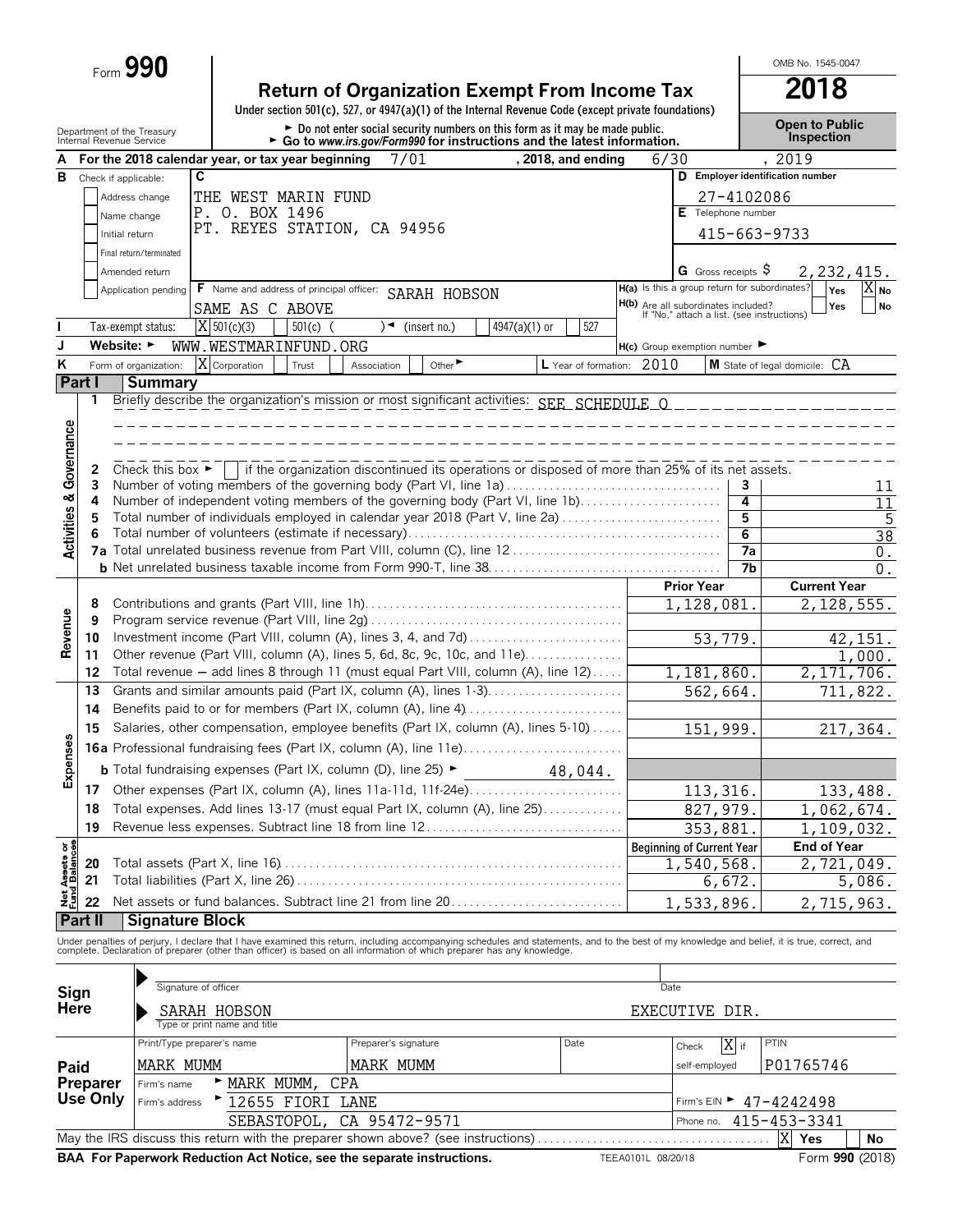| <b>Return of Organization Exempt From Income Tax</b>                                               | 2018 |
|----------------------------------------------------------------------------------------------------|------|
| Under section 501(c), 527, or 4947(a)(1) of the Internal Revenue Code (except private foundations) |      |
|                                                                                                    |      |

|                               |                                                                                     | Public |
|-------------------------------|-------------------------------------------------------------------------------------|--------|
| Department of the<br>Treasury | $\cdot$ Do not enter social security numbers on this form as it may be made public. |        |
|                               | $\bullet\bullet\bullet$                                                             |        |

OMB No. 1545-0047

|                                        | Internal Revenue Service | Department of the Treasury           |                                                                                                                         |                  | 20 Hot Childi Social Scearity Hambers on this form as it may be made pablic<br>$\triangleright$ Go to www.irs.gov/Form990 for instructions and the latest information. |                               |                 |      |                    |                           |                                                                                          |            | <b>Inspection</b>                                                                                                                                                                             |
|----------------------------------------|--------------------------|--------------------------------------|-------------------------------------------------------------------------------------------------------------------------|------------------|------------------------------------------------------------------------------------------------------------------------------------------------------------------------|-------------------------------|-----------------|------|--------------------|---------------------------|------------------------------------------------------------------------------------------|------------|-----------------------------------------------------------------------------------------------------------------------------------------------------------------------------------------------|
|                                        |                          |                                      | For the 2018 calendar year, or tax year beginning                                                                       |                  | 7/01                                                                                                                                                                   |                               |                 |      | , 2018, and ending |                           | 6/30                                                                                     |            | , 2019                                                                                                                                                                                        |
| В                                      | Check if applicable:     |                                      | C                                                                                                                       |                  |                                                                                                                                                                        |                               |                 |      |                    |                           |                                                                                          |            | D Employer identification number                                                                                                                                                              |
|                                        |                          | Address change                       | THE WEST MARIN FUND                                                                                                     |                  |                                                                                                                                                                        |                               |                 |      |                    |                           |                                                                                          | 27-4102086 |                                                                                                                                                                                               |
|                                        |                          | Name change                          | P. O. BOX 1496                                                                                                          |                  |                                                                                                                                                                        |                               |                 |      |                    |                           | Telephone number                                                                         |            |                                                                                                                                                                                               |
|                                        |                          | Initial return                       | PT. REYES STATION, CA 94956                                                                                             |                  |                                                                                                                                                                        |                               |                 |      |                    |                           |                                                                                          |            | 415-663-9733                                                                                                                                                                                  |
|                                        |                          | Final return/terminated              |                                                                                                                         |                  |                                                                                                                                                                        |                               |                 |      |                    |                           |                                                                                          |            |                                                                                                                                                                                               |
|                                        |                          | Amended return                       |                                                                                                                         |                  |                                                                                                                                                                        |                               |                 |      |                    |                           | G Gross receipts $\varsigma$                                                             |            | 2, 232, 415.                                                                                                                                                                                  |
|                                        |                          | Application pending                  | F Name and address of principal officer: SARAH HOBSON                                                                   |                  |                                                                                                                                                                        |                               |                 |      |                    |                           | H(a) Is this a group return for subordinates?                                            |            | Yes<br>$X_{\mathsf{No}}$                                                                                                                                                                      |
|                                        |                          |                                      | SAME AS C ABOVE                                                                                                         |                  |                                                                                                                                                                        |                               |                 |      |                    |                           |                                                                                          |            | Yes<br><b>No</b>                                                                                                                                                                              |
|                                        |                          | Tax-exempt status:                   | $X$ 501(c)(3)                                                                                                           | $501(c)$ (       |                                                                                                                                                                        | $\sqrt{\bullet}$ (insert no.) | $4947(a)(1)$ or |      | 527                |                           | <b>H(b)</b> Are all subordinates included?<br>If "No," attach a list. (see instructions) |            |                                                                                                                                                                                               |
| J                                      | Website: ►               |                                      |                                                                                                                         |                  |                                                                                                                                                                        |                               |                 |      |                    |                           |                                                                                          |            |                                                                                                                                                                                               |
|                                        |                          |                                      | WWW.WESTMARINFUND.ORG                                                                                                   |                  |                                                                                                                                                                        |                               |                 |      |                    |                           | $H(c)$ Group exemption number $\blacktriangleright$                                      |            |                                                                                                                                                                                               |
| Κ                                      |                          | Form of organization:                | X Corporation                                                                                                           | Trust            | Association                                                                                                                                                            | Other                         |                 |      |                    | L Year of formation: 2010 |                                                                                          |            | <b>M</b> State of legal domicile: $CA$                                                                                                                                                        |
|                                        | Part I                   | <b>Summary</b>                       |                                                                                                                         |                  |                                                                                                                                                                        |                               |                 |      |                    |                           |                                                                                          |            |                                                                                                                                                                                               |
|                                        | 1                        |                                      |                                                                                                                         |                  |                                                                                                                                                                        |                               |                 |      |                    |                           |                                                                                          |            | Briefly describe the organization's mission or most significant activities: SEE_SCHEDULE_O___________________                                                                                 |
|                                        |                          |                                      |                                                                                                                         |                  |                                                                                                                                                                        |                               |                 |      |                    |                           |                                                                                          |            |                                                                                                                                                                                               |
|                                        |                          |                                      |                                                                                                                         |                  |                                                                                                                                                                        |                               |                 |      |                    |                           |                                                                                          |            |                                                                                                                                                                                               |
| Governance                             | 2                        | Check this box $\blacktriangleright$ |                                                                                                                         |                  | if the organization discontinued its operations or disposed of more than 25% of its net assets.                                                                        |                               |                 |      |                    |                           |                                                                                          |            |                                                                                                                                                                                               |
|                                        | 3                        |                                      | Number of voting members of the governing body (Part VI, line 1a)                                                       |                  |                                                                                                                                                                        |                               |                 |      |                    |                           |                                                                                          | 3          | 11                                                                                                                                                                                            |
|                                        | 4                        |                                      | Number of independent voting members of the governing body (Part VI, line 1b)                                           |                  |                                                                                                                                                                        |                               |                 |      |                    |                           |                                                                                          | 4          | $\overline{11}$                                                                                                                                                                               |
|                                        | 5                        |                                      | Total number of individuals employed in calendar year 2018 (Part V, line 2a)                                            |                  |                                                                                                                                                                        |                               |                 |      |                    |                           |                                                                                          | 5          | 5                                                                                                                                                                                             |
| <b>Activities &amp;</b>                | 6                        |                                      |                                                                                                                         |                  |                                                                                                                                                                        |                               |                 |      |                    |                           |                                                                                          | 6          | 38                                                                                                                                                                                            |
|                                        |                          |                                      |                                                                                                                         |                  |                                                                                                                                                                        |                               |                 |      |                    |                           |                                                                                          | 7a         | $\boldsymbol{0}$ .                                                                                                                                                                            |
|                                        |                          |                                      |                                                                                                                         |                  |                                                                                                                                                                        |                               |                 |      |                    |                           |                                                                                          | 7b         | $\overline{0}$ .                                                                                                                                                                              |
|                                        |                          |                                      |                                                                                                                         |                  |                                                                                                                                                                        |                               |                 |      |                    |                           | <b>Prior Year</b>                                                                        |            | <b>Current Year</b>                                                                                                                                                                           |
|                                        | 8                        |                                      |                                                                                                                         |                  |                                                                                                                                                                        |                               |                 |      |                    |                           | 1,128,081.                                                                               |            | 2, 128, 555.                                                                                                                                                                                  |
| Revenue                                | 9                        |                                      |                                                                                                                         |                  |                                                                                                                                                                        |                               |                 |      |                    |                           |                                                                                          |            |                                                                                                                                                                                               |
|                                        | 10                       |                                      |                                                                                                                         |                  |                                                                                                                                                                        |                               |                 |      |                    |                           | 53,779.                                                                                  |            | 42, 151.                                                                                                                                                                                      |
|                                        | 11                       |                                      | Other revenue (Part VIII, column (A), lines 5, 6d, 8c, 9c, 10c, and 11e)                                                |                  |                                                                                                                                                                        |                               |                 |      |                    |                           |                                                                                          |            | 1,000.                                                                                                                                                                                        |
|                                        | 12                       |                                      | Total revenue - add lines 8 through 11 (must equal Part VIII, column (A), line 12)                                      |                  |                                                                                                                                                                        |                               |                 |      |                    |                           | 1,181,860.                                                                               |            | 2, 171, 706.                                                                                                                                                                                  |
|                                        | 13                       |                                      | Grants and similar amounts paid (Part IX, column (A), lines 1-3)                                                        |                  |                                                                                                                                                                        |                               |                 |      |                    |                           | 562,664.                                                                                 |            | 711,822.                                                                                                                                                                                      |
|                                        | 14                       |                                      | Benefits paid to or for members (Part IX, column (A), line 4)                                                           |                  |                                                                                                                                                                        |                               |                 |      |                    |                           |                                                                                          |            |                                                                                                                                                                                               |
|                                        | 15                       |                                      | Salaries, other compensation, employee benefits (Part IX, column (A), lines 5-10)                                       |                  |                                                                                                                                                                        |                               |                 |      |                    |                           | 151,999.                                                                                 |            | 217,364.                                                                                                                                                                                      |
| Expenses                               |                          |                                      | 16a Professional fundraising fees (Part IX, column (A), line 11e)                                                       |                  |                                                                                                                                                                        |                               |                 |      |                    |                           |                                                                                          |            |                                                                                                                                                                                               |
|                                        |                          |                                      | <b>b</b> Total fundraising expenses (Part IX, column (D), line 25) $\blacktriangleright$                                |                  |                                                                                                                                                                        |                               |                 |      | 48,044.            |                           |                                                                                          |            |                                                                                                                                                                                               |
|                                        | 17                       |                                      |                                                                                                                         |                  |                                                                                                                                                                        |                               |                 |      |                    |                           | 113, 316.                                                                                |            | 133,488.                                                                                                                                                                                      |
|                                        | 18                       |                                      | Total expenses. Add lines 13-17 (must equal Part IX, column (A), line 25)                                               |                  |                                                                                                                                                                        |                               |                 |      |                    |                           | 827,979.                                                                                 |            | 1,062,674.                                                                                                                                                                                    |
|                                        | 19                       |                                      | Revenue less expenses. Subtract line 18 from line 12                                                                    |                  |                                                                                                                                                                        |                               |                 |      |                    |                           | 353,881.                                                                                 |            | 1,109,032.                                                                                                                                                                                    |
|                                        |                          |                                      |                                                                                                                         |                  |                                                                                                                                                                        |                               |                 |      |                    |                           | <b>Beginning of Current Year</b>                                                         |            | <b>End of Year</b>                                                                                                                                                                            |
| <b>Net Assets or<br/>Fund Balances</b> | 20                       |                                      |                                                                                                                         |                  |                                                                                                                                                                        |                               |                 |      |                    |                           | 1,540,568.                                                                               |            | $\overline{2,721}$ , 049.                                                                                                                                                                     |
|                                        | 21                       |                                      |                                                                                                                         |                  |                                                                                                                                                                        |                               |                 |      |                    |                           | 6,672.                                                                                   |            | 5,086.                                                                                                                                                                                        |
|                                        | 22                       |                                      | Net assets or fund balances. Subtract line 21 from line 20                                                              |                  |                                                                                                                                                                        |                               |                 |      |                    |                           | 1,533,896                                                                                |            | 2,715,963.                                                                                                                                                                                    |
|                                        | Part II                  | <b>Signature Block</b>               |                                                                                                                         |                  |                                                                                                                                                                        |                               |                 |      |                    |                           |                                                                                          |            |                                                                                                                                                                                               |
|                                        |                          |                                      |                                                                                                                         |                  |                                                                                                                                                                        |                               |                 |      |                    |                           |                                                                                          |            | Under penalties of perjury, I declare that I have examined this return, including accompanying schedules and statements, and to the best of my knowledge and belief, it is true, correct, and |
|                                        |                          |                                      | complete. Declaration of preparer (other than officer) is based on all information of which preparer has any knowledge. |                  |                                                                                                                                                                        |                               |                 |      |                    |                           |                                                                                          |            |                                                                                                                                                                                               |
|                                        |                          |                                      |                                                                                                                         |                  |                                                                                                                                                                        |                               |                 |      |                    |                           |                                                                                          |            |                                                                                                                                                                                               |
| Sign                                   |                          | Signature of officer                 |                                                                                                                         |                  |                                                                                                                                                                        |                               |                 |      |                    |                           | Date                                                                                     |            |                                                                                                                                                                                               |
| Here                                   |                          |                                      | SARAH HOBSON                                                                                                            |                  |                                                                                                                                                                        |                               |                 |      |                    |                           | EXECUTIVE DIR.                                                                           |            |                                                                                                                                                                                               |
|                                        |                          |                                      | Type or print name and title                                                                                            |                  |                                                                                                                                                                        |                               |                 |      |                    |                           |                                                                                          |            |                                                                                                                                                                                               |
|                                        |                          | Print/Type preparer's name           |                                                                                                                         |                  | Preparer's signature                                                                                                                                                   |                               |                 | Date |                    |                           | Check                                                                                    | $X$ if     | PTIN                                                                                                                                                                                          |
|                                        |                          | MARK MUMM                            |                                                                                                                         |                  | MARK MUMM                                                                                                                                                              |                               |                 |      |                    |                           | self-employed                                                                            |            | P01765746                                                                                                                                                                                     |
| Paid                                   | Preparer                 | Firm's name                          | MARK MUMM,                                                                                                              |                  | CPA                                                                                                                                                                    |                               |                 |      |                    |                           |                                                                                          |            |                                                                                                                                                                                               |
|                                        | Use Only                 | Firm's address                       |                                                                                                                         | 12655 FIORI LANE |                                                                                                                                                                        |                               |                 |      |                    |                           |                                                                                          |            | Firm's EIN $\blacktriangleright$ 47-4242498                                                                                                                                                   |
|                                        |                          |                                      |                                                                                                                         | SEBASTOPOL,      | CA 95472-9571                                                                                                                                                          |                               |                 |      |                    |                           | Phone no.                                                                                |            | 415-453-3341                                                                                                                                                                                  |
|                                        |                          |                                      |                                                                                                                         |                  |                                                                                                                                                                        |                               |                 |      |                    |                           |                                                                                          |            |                                                                                                                                                                                               |

| SEBASTOPOL, CA 95472-9571                                                         | Phone no.          | $415 - 453 - 3341$ |
|-----------------------------------------------------------------------------------|--------------------|--------------------|
| May the IRS discuss this return with the preparer shown above? (see instructions) |                    | No<br>Yes          |
| BAA For Paperwork Reduction Act Notice, see the separate instructions.            | TEEA0101L 08/20/18 | Form 990 (2018)    |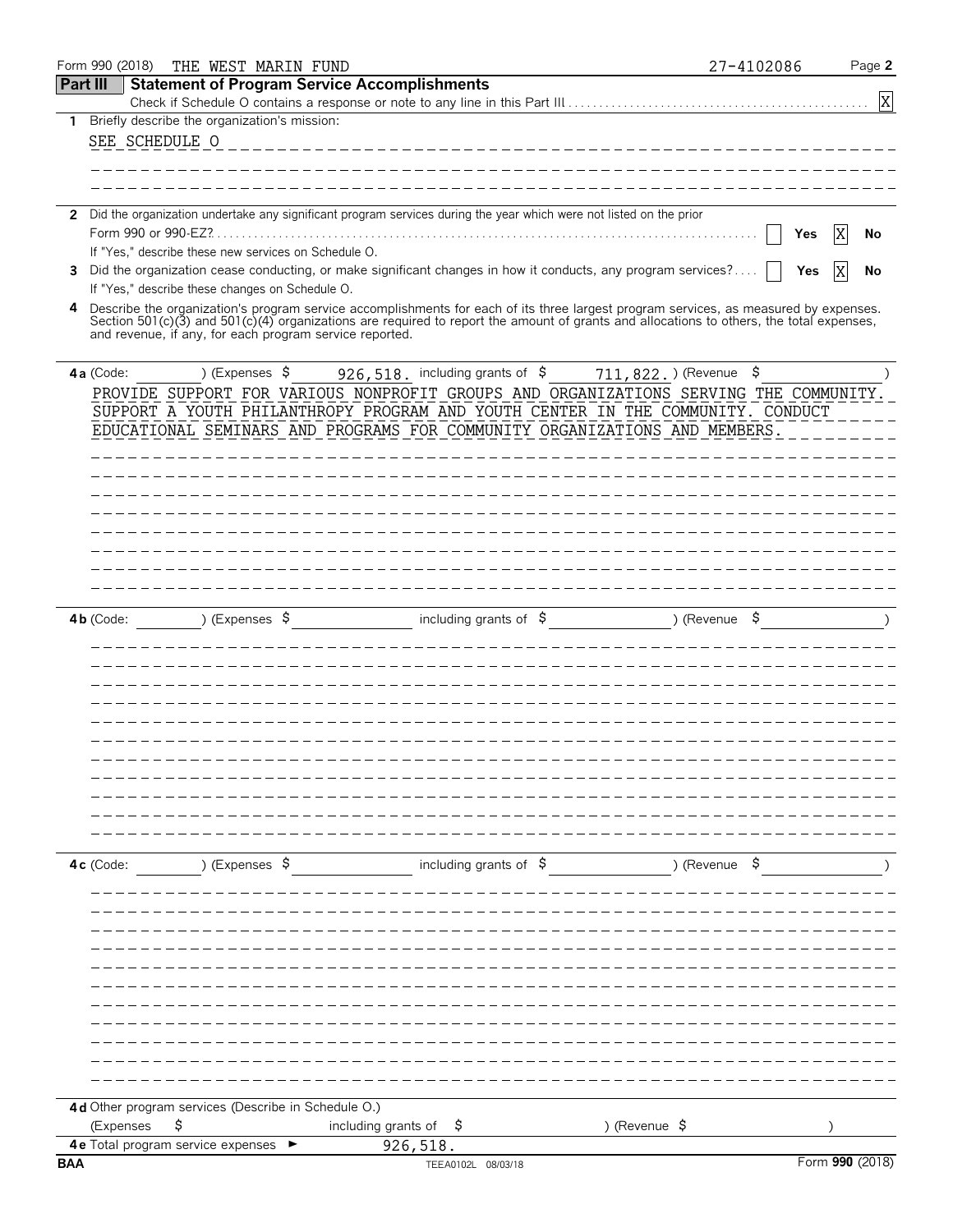|            | Form 990 (2018)<br>THE WEST MARIN FUND                  |                                                                                                                                                                                                                                                                                  | 27-4102086    | Page 2          |
|------------|---------------------------------------------------------|----------------------------------------------------------------------------------------------------------------------------------------------------------------------------------------------------------------------------------------------------------------------------------|---------------|-----------------|
| Part III   |                                                         | <b>Statement of Program Service Accomplishments</b>                                                                                                                                                                                                                              |               | $\overline{X}$  |
|            | 1 Briefly describe the organization's mission:          |                                                                                                                                                                                                                                                                                  |               |                 |
|            | SEE SCHEDULE O                                          |                                                                                                                                                                                                                                                                                  |               |                 |
|            |                                                         |                                                                                                                                                                                                                                                                                  |               |                 |
|            |                                                         |                                                                                                                                                                                                                                                                                  |               |                 |
|            |                                                         | 2 Did the organization undertake any significant program services during the year which were not listed on the prior                                                                                                                                                             |               |                 |
|            | If "Yes," describe these new services on Schedule O.    |                                                                                                                                                                                                                                                                                  |               | ΙX<br>Yes<br>No |
|            |                                                         | 3 Did the organization cease conducting, or make significant changes in how it conducts, any program services?                                                                                                                                                                   |               | ΙX<br>Yes<br>No |
|            | If "Yes," describe these changes on Schedule O.         |                                                                                                                                                                                                                                                                                  |               |                 |
| 4          | and revenue, if any, for each program service reported. | Describe the organization's program service accomplishments for each of its three largest program services, as measured by expenses.<br>Section 501(c)(3) and 501(c)(4) organizations are required to report the amount of grants and allocations to others, the total expenses, |               |                 |
|            |                                                         |                                                                                                                                                                                                                                                                                  |               |                 |
|            | ) (Expenses $\sqrt{5}$<br>$4a$ (Code:                   | 926, 518. including grants of $\,$ \$ 711, 822. ) (Revenue                                                                                                                                                                                                                       | \$            |                 |
|            |                                                         | PROVIDE SUPPORT FOR VARIOUS NONPROFIT GROUPS AND ORGANIZATIONS SERVING THE COMMUNITY.<br>SUPPORT A YOUTH PHILANTHROPY PROGRAM AND YOUTH CENTER IN THE COMMUNITY. CONDUCT                                                                                                         |               |                 |
|            |                                                         | EDUCATIONAL SEMINARS AND PROGRAMS FOR COMMUNITY ORGANIZATIONS AND MEMBERS.                                                                                                                                                                                                       |               |                 |
|            |                                                         |                                                                                                                                                                                                                                                                                  |               |                 |
|            |                                                         |                                                                                                                                                                                                                                                                                  |               |                 |
|            |                                                         |                                                                                                                                                                                                                                                                                  |               |                 |
|            |                                                         |                                                                                                                                                                                                                                                                                  |               |                 |
|            |                                                         |                                                                                                                                                                                                                                                                                  |               |                 |
|            |                                                         |                                                                                                                                                                                                                                                                                  |               |                 |
|            |                                                         |                                                                                                                                                                                                                                                                                  |               |                 |
|            |                                                         |                                                                                                                                                                                                                                                                                  |               |                 |
|            | ) (Expenses $\sqrt{5}$<br>$4b$ (Code:                   | including grants of $\sqrt{5}$                                                                                                                                                                                                                                                   | ) (Revenue \$ |                 |
|            |                                                         |                                                                                                                                                                                                                                                                                  |               |                 |
|            |                                                         |                                                                                                                                                                                                                                                                                  |               |                 |
|            |                                                         |                                                                                                                                                                                                                                                                                  |               |                 |
|            |                                                         |                                                                                                                                                                                                                                                                                  |               |                 |
|            |                                                         |                                                                                                                                                                                                                                                                                  |               |                 |
|            |                                                         |                                                                                                                                                                                                                                                                                  |               |                 |
|            |                                                         |                                                                                                                                                                                                                                                                                  |               |                 |
|            |                                                         |                                                                                                                                                                                                                                                                                  |               |                 |
|            |                                                         |                                                                                                                                                                                                                                                                                  |               |                 |
|            | 4c (Code:<br>) (Expenses \$                             | including grants of $\sin$                                                                                                                                                                                                                                                       | ) (Revenue \$ |                 |
|            |                                                         |                                                                                                                                                                                                                                                                                  |               |                 |
|            |                                                         |                                                                                                                                                                                                                                                                                  |               |                 |
|            |                                                         |                                                                                                                                                                                                                                                                                  |               |                 |
|            |                                                         |                                                                                                                                                                                                                                                                                  |               |                 |
|            |                                                         |                                                                                                                                                                                                                                                                                  |               |                 |
|            |                                                         |                                                                                                                                                                                                                                                                                  |               |                 |
|            |                                                         |                                                                                                                                                                                                                                                                                  |               |                 |
|            |                                                         |                                                                                                                                                                                                                                                                                  |               |                 |
|            |                                                         |                                                                                                                                                                                                                                                                                  |               |                 |
|            |                                                         |                                                                                                                                                                                                                                                                                  |               |                 |
|            | 4d Other program services (Describe in Schedule O.)     |                                                                                                                                                                                                                                                                                  |               |                 |
|            | \$<br>(Expenses                                         | including grants of $\frac{1}{5}$                                                                                                                                                                                                                                                | ) (Revenue \$ |                 |
| <b>BAA</b> | <b>4e</b> Total program service expenses                | 926,518.<br>TEEA0102L 08/03/18                                                                                                                                                                                                                                                   |               | Form 990 (2018) |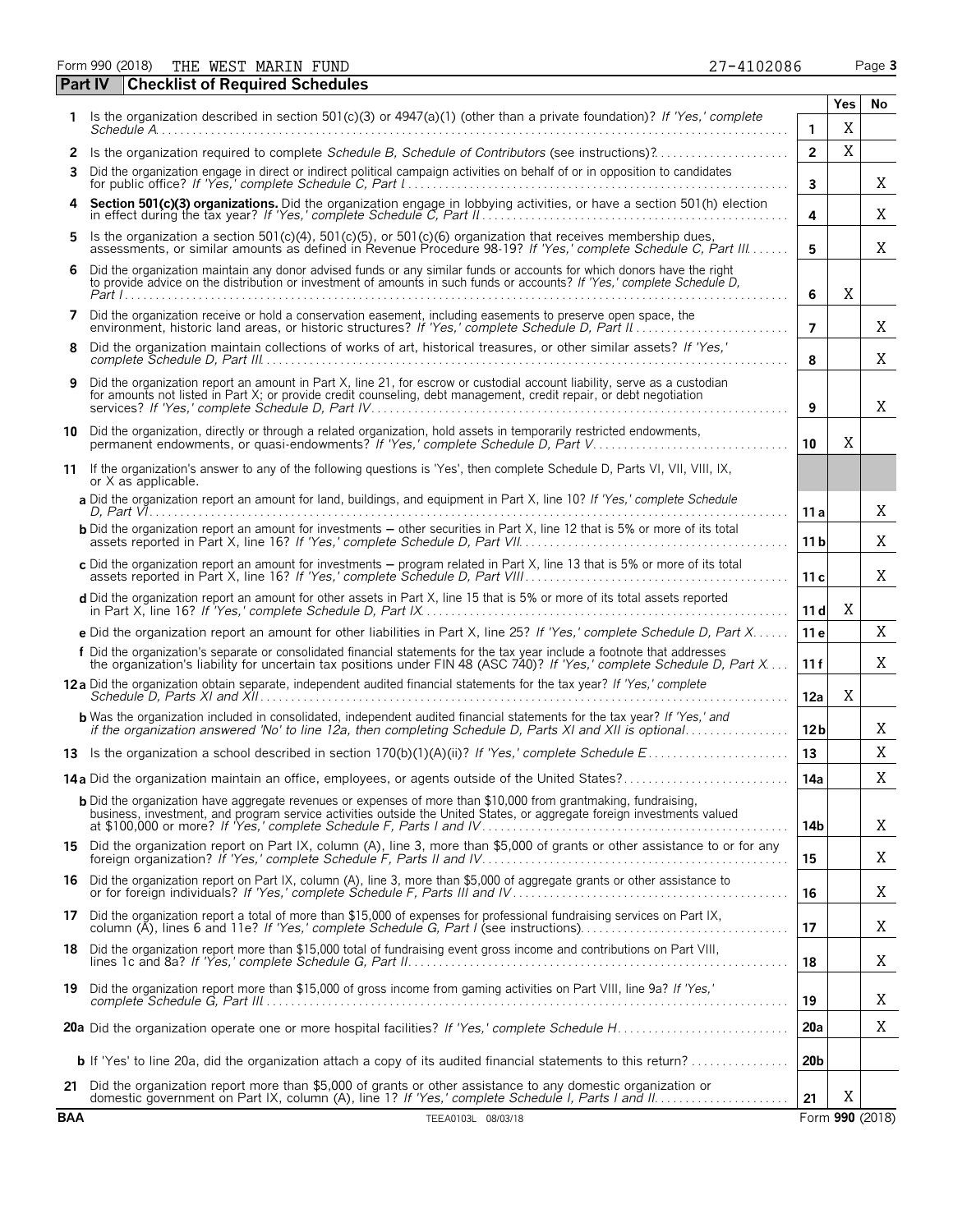Form 990 (2018) Page **3** THE WEST MARIN FUND 27-4102086

| <b>Part IV</b> | <b>Checklist of Required Schedules</b>                                                                                                                                                                                                              |                 |     |                 |
|----------------|-----------------------------------------------------------------------------------------------------------------------------------------------------------------------------------------------------------------------------------------------------|-----------------|-----|-----------------|
| 1.             | Is the organization described in section 501(c)(3) or 4947(a)(1) (other than a private foundation)? If 'Yes,' complete                                                                                                                              |                 | Yes | No              |
|                |                                                                                                                                                                                                                                                     | 1               | X   |                 |
| 2<br>3         | Is the organization required to complete Schedule B, Schedule of Contributors (see instructions)?<br>Did the organization engage in direct or indirect political campaign activities on behalf of or in opposition to candidates                    | $\overline{2}$  | X   |                 |
|                |                                                                                                                                                                                                                                                     | 3               |     | Χ               |
| 5              | Section 501(c)(3) organizations. Did the organization engage in lobbying activities, or have a section 501(h) election in effect during the tax year? If 'Yes,' complete Schedule C, Part II                                                        | 4               |     | X               |
|                | Is the organization a section 501(c)(4), 501(c)(5), or 501(c)(6) organization that receives membership dues, assessments, or similar amounts as defined in Revenue Procedure 98-19? If 'Yes,' complete Schedule C, Part III                         | 5               |     | Χ               |
| 6              | Did the organization maintain any donor advised funds or any similar funds or accounts for which donors have the right<br>to provide advice on the distribution or investment of amounts in such funds or accounts? If 'Yes,' complete Schedule D,  | 6               | X   |                 |
| 7              | Did the organization receive or hold a conservation easement, including easements to preserve open space, the<br>environment, historic land areas, or historic structures? If 'Yes,' complete Schedule D, Part II                                   | 7               |     | Χ               |
| 8              | Did the organization maintain collections of works of art, historical treasures, or other similar assets? If 'Yes,'                                                                                                                                 | 8               |     | X               |
| 9              | Did the organization report an amount in Part X, line 21, for escrow or custodial account liability, serve as a custodian<br>for amounts not listed in Part X; or provide credit counseling, debt management, credit repair, or debt negotiation    | 9               |     | X               |
| 10             | Did the organization, directly or through a related organization, hold assets in temporarily restricted endowments,<br>permanent endowments, or quasi-endowments? If 'Yes,' complete Schedule D, Part V                                             | 10              | Χ   |                 |
| 11             | If the organization's answer to any of the following questions is 'Yes', then complete Schedule D, Parts VI, VII, VIII, IX,<br>or X as applicable.                                                                                                  |                 |     |                 |
|                | a Did the organization report an amount for land, buildings, and equipment in Part X, line 10? If 'Yes,' complete Schedule                                                                                                                          | 11a             |     | X               |
|                | <b>b</b> Did the organization report an amount for investments – other securities in Part X, line 12 that is 5% or more of its total                                                                                                                | 11 <sub>b</sub> |     | Χ               |
|                | c Did the organization report an amount for investments - program related in Part X, line 13 that is 5% or more of its total                                                                                                                        | 11c             |     | Χ               |
|                | d Did the organization report an amount for other assets in Part X, line 15 that is 5% or more of its total assets reported                                                                                                                         | 11d             | Χ   |                 |
|                | e Did the organization report an amount for other liabilities in Part X, line 25? If 'Yes,' complete Schedule D, Part X                                                                                                                             | 11e             |     | X               |
|                | f Did the organization's separate or consolidated financial statements for the tax year include a footnote that addresses<br>the organization's liability for uncertain tax positions under FIN 48 (ASC 740)? If 'Yes,' complete Schedule D, Part X | 11 f            |     | X               |
|                |                                                                                                                                                                                                                                                     | 12a             | X   |                 |
|                | <b>b</b> Was the organization included in consolidated, independent audited financial statements for the tax year? If 'Yes,' and                                                                                                                    | 12 <sub>b</sub> |     | Χ               |
|                |                                                                                                                                                                                                                                                     | 13              |     | X               |
|                | 14a Did the organization maintain an office, employees, or agents outside of the United States?                                                                                                                                                     | 14a             |     | Χ               |
|                | <b>b</b> Did the organization have aggregate revenues or expenses of more than \$10,000 from grantmaking, fundraising,<br>business, investment, and program service activities outside the United States, or aggregate foreign investments valued   | 14b             |     | X               |
|                | 15 Did the organization report on Part IX, column (A), line 3, more than \$5,000 of grants or other assistance to or for any foreign organization? If 'Yes,' complete Schedule F, Parts II and IV                                                   | 15              |     | X               |
|                | 16 Did the organization report on Part IX, column (A), line 3, more than \$5,000 of aggregate grants or other assistance to<br>or for foreign individuals? If 'Yes,' complete Schedule F, Parts III and IV                                          | 16              |     | Χ               |
|                | 17 Did the organization report a total of more than \$15,000 of expenses for professional fundraising services on Part IX,<br>column (A), lines 6 and 11e? If 'Yes,' complete Schedule G, Part I (see instructions)                                 | 17              |     | Χ               |
|                | 18 Did the organization report more than \$15,000 total of fundraising event gross income and contributions on Part VIII,                                                                                                                           | 18              |     | X               |
|                | 19 Did the organization report more than \$15,000 of gross income from gaming activities on Part VIII, line 9a? If 'Yes,'                                                                                                                           | 19              |     | X               |
|                |                                                                                                                                                                                                                                                     | 20a             |     | Χ               |
|                | <b>b</b> If 'Yes' to line 20a, did the organization attach a copy of its audited financial statements to this return?                                                                                                                               | 20 <sub>b</sub> |     |                 |
|                | 21 Did the organization report more than \$5,000 of grants or other assistance to any domestic organization or                                                                                                                                      | 21              | Χ   |                 |
| <b>BAA</b>     | TEEA0103L 08/03/18                                                                                                                                                                                                                                  |                 |     | Form 990 (2018) |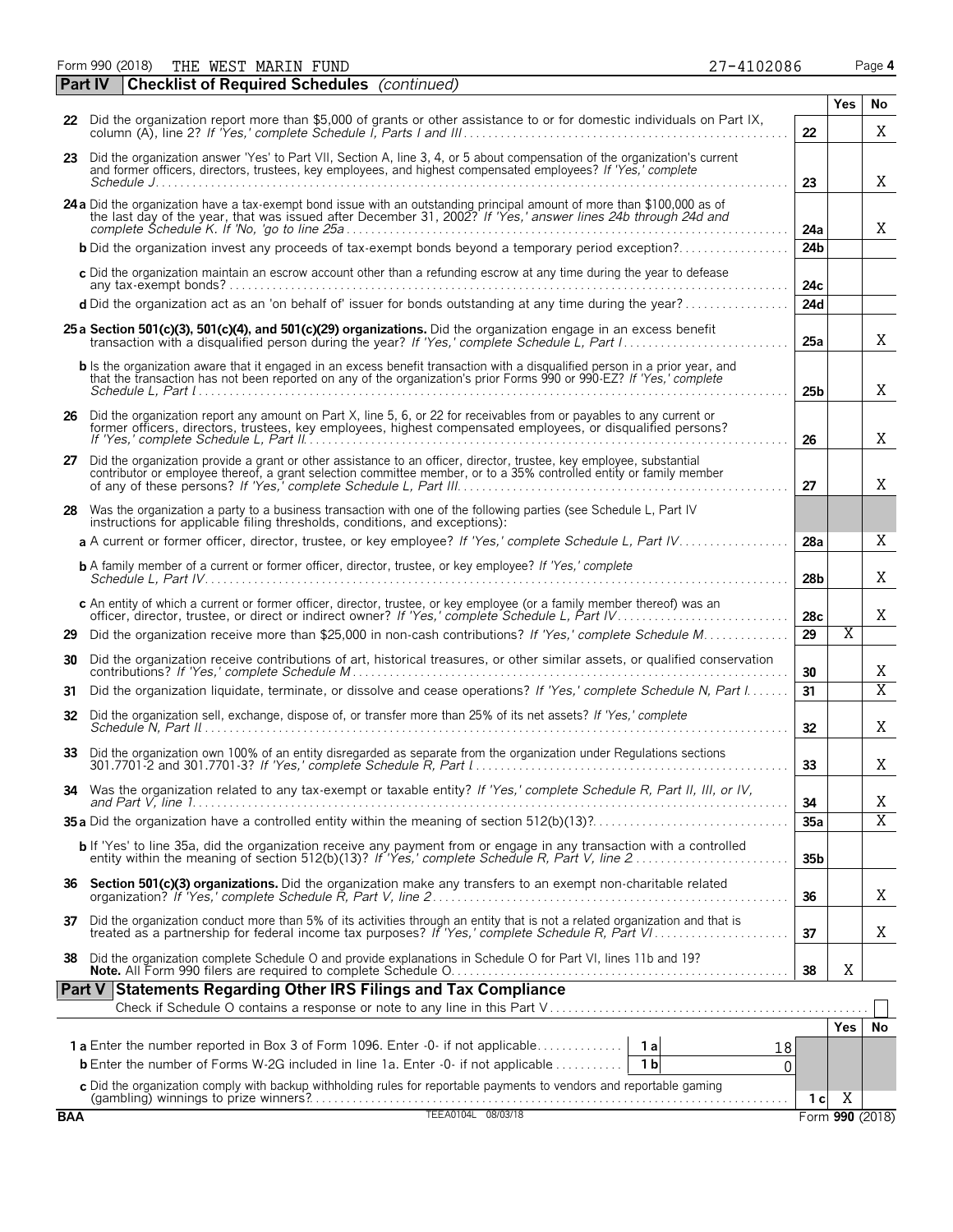|            | l Part IV | <b>Checklist of Required Schedules</b> (continued)                                                                                                                                                                                                           |                 |                       |                         |
|------------|-----------|--------------------------------------------------------------------------------------------------------------------------------------------------------------------------------------------------------------------------------------------------------------|-----------------|-----------------------|-------------------------|
|            |           |                                                                                                                                                                                                                                                              |                 | Yes                   | No                      |
|            |           | 22 Did the organization report more than \$5,000 of grants or other assistance to or for domestic individuals on Part IX,                                                                                                                                    | 22              |                       | X                       |
|            |           | 23 Did the organization answer 'Yes' to Part VII, Section A, line 3, 4, or 5 about compensation of the organization's current<br>and former officers, directors, trustees, key employees, and highest compensated employees? If 'Yes,' complete              | 23              |                       | X                       |
|            |           | 24 a Did the organization have a tax-exempt bond issue with an outstanding principal amount of more than \$100,000 as of the last day of the year, that was issued after December 31, 2002? If 'Yes,' answer lines 24b through                               | 24a             |                       | X                       |
|            |           | <b>b</b> Did the organization invest any proceeds of tax-exempt bonds beyond a temporary period exception?                                                                                                                                                   | 24 <sub>b</sub> |                       |                         |
|            |           | c Did the organization maintain an escrow account other than a refunding escrow at any time during the year to defease                                                                                                                                       | 24c             |                       |                         |
|            |           | d Did the organization act as an 'on behalf of' issuer for bonds outstanding at any time during the year?                                                                                                                                                    | 24d             |                       |                         |
|            |           | 25 a Section 501(c)(3), 501(c)(4), and 501(c)(29) organizations. Did the organization engage in an excess benefit                                                                                                                                            | 25a             |                       | X                       |
|            |           | <b>b</b> Is the organization aware that it engaged in an excess benefit transaction with a disqualified person in a prior year, and<br>that the transaction has not been reported on any of the organization's prior Forms 990 or 990-EZ? If 'Yes,' complete | 25 <sub>b</sub> |                       | X                       |
|            |           | 26 Did the organization report any amount on Part X, line 5, 6, or 22 for receivables from or payables to any current or former officers, directors, trustees, key employees, highest compensated employees, or disqualified p                               | 26              |                       | Χ                       |
| 27         |           | Did the organization provide a grant or other assistance to an officer, director, trustee, key employee, substantial<br>contributor or employee thereof, a grant selection committee member, or to a 35% controlled entity or fam                            | 27              |                       | Χ                       |
|            |           | 28 Was the organization a party to a business transaction with one of the following parties (see Schedule L, Part IV<br>instructions for applicable filing thresholds, conditions, and exceptions):                                                          |                 |                       |                         |
|            |           | a A current or former officer, director, trustee, or key employee? If 'Yes,' complete Schedule L, Part IV                                                                                                                                                    | 28a             |                       | X                       |
|            |           | <b>b</b> A family member of a current or former officer, director, trustee, or key employee? If 'Yes,' complete                                                                                                                                              | 28 <sub>b</sub> |                       | Χ                       |
|            |           | c An entity of which a current or former officer, director, trustee, or key employee (or a family member thereof) was an                                                                                                                                     | 28c             |                       | X                       |
| 29         |           | Did the organization receive more than \$25,000 in non-cash contributions? If 'Yes,' complete Schedule M                                                                                                                                                     | 29              | $\overline{\text{X}}$ |                         |
| 30         |           | Did the organization receive contributions of art, historical treasures, or other similar assets, or qualified conservation                                                                                                                                  | 30              |                       | Χ                       |
| 31         |           | Did the organization liquidate, terminate, or dissolve and cease operations? If 'Yes,' complete Schedule N, Part I                                                                                                                                           | 31              |                       | $\overline{\text{X}}$   |
|            |           | 32 Did the organization sell, exchange, dispose of, or transfer more than 25% of its net assets? If 'Yes,' complete                                                                                                                                          | 32              |                       | Χ                       |
|            |           | 33 Did the organization own 100% of an entity disregarded as separate from the organization under Regulations sections                                                                                                                                       | 33              |                       | Χ                       |
|            |           | 34 Was the organization related to any tax-exempt or taxable entity? If 'Yes,' complete Schedule R, Part II, III, or IV,                                                                                                                                     | 34              |                       | Χ                       |
|            |           |                                                                                                                                                                                                                                                              | 35a             |                       | $\overline{\mathrm{X}}$ |
|            |           | b If 'Yes' to line 35a, did the organization receive any payment from or engage in any transaction with a controlled                                                                                                                                         | 35b             |                       |                         |
|            |           | 36 Section 501(c)(3) organizations. Did the organization make any transfers to an exempt non-charitable related                                                                                                                                              | 36              |                       | Χ                       |
|            |           | 37 Did the organization conduct more than 5% of its activities through an entity that is not a related organization and that is<br>treated as a partnership for federal income tax purposes? If 'Yes,' complete Schedule R, Part VI                          | 37              |                       | Χ                       |
|            |           | 38 Did the organization complete Schedule O and provide explanations in Schedule O for Part VI, lines 11b and 19?                                                                                                                                            | 38              | Χ                     |                         |
|            |           | Part V Statements Regarding Other IRS Filings and Tax Compliance                                                                                                                                                                                             |                 |                       |                         |
|            |           |                                                                                                                                                                                                                                                              |                 |                       |                         |
|            |           | 1a Enter the number reported in Box 3 of Form 1096. Enter -0- if not applicable<br>1a                                                                                                                                                                        |                 | <b>Yes</b>            | No                      |
|            |           | 18<br><b>b</b> Enter the number of Forms W-2G included in line 1a. Enter -0- if not applicable<br>1 <sub>b</sub><br>0                                                                                                                                        |                 |                       |                         |
|            |           | c Did the organization comply with backup withholding rules for reportable payments to vendors and reportable gaming                                                                                                                                         |                 |                       |                         |
|            |           |                                                                                                                                                                                                                                                              | 1 с             | Χ                     |                         |
| <b>BAA</b> |           | TEEA0104L 08/03/18                                                                                                                                                                                                                                           |                 |                       | Form 990 (2018)         |

| Form 990 (2018) | MARIN<br>WEST<br>FUND<br>THE | 102086<br>$-11$<br>$\overline{\phantom{a}}$ | Page 4 |
|-----------------|------------------------------|---------------------------------------------|--------|
|-----------------|------------------------------|---------------------------------------------|--------|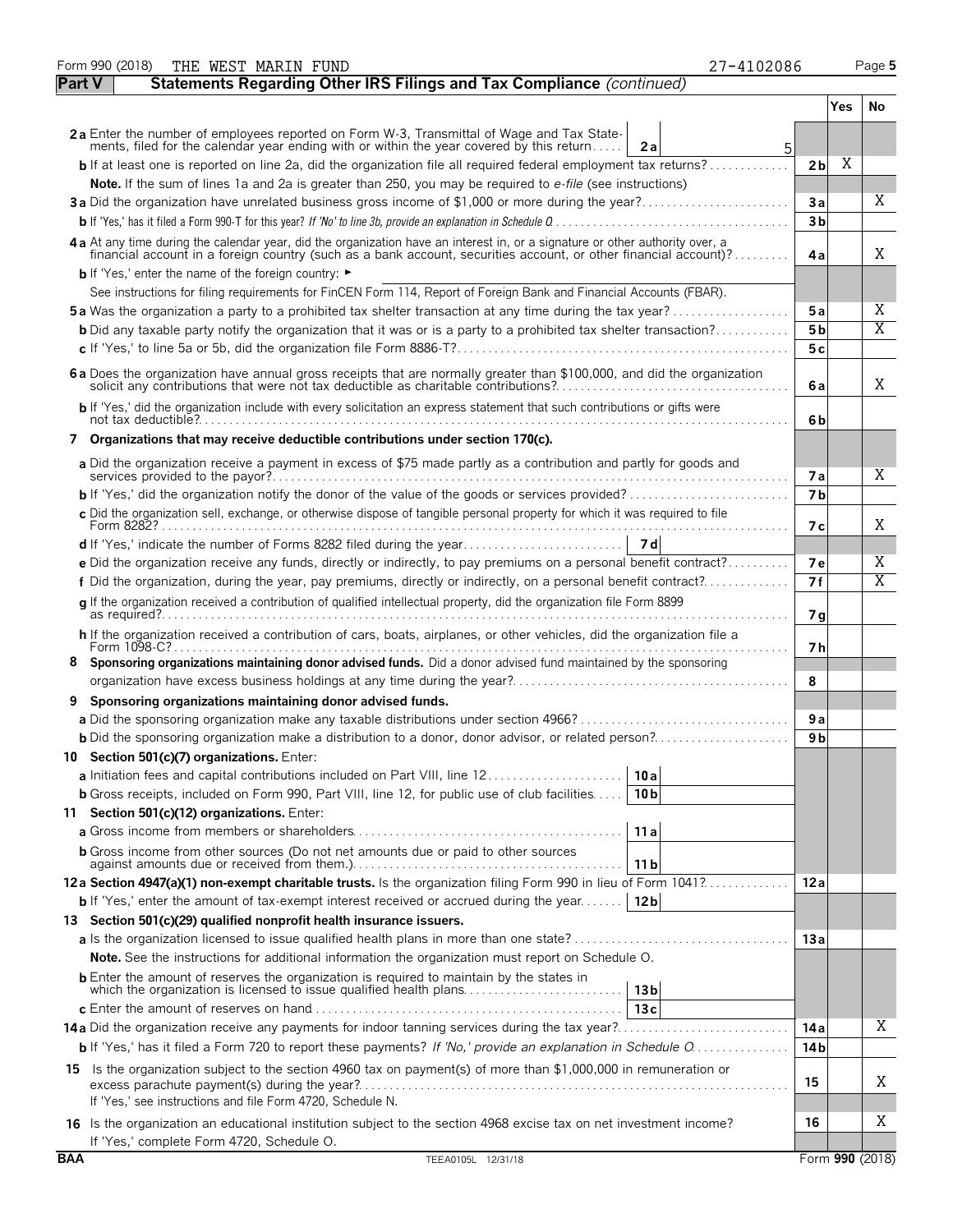|               | Form 990 (2018)<br>THE WEST MARIN FUND<br>27-4102086                                                                                                                                                                                         |                 |     | Page 5          |
|---------------|----------------------------------------------------------------------------------------------------------------------------------------------------------------------------------------------------------------------------------------------|-----------------|-----|-----------------|
| <b>Part V</b> | Statements Regarding Other IRS Filings and Tax Compliance (continued)                                                                                                                                                                        |                 |     |                 |
|               |                                                                                                                                                                                                                                              |                 | Yes | No.             |
|               | 2a Enter the number of employees reported on Form W-3, Transmittal of Wage and Tax State-<br>ments, filed for the calendar year ending with or within the year covered by this return<br>2a<br>5                                             |                 |     |                 |
|               | <b>b</b> If at least one is reported on line 2a, did the organization file all required federal employment tax returns?                                                                                                                      | 2 <sub>b</sub>  | Χ   |                 |
|               | Note. If the sum of lines 1a and 2a is greater than 250, you may be required to e-file (see instructions)                                                                                                                                    |                 |     |                 |
|               | 3a Did the organization have unrelated business gross income of \$1,000 or more during the year?                                                                                                                                             | Зa              |     | X               |
|               |                                                                                                                                                                                                                                              | 3 <sub>b</sub>  |     |                 |
|               | 4 a At any time during the calendar year, did the organization have an interest in, or a signature or other authority over, a financial account in a foreign country (such as a bank account, securities account, or other fin               | 4a              |     | X               |
|               | <b>b</b> If 'Yes,' enter the name of the foreign country: $\blacktriangleright$                                                                                                                                                              |                 |     |                 |
|               | See instructions for filing requirements for FinCEN Form 114, Report of Foreign Bank and Financial Accounts (FBAR).                                                                                                                          |                 |     | Χ               |
|               | <b>5a</b> Was the organization a party to a prohibited tax shelter transaction at any time during the tax year?<br><b>b</b> Did any taxable party notify the organization that it was or is a party to a prohibited tax shelter transaction? | 5 a<br>5 b      |     | X               |
|               |                                                                                                                                                                                                                                              | 5 c             |     |                 |
|               |                                                                                                                                                                                                                                              |                 |     |                 |
|               | 6 a Does the organization have annual gross receipts that are normally greater than \$100,000, and did the organization solicit any contributions that were not tax deductible as charitable contributions?                                  | 6a              |     | X               |
|               | b If 'Yes,' did the organization include with every solicitation an express statement that such contributions or gifts were                                                                                                                  | 6b              |     |                 |
|               | 7 Organizations that may receive deductible contributions under section 170(c).                                                                                                                                                              |                 |     |                 |
|               | a Did the organization receive a payment in excess of \$75 made partly as a contribution and partly for goods and                                                                                                                            | 7 a             |     | Χ               |
|               |                                                                                                                                                                                                                                              | 7 <sub>b</sub>  |     |                 |
|               | c Did the organization sell, exchange, or otherwise dispose of tangible personal property for which it was required to file                                                                                                                  | 7 с             |     | X               |
|               |                                                                                                                                                                                                                                              |                 |     |                 |
|               | e Did the organization receive any funds, directly or indirectly, to pay premiums on a personal benefit contract?                                                                                                                            | 7е              |     | Χ               |
|               | f Did the organization, during the year, pay premiums, directly or indirectly, on a personal benefit contract?                                                                                                                               | 7f              |     | Χ               |
|               | g If the organization received a contribution of qualified intellectual property, did the organization file Form 8899                                                                                                                        | 7 <sub>q</sub>  |     |                 |
|               | h If the organization received a contribution of cars, boats, airplanes, or other vehicles, did the organization file a                                                                                                                      | 7 h             |     |                 |
| 8.            | Sponsoring organizations maintaining donor advised funds. Did a donor advised fund maintained by the sponsoring                                                                                                                              | 8               |     |                 |
| 9             | Sponsoring organizations maintaining donor advised funds.                                                                                                                                                                                    |                 |     |                 |
|               |                                                                                                                                                                                                                                              | 9 a             |     |                 |
|               | <b>b</b> Did the sponsoring organization make a distribution to a donor, donor advisor, or related person?                                                                                                                                   | 9 b             |     |                 |
|               | 10 Section 501(c)(7) organizations. Enter:                                                                                                                                                                                                   |                 |     |                 |
|               | a Initiation fees and capital contributions included on Part VIII, line 12<br>10 a                                                                                                                                                           |                 |     |                 |
|               | <b>b</b> Gross receipts, included on Form 990, Part VIII, line 12, for public use of club facilities<br>10 <sub>b</sub>                                                                                                                      |                 |     |                 |
|               | 11 Section 501(c)(12) organizations. Enter:                                                                                                                                                                                                  |                 |     |                 |
|               | 11a                                                                                                                                                                                                                                          |                 |     |                 |
|               | <b>b</b> Gross income from other sources (Do not net amounts due or paid to other sources<br>11 b                                                                                                                                            |                 |     |                 |
|               | 12a Section 4947(a)(1) non-exempt charitable trusts. Is the organization filing Form 990 in lieu of Form 1041?                                                                                                                               | 12 a            |     |                 |
|               | <b>b</b> If 'Yes,' enter the amount of tax-exempt interest received or accrued during the year<br>12 <sub>b</sub>                                                                                                                            |                 |     |                 |
|               | 13 Section 501(c)(29) qualified nonprofit health insurance issuers.                                                                                                                                                                          |                 |     |                 |
|               | <b>Note.</b> See the instructions for additional information the organization must report on Schedule O.                                                                                                                                     | 13 a            |     |                 |
|               |                                                                                                                                                                                                                                              |                 |     |                 |
|               | <b>b</b> Enter the amount of reserves the organization is required to maintain by the states in<br>which the organization is licensed to issue qualified health plans<br>13 <sub>b</sub><br>13c                                              |                 |     |                 |
|               |                                                                                                                                                                                                                                              | 14 a            |     | Χ               |
|               | b If 'Yes,' has it filed a Form 720 to report these payments? If 'No,' provide an explanation in Schedule O                                                                                                                                  | 14 <sub>b</sub> |     |                 |
|               |                                                                                                                                                                                                                                              |                 |     |                 |
|               | 15 Is the organization subject to the section 4960 tax on payment(s) of more than \$1,000,000 in remuneration or<br>If 'Yes,' see instructions and file Form 4720, Schedule N.                                                               | 15              |     | Χ               |
|               | 16 Is the organization an educational institution subject to the section 4968 excise tax on net investment income?                                                                                                                           | 16              |     | Χ               |
|               | If 'Yes,' complete Form 4720, Schedule O.                                                                                                                                                                                                    |                 |     |                 |
| <b>BAA</b>    | TEEA0105L 12/31/18                                                                                                                                                                                                                           |                 |     | Form 990 (2018) |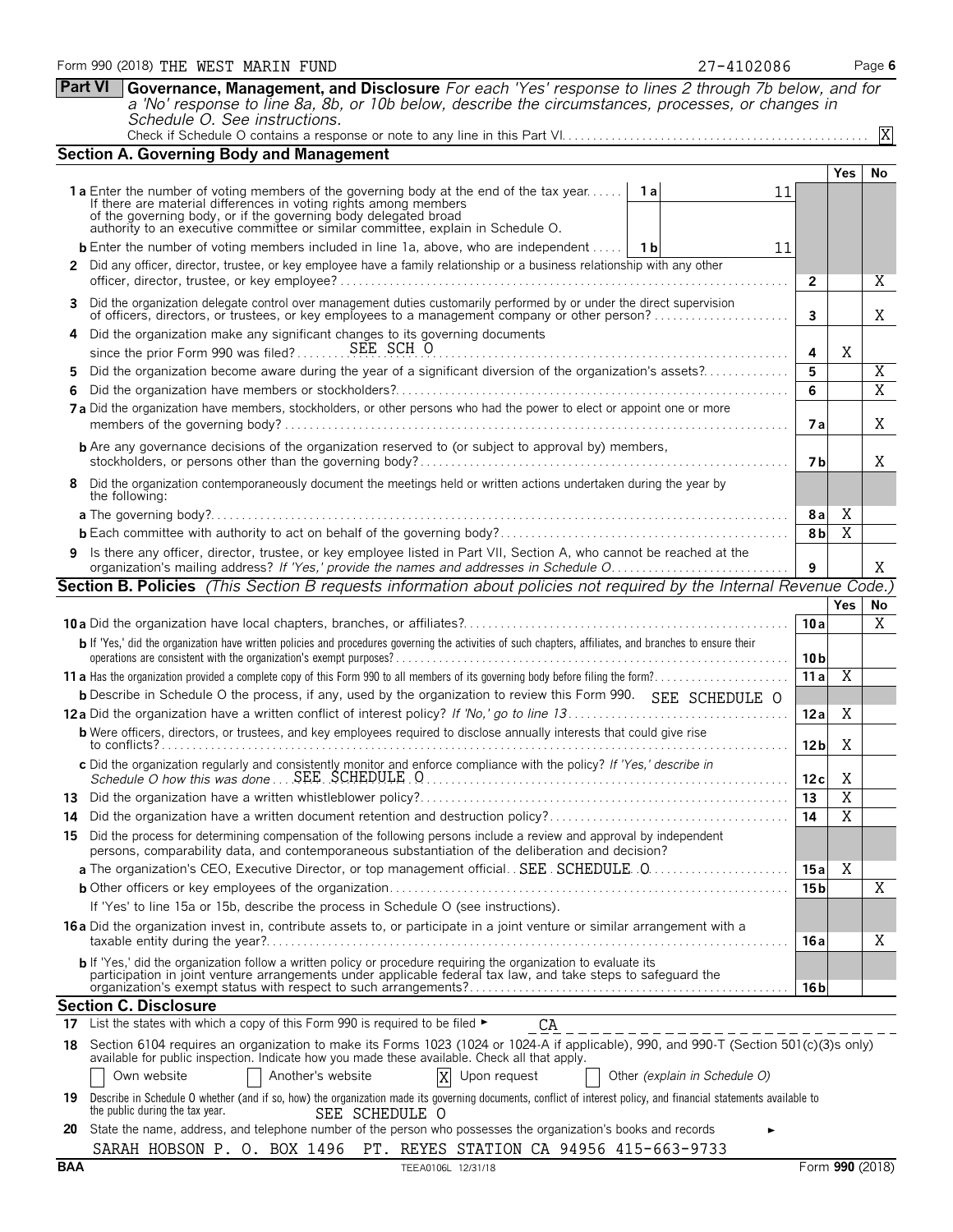| 2          | Did any officer, director, trustee, or key employee have a family relationship or a business relationship with any other                                                                                                                  | 2               |                 | Χ  |
|------------|-------------------------------------------------------------------------------------------------------------------------------------------------------------------------------------------------------------------------------------------|-----------------|-----------------|----|
| 3          | Did the organization delegate control over management duties customarily performed by or under the direct supervision<br>of officers, directors, or trustees, or key employees to a management company or other person?                   | 3               |                 | Χ  |
| 4          | Did the organization make any significant changes to its governing documents<br>since the prior Form 990 was filed? SEE_SCH_O                                                                                                             | 4               | Χ               |    |
| 5          | Did the organization become aware during the year of a significant diversion of the organization's assets?                                                                                                                                | 5               |                 | Χ  |
| 6          |                                                                                                                                                                                                                                           | 6               |                 | X  |
|            | 7a Did the organization have members, stockholders, or other persons who had the power to elect or appoint one or more                                                                                                                    |                 |                 |    |
|            |                                                                                                                                                                                                                                           | 7 a             |                 | X  |
|            | <b>b</b> Are any governance decisions of the organization reserved to (or subject to approval by) members,                                                                                                                                | 7 b             |                 | X  |
| 8          | Did the organization contemporaneously document the meetings held or written actions undertaken during the year by<br>the following:                                                                                                      |                 |                 |    |
|            |                                                                                                                                                                                                                                           | 8а              | Χ               |    |
|            |                                                                                                                                                                                                                                           | 8 <sub>b</sub>  | $\overline{X}$  |    |
| 9          | Is there any officer, director, trustee, or key employee listed in Part VII, Section A, who cannot be reached at the                                                                                                                      | 9               |                 | Χ  |
|            | Section B. Policies (This Section B requests information about policies not required by the Internal Revenue Code.)                                                                                                                       |                 |                 |    |
|            |                                                                                                                                                                                                                                           |                 | Yes I           | No |
|            |                                                                                                                                                                                                                                           | 10a             |                 | Χ  |
|            | b If 'Yes,' did the organization have written policies and procedures governing the activities of such chapters, affiliates, and branches to ensure their                                                                                 | 10 <sub>b</sub> |                 |    |
|            |                                                                                                                                                                                                                                           | 11a             | Χ               |    |
|            | <b>b</b> Describe in Schedule O the process, if any, used by the organization to review this Form 990. SEE SCHEDULE O                                                                                                                     |                 |                 |    |
|            |                                                                                                                                                                                                                                           | 12a             | Χ               |    |
|            | <b>b</b> Were officers, directors, or trustees, and key employees required to disclose annually interests that could give rise                                                                                                            |                 |                 |    |
|            |                                                                                                                                                                                                                                           | 12 <sub>b</sub> | Χ               |    |
|            | c Did the organization regularly and consistently monitor and enforce compliance with the policy? If 'Yes,' describe in<br>Schedule O how this was done SEE SCHEDULE 0                                                                    | 12c             | Χ               |    |
|            |                                                                                                                                                                                                                                           | 13              | Χ               |    |
| 14         | Did the organization have a written document retention and destruction policy?                                                                                                                                                            | 14              | Χ               |    |
| 15         | Did the process for determining compensation of the following persons include a review and approval by independent<br>persons, comparability data, and contemporaneous substantiation of the deliberation and decision?                   |                 |                 |    |
|            |                                                                                                                                                                                                                                           | 15a             | Χ               |    |
|            |                                                                                                                                                                                                                                           | 15 <sub>b</sub> |                 | Χ  |
|            | If 'Yes' to line 15a or 15b, describe the process in Schedule O (see instructions).                                                                                                                                                       |                 |                 |    |
|            | 16 a Did the organization invest in, contribute assets to, or participate in a joint venture or similar arrangement with a                                                                                                                | 16 a            |                 | Χ  |
|            | <b>b</b> If 'Yes,' did the organization follow a written policy or procedure requiring the organization to evaluate its<br>participation in joint venture arrangements under applicable federal tax law, and take steps to safeguard the  |                 |                 |    |
|            |                                                                                                                                                                                                                                           | 16 b            |                 |    |
| 17         | <b>Section C. Disclosure</b><br>List the states with which a copy of this Form 990 is required to be filed ►                                                                                                                              |                 |                 |    |
|            | CA                                                                                                                                                                                                                                        |                 |                 |    |
|            | 18 Section 6104 requires an organization to make its Forms 1023 (1024 or 1024-A if applicable), 990, and 990-T (Section 501(c)(3)s only)<br>available for public inspection. Indicate how you made these available. Check all that apply. |                 |                 |    |
|            | Own website<br>Another's website<br>Upon request<br>Other (explain in Schedule O)<br>X                                                                                                                                                    |                 |                 |    |
|            | 19 Describe in Schedule O whether (and if so, how) the organization made its governing documents, conflict of interest policy, and financial statements available to<br>the public during the tax year.<br>SEE SCHEDULE O                 |                 |                 |    |
|            | 20 State the name, address, and telephone number of the person who possesses the organization's books and records                                                                                                                         |                 |                 |    |
|            | SARAH HOBSON P. O. BOX 1496<br>PT. REYES STATION CA 94956 415-663-9733                                                                                                                                                                    |                 |                 |    |
| <b>BAA</b> | TEEA0106L 12/31/18                                                                                                                                                                                                                        |                 | Form 990 (2018) |    |

**Section A. Governing Body and Management**

**Part VI Governance, Management, and Disclosure** *For each 'Yes' response to lines 2 through 7b below, and for a 'No' response to line 8a, 8b, or 10b below, describe the circumstances, processes, or changes in Schedule O. See instructions.*

| Check if Schedule O contains a response or note to any line in this Part VI |  |  |
|-----------------------------------------------------------------------------|--|--|

authority to an executive committee or similar committee, explain in Schedule O.

1 **a** Enter the number of voting members of the governing body at the end of the tax year...... 1 **a**<br>If there are material differences in voting rights among members<br>of the governing body, or if the governing body delegat

**b** Enter the number of voting members included in line 1a, above, who are independent..... 1 **1b** 

**Yes No**

X

Check if Schedule O contains a response or note to any line in this Part VI. . . . . . . . . . . . . . . . . . . . . . . . . . . . . . . . . . . . . . . . . . . . . . . . . .

11

11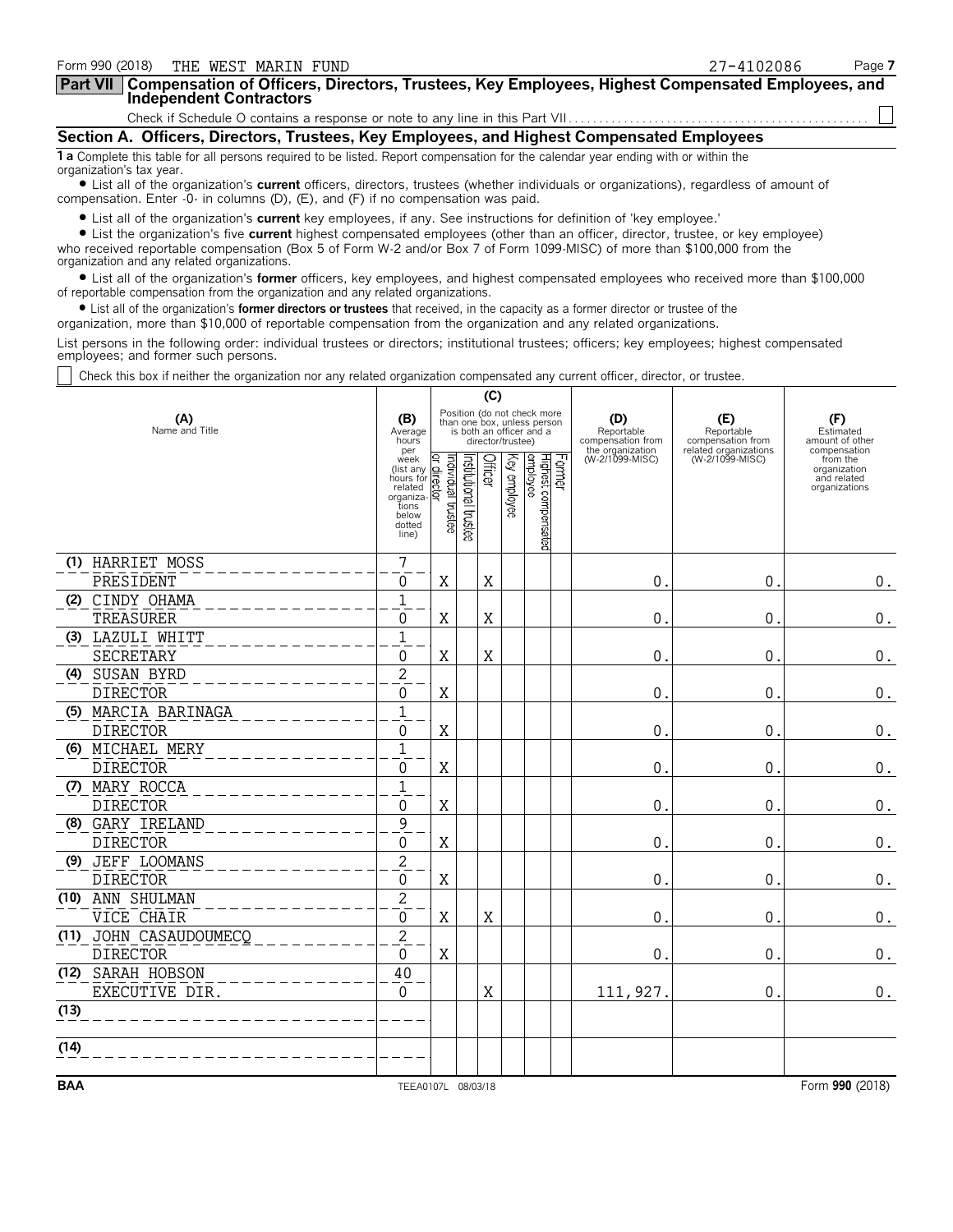| Form 990 (2018)<br>THE WEST MARIN FUND                                                                                                                                                                                                                                                                                                                                                                                                  | 27-4102086 | Page 7 |
|-----------------------------------------------------------------------------------------------------------------------------------------------------------------------------------------------------------------------------------------------------------------------------------------------------------------------------------------------------------------------------------------------------------------------------------------|------------|--------|
| Part VII   Compensation of Officers, Directors, Trustees, Key Employees, Highest Compensated Employees, and<br><b>Independent Contractors</b>                                                                                                                                                                                                                                                                                           |            |        |
|                                                                                                                                                                                                                                                                                                                                                                                                                                         |            |        |
| Section A. Officers, Directors, Trustees, Key Employees, and Highest Compensated Employees                                                                                                                                                                                                                                                                                                                                              |            |        |
| 1 a Complete this table for all persons required to be listed. Report compensation for the calendar year ending with or within the<br>organization's tax year.<br>• List all of the organization's current officers, directors, trustees (whether individuals or organizations), regardless of amount of<br>compensation. Enter -0- in columns (D), (E), and (F) if no compensation was paid.                                           |            |        |
| • List all of the organization's <b>current</b> key employees, if any. See instructions for definition of 'key employee.'<br>• List the organization's five current highest compensated employees (other than an officer, director, trustee, or key employee)<br>who received reportable compensation (Box 5 of Form W-2 and/or Box 7 of Form 1099-MISC) of more than \$100,000 from the<br>organization and any related organizations. |            |        |

? List all of the organization's **former** officers, key employees, and highest compensated employees who received more than \$100,000 of reportable compensation from the organization and any related organizations.

? List all of the organization's **former directors or trustees** that received, in the capacity as a former director or trustee of the

organization, more than \$10,000 of reportable compensation from the organization and any related organizations.

List persons in the following order: individual trustees or directors; institutional trustees; officers; key employees; highest compensated employees; and former such persons.

Check this box if neither the organization nor any related organization compensated any current officer, director, or trustee.

|            |                        |                                                                                                   | (C)                              |                       |         |                   |                                                                                        |               |                                                            |                                          |                                                          |
|------------|------------------------|---------------------------------------------------------------------------------------------------|----------------------------------|-----------------------|---------|-------------------|----------------------------------------------------------------------------------------|---------------|------------------------------------------------------------|------------------------------------------|----------------------------------------------------------|
|            | (A)<br>Name and Title  |                                                                                                   |                                  |                       |         | director/trustee) | Position (do not check more<br>than one box, unless person<br>is both an officer and a |               | (D)<br>Reportable<br>compensation from<br>the organization | (E)<br>Reportable<br>compensation from   | (F)<br>Estimated<br>amount of other<br>compensation      |
|            |                        | per<br>week<br>(list any<br>hours for<br>related<br>organiza<br>tions<br>below<br>dotted<br>line) | əətsut laubivibni<br>qirect<br>ই | Institutional trustee | Officer | Key employee      | Highest compensated<br>employee                                                        | <b>Former</b> | (W-2/1099-MISC)                                            | related organizations<br>(W-2/1099-MISC) | from the<br>organization<br>and related<br>organizations |
|            | (1) HARRIET MOSS       | $\overline{7}$                                                                                    |                                  |                       |         |                   |                                                                                        |               |                                                            |                                          |                                                          |
|            | PRESIDENT              | $\Omega$                                                                                          | $\mathbf X$                      |                       | X       |                   |                                                                                        |               | $\mathbf 0$                                                | $\mathbf 0$                              | 0.                                                       |
|            | (2) CINDY OHAMA        | $\mathbf{1}$                                                                                      |                                  |                       |         |                   |                                                                                        |               |                                                            |                                          |                                                          |
|            | TREASURER              | $\Omega$                                                                                          | X                                |                       | X       |                   |                                                                                        |               | $\mathbf 0$                                                | $\pmb{0}$                                | $\boldsymbol{0}$ .                                       |
|            | (3) LAZULI WHITT       | $\mathbf{1}$                                                                                      |                                  |                       |         |                   |                                                                                        |               |                                                            |                                          |                                                          |
|            | SECRETARY              | $\Omega$                                                                                          | X                                |                       | X       |                   |                                                                                        |               | 0                                                          | 0                                        | $0$ .                                                    |
|            | (4) SUSAN BYRD         | $\sqrt{2}$                                                                                        |                                  |                       |         |                   |                                                                                        |               |                                                            |                                          |                                                          |
|            | <b>DIRECTOR</b>        | $\Omega$                                                                                          | $\mathbf X$                      |                       |         |                   |                                                                                        |               | $\mathbf 0$                                                | $\mathbf 0$                              | $\boldsymbol{0}$ .                                       |
|            | (5) MARCIA BARINAGA    | $\mathbf{1}$                                                                                      |                                  |                       |         |                   |                                                                                        |               |                                                            |                                          |                                                          |
|            | <b>DIRECTOR</b>        | $\Omega$                                                                                          | X                                |                       |         |                   |                                                                                        |               | $\mathbf 0$                                                | $\mathbf 0$                              | 0.                                                       |
|            | (6) MICHAEL MERY       | $\mathbf{1}$                                                                                      |                                  |                       |         |                   |                                                                                        |               |                                                            |                                          |                                                          |
|            | <b>DIRECTOR</b>        | $\Omega$                                                                                          | X                                |                       |         |                   |                                                                                        |               | $\mathbf 0$                                                | $\mathbf 0$                              | $\boldsymbol{0}$ .                                       |
|            | (7) MARY ROCCA         | $\overline{1}$                                                                                    |                                  |                       |         |                   |                                                                                        |               |                                                            |                                          |                                                          |
|            | <b>DIRECTOR</b>        | 0                                                                                                 | Χ                                |                       |         |                   |                                                                                        |               | $\mathbf 0$                                                | $\mathbf 0$                              | $\boldsymbol{0}$ .                                       |
|            | (8) GARY IRELAND       | 9                                                                                                 |                                  |                       |         |                   |                                                                                        |               |                                                            |                                          |                                                          |
|            | <b>DIRECTOR</b>        | $\Omega$                                                                                          | X                                |                       |         |                   |                                                                                        |               | 0                                                          | 0                                        | $\boldsymbol{0}$ .                                       |
|            | (9) JEFF LOOMANS       | $\overline{2}$                                                                                    |                                  |                       |         |                   |                                                                                        |               |                                                            |                                          |                                                          |
|            | <b>DIRECTOR</b>        | 0                                                                                                 | $\rm X$                          |                       |         |                   |                                                                                        |               | $\mathbf 0$                                                | $\mathbf 0$                              | $\boldsymbol{0}$ .                                       |
|            | (10) ANN SHULMAN       | $\overline{2}$                                                                                    |                                  |                       |         |                   |                                                                                        |               |                                                            |                                          |                                                          |
|            | VICE CHAIR             | $\Omega$                                                                                          | X                                |                       | X       |                   |                                                                                        |               | $\mathbf 0$                                                | $\mathbf{0}$                             | $\boldsymbol{0}$ .                                       |
|            | (11) JOHN CASAUDOUMECQ | $\overline{2}$                                                                                    |                                  |                       |         |                   |                                                                                        |               |                                                            |                                          |                                                          |
|            | <b>DIRECTOR</b>        | $\mathbf{0}$                                                                                      | X                                |                       |         |                   |                                                                                        |               | $\mathbf 0$                                                | $\mathbf 0$ .                            | $0$ .                                                    |
|            | (12) SARAH HOBSON      | 40                                                                                                |                                  |                       |         |                   |                                                                                        |               |                                                            |                                          |                                                          |
|            | EXECUTIVE DIR.         | $\Omega$                                                                                          |                                  |                       | X       |                   |                                                                                        |               | 111,927.                                                   | $\mathbf{0}$ .                           | $\boldsymbol{0}$ .                                       |
| (13)       |                        |                                                                                                   |                                  |                       |         |                   |                                                                                        |               |                                                            |                                          |                                                          |
| (14)       |                        |                                                                                                   |                                  |                       |         |                   |                                                                                        |               |                                                            |                                          |                                                          |
| <b>BAA</b> |                        | TEEA0107L 08/03/18                                                                                |                                  |                       |         |                   |                                                                                        |               |                                                            |                                          | Form 990 (2018)                                          |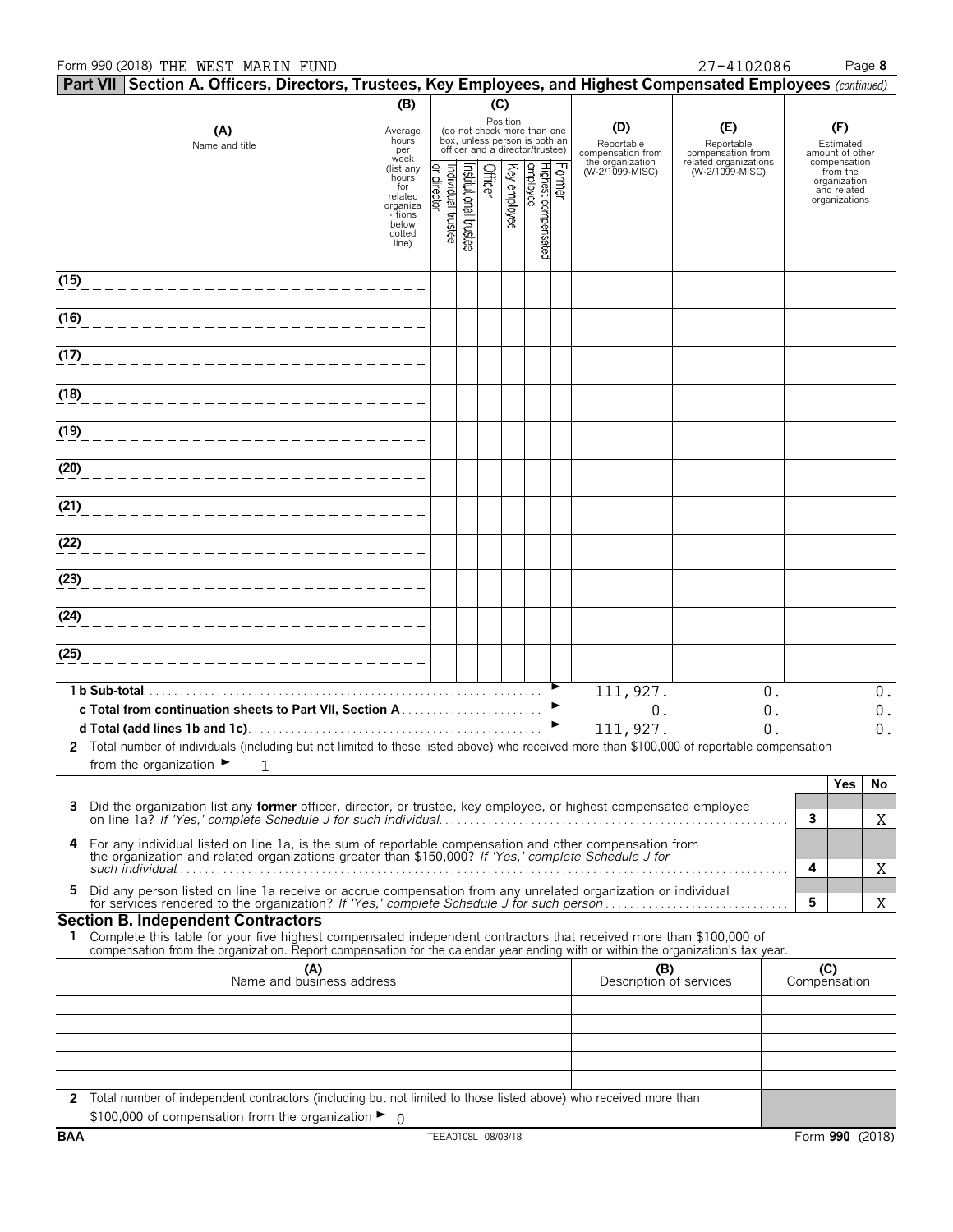#### Form 990 (2018) Page **8** THE WEST MARIN FUND 27-4102086

|                                                                    | Part VII Section A. Officers, Directors, Trustees, Key Employees, and Highest Compensated Employees (continued)                                                                                                                                        |                                                                                         |                                  |                      |         |              |                                                                                                 |                     |                                        |                                          |   |                                                                          |                    |
|--------------------------------------------------------------------|--------------------------------------------------------------------------------------------------------------------------------------------------------------------------------------------------------------------------------------------------------|-----------------------------------------------------------------------------------------|----------------------------------|----------------------|---------|--------------|-------------------------------------------------------------------------------------------------|---------------------|----------------------------------------|------------------------------------------|---|--------------------------------------------------------------------------|--------------------|
|                                                                    |                                                                                                                                                                                                                                                        | (B)                                                                                     |                                  |                      | (C)     |              |                                                                                                 |                     |                                        |                                          |   |                                                                          |                    |
|                                                                    | (A)<br>Name and title                                                                                                                                                                                                                                  | Average<br>hours<br>per<br>week                                                         |                                  |                      |         | Position     | (do not check more than one<br>box, unless person is both an<br>officer and a director/trustee) |                     | (D)<br>Reportable<br>compensation from | (E)<br>Reportable<br>compensation from   |   | (F)<br>Estimated<br>amount of other                                      |                    |
|                                                                    |                                                                                                                                                                                                                                                        | (list any<br>hours<br>for<br>related<br>organiza<br>- tions<br>below<br>dotted<br>line) | or director<br>ndividual trustee | nstitutional trustee | Officer | Key employee | Highest compensated<br>employee                                                                 | Former              | the organization<br>(W-2/1099-MISC)    | related organizations<br>(W-2/1099-MISC) |   | compensation<br>from the<br>organization<br>and related<br>organizations |                    |
| (15)                                                               |                                                                                                                                                                                                                                                        |                                                                                         |                                  |                      |         |              |                                                                                                 |                     |                                        |                                          |   |                                                                          |                    |
| (16)                                                               |                                                                                                                                                                                                                                                        |                                                                                         |                                  |                      |         |              |                                                                                                 |                     |                                        |                                          |   |                                                                          |                    |
| (17)                                                               |                                                                                                                                                                                                                                                        |                                                                                         |                                  |                      |         |              |                                                                                                 |                     |                                        |                                          |   |                                                                          |                    |
| (18)                                                               |                                                                                                                                                                                                                                                        |                                                                                         |                                  |                      |         |              |                                                                                                 |                     |                                        |                                          |   |                                                                          |                    |
| (19)                                                               |                                                                                                                                                                                                                                                        |                                                                                         |                                  |                      |         |              |                                                                                                 |                     |                                        |                                          |   |                                                                          |                    |
| (20)                                                               |                                                                                                                                                                                                                                                        |                                                                                         |                                  |                      |         |              |                                                                                                 |                     |                                        |                                          |   |                                                                          |                    |
| (21)                                                               |                                                                                                                                                                                                                                                        |                                                                                         |                                  |                      |         |              |                                                                                                 |                     |                                        |                                          |   |                                                                          |                    |
| (22)                                                               |                                                                                                                                                                                                                                                        |                                                                                         |                                  |                      |         |              |                                                                                                 |                     |                                        |                                          |   |                                                                          |                    |
| (23)                                                               |                                                                                                                                                                                                                                                        |                                                                                         |                                  |                      |         |              |                                                                                                 |                     |                                        |                                          |   |                                                                          |                    |
| (24)                                                               |                                                                                                                                                                                                                                                        |                                                                                         |                                  |                      |         |              |                                                                                                 |                     |                                        |                                          |   |                                                                          |                    |
| (25)                                                               |                                                                                                                                                                                                                                                        |                                                                                         |                                  |                      |         |              |                                                                                                 |                     |                                        |                                          |   |                                                                          |                    |
|                                                                    | 1 b Sub-total.                                                                                                                                                                                                                                         |                                                                                         |                                  |                      |         |              |                                                                                                 | ►                   | 111,927.                               | $0$ .                                    |   |                                                                          | 0.                 |
|                                                                    |                                                                                                                                                                                                                                                        |                                                                                         |                                  |                      |         |              |                                                                                                 |                     | $0$ .                                  | 0.                                       |   |                                                                          | $0$ .              |
|                                                                    | 2 Total number of individuals (including but not limited to those listed above) who received more than \$100,000 of reportable compensation                                                                                                            |                                                                                         |                                  |                      |         |              |                                                                                                 |                     | 111,927.                               | $\mathbf{0}$ .                           |   |                                                                          | $\boldsymbol{0}$ . |
|                                                                    | from the organization $\blacktriangleright$<br>1                                                                                                                                                                                                       |                                                                                         |                                  |                      |         |              |                                                                                                 |                     |                                        |                                          |   |                                                                          |                    |
|                                                                    |                                                                                                                                                                                                                                                        |                                                                                         |                                  |                      |         |              |                                                                                                 |                     |                                        |                                          |   | <b>Yes</b>                                                               | No                 |
| 3.                                                                 | Did the organization list any former officer, director, or trustee, key employee, or highest compensated employee                                                                                                                                      |                                                                                         |                                  |                      |         |              |                                                                                                 |                     |                                        |                                          | 3 |                                                                          | Χ                  |
| 4                                                                  | For any individual listed on line 1a, is the sum of reportable compensation and other compensation from<br>the organization and related organizations greater than \$150,000? If 'Yes,' complete Schedule J for                                        |                                                                                         |                                  |                      |         |              |                                                                                                 |                     |                                        |                                          | 4 |                                                                          | Χ                  |
| 5.                                                                 | Did any person listed on line 1a receive or accrue compensation from any unrelated organization or individual                                                                                                                                          |                                                                                         |                                  |                      |         |              |                                                                                                 |                     |                                        |                                          | 5 |                                                                          | Χ                  |
|                                                                    | <b>Section B. Independent Contractors</b>                                                                                                                                                                                                              |                                                                                         |                                  |                      |         |              |                                                                                                 |                     |                                        |                                          |   |                                                                          |                    |
|                                                                    | Complete this table for your five highest compensated independent contractors that received more than \$100,000 of<br>compensation from the organization. Report compensation for the calendar year ending with or within the organization's tax year. |                                                                                         |                                  |                      |         |              |                                                                                                 |                     |                                        |                                          |   |                                                                          |                    |
| (A)<br>Name and business address<br>(B)<br>Description of services |                                                                                                                                                                                                                                                        |                                                                                         |                                  |                      |         |              |                                                                                                 | (C)<br>Compensation |                                        |                                          |   |                                                                          |                    |
|                                                                    |                                                                                                                                                                                                                                                        |                                                                                         |                                  |                      |         |              |                                                                                                 |                     |                                        |                                          |   |                                                                          |                    |
|                                                                    |                                                                                                                                                                                                                                                        |                                                                                         |                                  |                      |         |              |                                                                                                 |                     |                                        |                                          |   |                                                                          |                    |
|                                                                    |                                                                                                                                                                                                                                                        |                                                                                         |                                  |                      |         |              |                                                                                                 |                     |                                        |                                          |   |                                                                          |                    |
|                                                                    |                                                                                                                                                                                                                                                        |                                                                                         |                                  |                      |         |              |                                                                                                 |                     |                                        |                                          |   |                                                                          |                    |
|                                                                    | 2 Total number of independent contractors (including but not limited to those listed above) who received more than<br>\$100,000 of compensation from the organization ► 0                                                                              |                                                                                         |                                  |                      |         |              |                                                                                                 |                     |                                        |                                          |   |                                                                          |                    |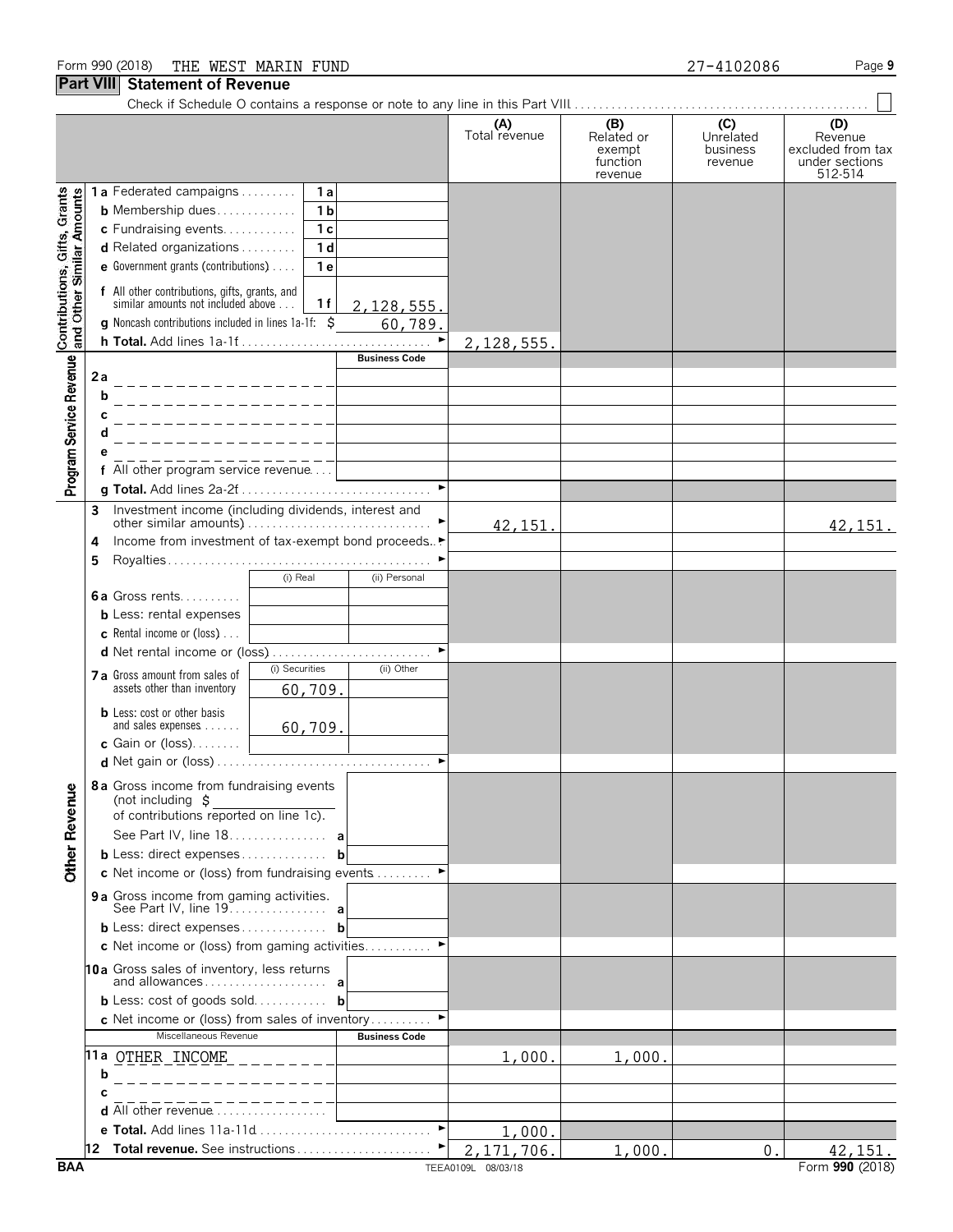### **Part VIII Statement of Revenue**

Check if Schedule O contains a response or note to a

|                      | any line in this Part VIII |                                                    |                                         |                                                                  |  |  |  |  |  |  |  |  |  |
|----------------------|----------------------------|----------------------------------------------------|-----------------------------------------|------------------------------------------------------------------|--|--|--|--|--|--|--|--|--|
|                      | (A)<br>Total revenue       | (B)<br>Related or<br>exempt<br>function<br>revenue | (C)<br>Unrelated<br>business<br>revenue | (D)<br>Revenue<br>excluded from tax<br>under sections<br>512-514 |  |  |  |  |  |  |  |  |  |
|                      |                            |                                                    |                                         |                                                                  |  |  |  |  |  |  |  |  |  |
|                      |                            |                                                    |                                         |                                                                  |  |  |  |  |  |  |  |  |  |
|                      |                            |                                                    |                                         |                                                                  |  |  |  |  |  |  |  |  |  |
|                      |                            |                                                    |                                         |                                                                  |  |  |  |  |  |  |  |  |  |
| $\ddot{\phantom{1}}$ | 2,128,555.                 |                                                    |                                         |                                                                  |  |  |  |  |  |  |  |  |  |
|                      |                            |                                                    |                                         |                                                                  |  |  |  |  |  |  |  |  |  |
|                      |                            |                                                    |                                         |                                                                  |  |  |  |  |  |  |  |  |  |
|                      |                            |                                                    |                                         |                                                                  |  |  |  |  |  |  |  |  |  |
|                      |                            |                                                    |                                         |                                                                  |  |  |  |  |  |  |  |  |  |
|                      |                            |                                                    |                                         |                                                                  |  |  |  |  |  |  |  |  |  |
|                      |                            |                                                    |                                         |                                                                  |  |  |  |  |  |  |  |  |  |

|                                                           |    | 1a Federated campaigns                                                                    |                | 1 a            |                       |                    |       |                |                 |
|-----------------------------------------------------------|----|-------------------------------------------------------------------------------------------|----------------|----------------|-----------------------|--------------------|-------|----------------|-----------------|
|                                                           |    | <b>b</b> Membership dues                                                                  |                | 1 <sub>b</sub> |                       |                    |       |                |                 |
|                                                           |    | c Fundraising events                                                                      |                | 1 <sub>c</sub> |                       |                    |       |                |                 |
|                                                           |    | d Related organizations                                                                   |                | 1 <sub>d</sub> |                       |                    |       |                |                 |
|                                                           |    | e Government grants (contributions)                                                       |                | 1 e            |                       |                    |       |                |                 |
| Contributions, Gifts, Grants<br>and Other Similar Amounts |    | f All other contributions, gifts, grants, and<br>similar amounts not included above       |                | 1 f            | 2, 128, 555.          |                    |       |                |                 |
|                                                           |    | g Noncash contributions included in lines 1a-1f: \$                                       |                |                | 60,789.               |                    |       |                |                 |
|                                                           |    |                                                                                           |                |                | $\blacktriangleright$ | 2, 128, 555.       |       |                |                 |
|                                                           |    |                                                                                           |                |                | <b>Business Code</b>  |                    |       |                |                 |
|                                                           | 2a | _______________                                                                           |                |                |                       |                    |       |                |                 |
|                                                           | b  |                                                                                           |                |                |                       |                    |       |                |                 |
|                                                           | С  |                                                                                           |                |                |                       |                    |       |                |                 |
|                                                           | d  | _______________                                                                           |                |                |                       |                    |       |                |                 |
|                                                           | е  |                                                                                           |                |                |                       |                    |       |                |                 |
|                                                           |    | . <b>.</b><br>f All other program service revenue                                         |                |                |                       |                    |       |                |                 |
| Program Service Revenue                                   |    |                                                                                           |                |                |                       |                    |       |                |                 |
|                                                           | 3  | Investment income (including dividends, interest and                                      |                |                |                       |                    |       |                |                 |
|                                                           |    |                                                                                           |                |                |                       | 42, 151.           |       |                | 42,151.         |
|                                                           | 4  | Income from investment of tax-exempt bond proceeds▶                                       |                |                |                       |                    |       |                |                 |
|                                                           | 5  |                                                                                           |                |                |                       |                    |       |                |                 |
|                                                           |    |                                                                                           | (i) Real       |                | (ii) Personal         |                    |       |                |                 |
|                                                           |    | 6a Gross rents                                                                            |                |                |                       |                    |       |                |                 |
|                                                           |    | <b>b</b> Less: rental expenses                                                            |                |                |                       |                    |       |                |                 |
|                                                           |    | <b>c</b> Rental income or (loss) $\ldots$                                                 |                |                |                       |                    |       |                |                 |
|                                                           |    |                                                                                           |                |                |                       |                    |       |                |                 |
|                                                           |    | 7 a Gross amount from sales of                                                            | (i) Securities |                | (ii) Other            |                    |       |                |                 |
|                                                           |    | assets other than inventory                                                               |                | 60,709.        |                       |                    |       |                |                 |
|                                                           |    | <b>b</b> Less: cost or other basis                                                        |                |                |                       |                    |       |                |                 |
|                                                           |    | and sales expenses                                                                        |                | 60, 709.       |                       |                    |       |                |                 |
|                                                           |    | c Gain or (loss). $\ldots$                                                                |                |                |                       |                    |       |                |                 |
|                                                           |    |                                                                                           |                |                |                       |                    |       |                |                 |
|                                                           |    | 8a Gross income from fundraising events                                                   |                |                |                       |                    |       |                |                 |
|                                                           |    | (not including $\sharp$<br>of contributions reported on line 1c).                         |                |                |                       |                    |       |                |                 |
|                                                           |    | See Part IV, line 18. a                                                                   |                |                |                       |                    |       |                |                 |
|                                                           |    | b Less: direct expenses b                                                                 |                |                |                       |                    |       |                |                 |
| <b>Other Revenue</b>                                      |    | c Net income or (loss) from fundraising events                                            |                |                |                       |                    |       |                |                 |
|                                                           |    |                                                                                           |                |                |                       |                    |       |                |                 |
|                                                           |    | <b>9a</b> Gross income from gaming activities.                                            |                |                |                       |                    |       |                |                 |
|                                                           |    | b Less: direct expenses                                                                   |                |                | b                     |                    |       |                |                 |
|                                                           |    | <b>c</b> Net income or (loss) from gaming activities                                      |                |                |                       |                    |       |                |                 |
|                                                           |    | 10a Gross sales of inventory, less returns                                                |                |                |                       |                    |       |                |                 |
|                                                           |    | <b>b</b> Less: cost of goods sold <b>b</b>                                                |                |                |                       |                    |       |                |                 |
|                                                           |    | <b>c</b> Net income or (loss) from sales of inventory                                     |                |                |                       |                    |       |                |                 |
|                                                           |    | Miscellaneous Revenue                                                                     |                |                | <b>Business Code</b>  |                    |       |                |                 |
|                                                           |    | 11a OTHER INCOME                                                                          |                |                |                       | 1,000              | 1,000 |                |                 |
|                                                           | b  |                                                                                           |                |                |                       |                    |       |                |                 |
|                                                           |    |                                                                                           |                |                |                       |                    |       |                |                 |
|                                                           |    | <b>d</b> All other revenue $\ldots$ , $\ldots$                                            |                |                |                       |                    |       |                |                 |
|                                                           |    | <b>e Total.</b> Add lines $11a \cdot 11d \dots \dots \dots \dots \dots \dots \dots \dots$ |                |                |                       | 1,000              |       |                |                 |
|                                                           |    | <b>12 Total revenue.</b> See instructions                                                 |                |                |                       | 2, 171, 706        | 1,000 | $\mathbf{0}$ . | 42, 151.        |
| <b>BAA</b>                                                |    |                                                                                           |                |                |                       | TEEA0109L 08/03/18 |       |                | Form 990 (2018) |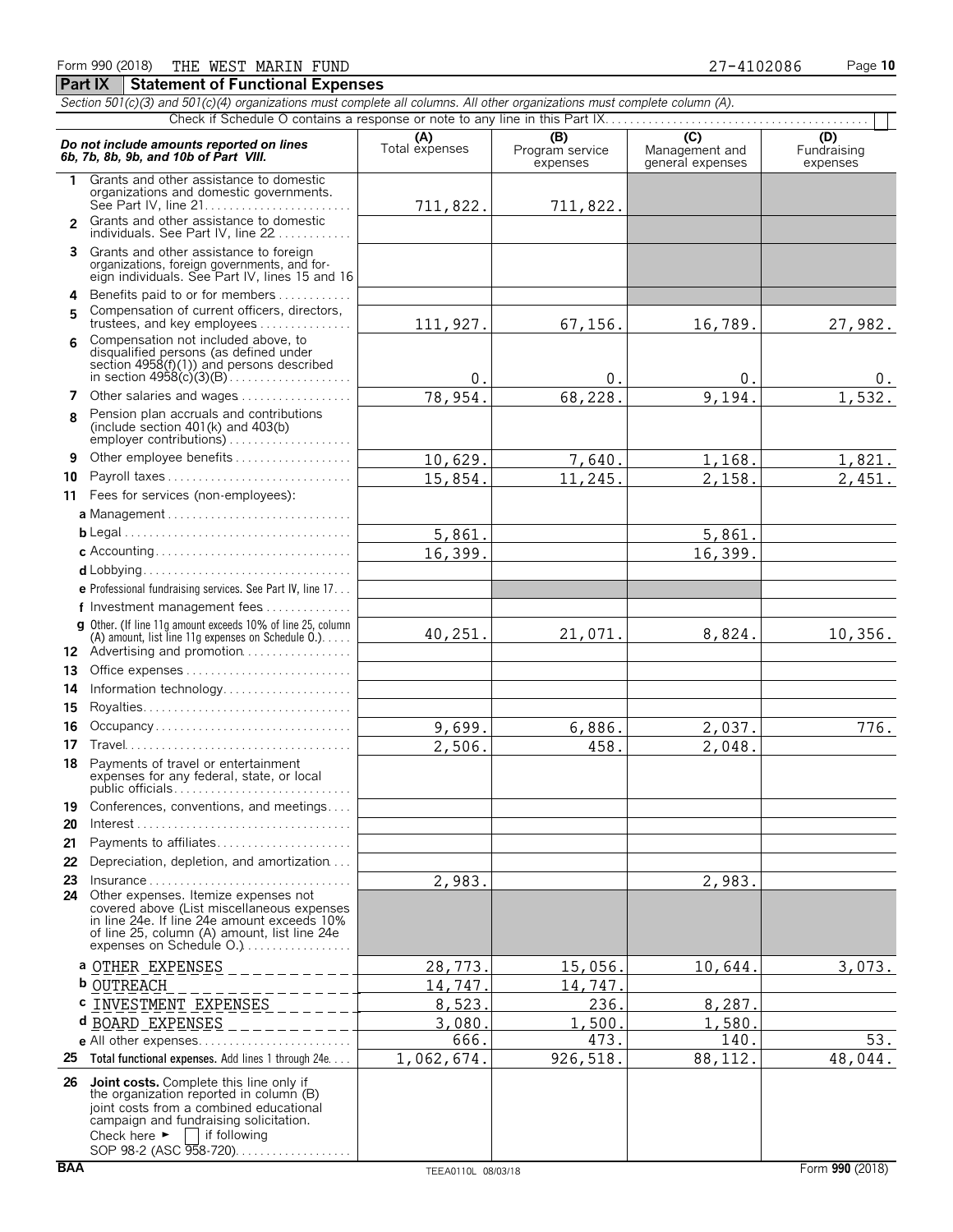|                                                           | Do not include amounts reported on lines<br>6b, 7b, 8b, 9b, and 10b of Part VIII.                                                                                                                                                      | (A)<br>Total expenses | (B)<br>Program service<br>expenses | (C)<br>Management and<br>general expenses | (D)<br>Fundraising<br>expenses |  |  |  |  |  |  |  |
|-----------------------------------------------------------|----------------------------------------------------------------------------------------------------------------------------------------------------------------------------------------------------------------------------------------|-----------------------|------------------------------------|-------------------------------------------|--------------------------------|--|--|--|--|--|--|--|
| $\mathbf{1}$                                              | Grants and other assistance to domestic<br>organizations and domestic governments.                                                                                                                                                     | 711,822.              | 711,822.                           |                                           |                                |  |  |  |  |  |  |  |
| $\mathcal{P}$                                             | Grants and other assistance to domestic<br>individuals. See Part IV, line 22                                                                                                                                                           |                       |                                    |                                           |                                |  |  |  |  |  |  |  |
|                                                           | <b>3</b> Grants and other assistance to foreign<br>organizations, foreign governments, and for-<br>eign individuals. See Part IV, lines 15 and 16                                                                                      |                       |                                    |                                           |                                |  |  |  |  |  |  |  |
| 4<br>5                                                    | Benefits paid to or for members<br>Compensation of current officers, directors,<br>trustees, and key employees                                                                                                                         | 111,927.              | 67,156.                            | 16,789.                                   | 27,982.                        |  |  |  |  |  |  |  |
| 6                                                         | Compensation not included above, to<br>disqualified persons (as defined under<br>section $4958(f)(1)$ and persons described                                                                                                            | 0.                    | 0.                                 | 0.                                        | $0$ .                          |  |  |  |  |  |  |  |
|                                                           | 7 Other salaries and wages                                                                                                                                                                                                             | 78,954.               | 68,228.                            | 9,194.                                    | 1,532.                         |  |  |  |  |  |  |  |
| 8                                                         | Pension plan accruals and contributions<br>(include section $401(k)$ and $403(b)$ )                                                                                                                                                    |                       |                                    |                                           |                                |  |  |  |  |  |  |  |
| 9                                                         | Other employee benefits                                                                                                                                                                                                                | 10,629.               | 7,640.                             | 1,168.                                    | 1,821.                         |  |  |  |  |  |  |  |
| 10                                                        | Payroll taxes                                                                                                                                                                                                                          | 15,854.               | 11,245.                            | 2,158.                                    | 2,451.                         |  |  |  |  |  |  |  |
|                                                           | 11 Fees for services (non-employees):                                                                                                                                                                                                  |                       |                                    |                                           |                                |  |  |  |  |  |  |  |
|                                                           |                                                                                                                                                                                                                                        |                       |                                    |                                           |                                |  |  |  |  |  |  |  |
|                                                           |                                                                                                                                                                                                                                        | 5,861.                |                                    | 5,861.                                    |                                |  |  |  |  |  |  |  |
|                                                           |                                                                                                                                                                                                                                        | 16,399.               |                                    | 16,399.                                   |                                |  |  |  |  |  |  |  |
|                                                           |                                                                                                                                                                                                                                        |                       |                                    |                                           |                                |  |  |  |  |  |  |  |
| e Professional fundraising services. See Part IV, line 17 |                                                                                                                                                                                                                                        |                       |                                    |                                           |                                |  |  |  |  |  |  |  |
|                                                           | f Investment management fees                                                                                                                                                                                                           |                       |                                    |                                           |                                |  |  |  |  |  |  |  |
|                                                           | g Other. (If line 11q amount exceeds 10% of line 25, column                                                                                                                                                                            |                       |                                    |                                           |                                |  |  |  |  |  |  |  |
|                                                           | (A) amount, list line 11g expenses on Schedule $0.$ )<br>12 Advertising and promotion                                                                                                                                                  | 40,251.               | 21,071.                            | 8,824.                                    | 10,356.                        |  |  |  |  |  |  |  |
|                                                           | 13 Office expenses                                                                                                                                                                                                                     |                       |                                    |                                           |                                |  |  |  |  |  |  |  |
|                                                           | 14 Information technology                                                                                                                                                                                                              |                       |                                    |                                           |                                |  |  |  |  |  |  |  |
| 15                                                        |                                                                                                                                                                                                                                        |                       |                                    |                                           |                                |  |  |  |  |  |  |  |
|                                                           | 16 Occupancy                                                                                                                                                                                                                           | 9,699.                | 6,886.                             | 2,037.                                    | 776.                           |  |  |  |  |  |  |  |
|                                                           | 17 Travel                                                                                                                                                                                                                              | 2,506.                | 458.                               | 2,048.                                    |                                |  |  |  |  |  |  |  |
|                                                           | 18 Payments of travel or entertainment<br>expenses for any federal, state, or local<br>public officials                                                                                                                                |                       |                                    |                                           |                                |  |  |  |  |  |  |  |
|                                                           | 19 Conferences, conventions, and meetings.                                                                                                                                                                                             |                       |                                    |                                           |                                |  |  |  |  |  |  |  |
| 20                                                        | $Interest \dots \dots \dots \dots \dots \dots \dots \dots \dots \dots \dots \dots \dots \dots$                                                                                                                                         |                       |                                    |                                           |                                |  |  |  |  |  |  |  |
| 21                                                        | Payments to affiliates                                                                                                                                                                                                                 |                       |                                    |                                           |                                |  |  |  |  |  |  |  |
| 22                                                        | Depreciation, depletion, and amortization                                                                                                                                                                                              |                       |                                    |                                           |                                |  |  |  |  |  |  |  |
| 23                                                        | $Insurance \ldots \ldots \ldots \ldots \ldots \ldots$                                                                                                                                                                                  | 2,983.                |                                    | 2,983.                                    |                                |  |  |  |  |  |  |  |
| 24                                                        | Other expenses. Itemize expenses not<br>covered above (List miscellaneous expenses<br>in line 24e. If line 24e amount exceeds 10%<br>of line 25, column (A) amount, list line 24e<br>expenses on Schedule O.)                          |                       |                                    |                                           |                                |  |  |  |  |  |  |  |
|                                                           | a OTHER EXPENSES                                                                                                                                                                                                                       | 28,773.               | 15,056                             | 10,644                                    | 3,073.                         |  |  |  |  |  |  |  |
|                                                           | <b>b</b> OUTREACH                                                                                                                                                                                                                      | 14,747                | 14,747                             |                                           |                                |  |  |  |  |  |  |  |
|                                                           | C INVESTMENT EXPENSES                                                                                                                                                                                                                  | 8,523.                | 236.                               | 8,287                                     |                                |  |  |  |  |  |  |  |
|                                                           |                                                                                                                                                                                                                                        | 3,080                 |                                    | 1,580                                     |                                |  |  |  |  |  |  |  |
|                                                           | d BOARD EXPENSES                                                                                                                                                                                                                       | 666.                  | 1,500<br>473.                      | 140.                                      | 53.                            |  |  |  |  |  |  |  |
| 25                                                        | Total functional expenses. Add lines 1 through 24e                                                                                                                                                                                     | 1,062,674.            | 926,518.                           | 88,112.                                   | 48,044.                        |  |  |  |  |  |  |  |
|                                                           |                                                                                                                                                                                                                                        |                       |                                    |                                           |                                |  |  |  |  |  |  |  |
| 26                                                        | <b>Joint costs.</b> Complete this line only if<br>the organization reported in column (B)<br>joint costs from a combined educational<br>campaign and fundraising solicitation.<br>Check here $\blacktriangleright$ $\Box$ if following |                       |                                    |                                           |                                |  |  |  |  |  |  |  |

**Part IX** Statement of Functional Expenses

*Section 501(c)(3) and 501(c)(4) organizations must complete all columns. All other organizations must complete column (A).*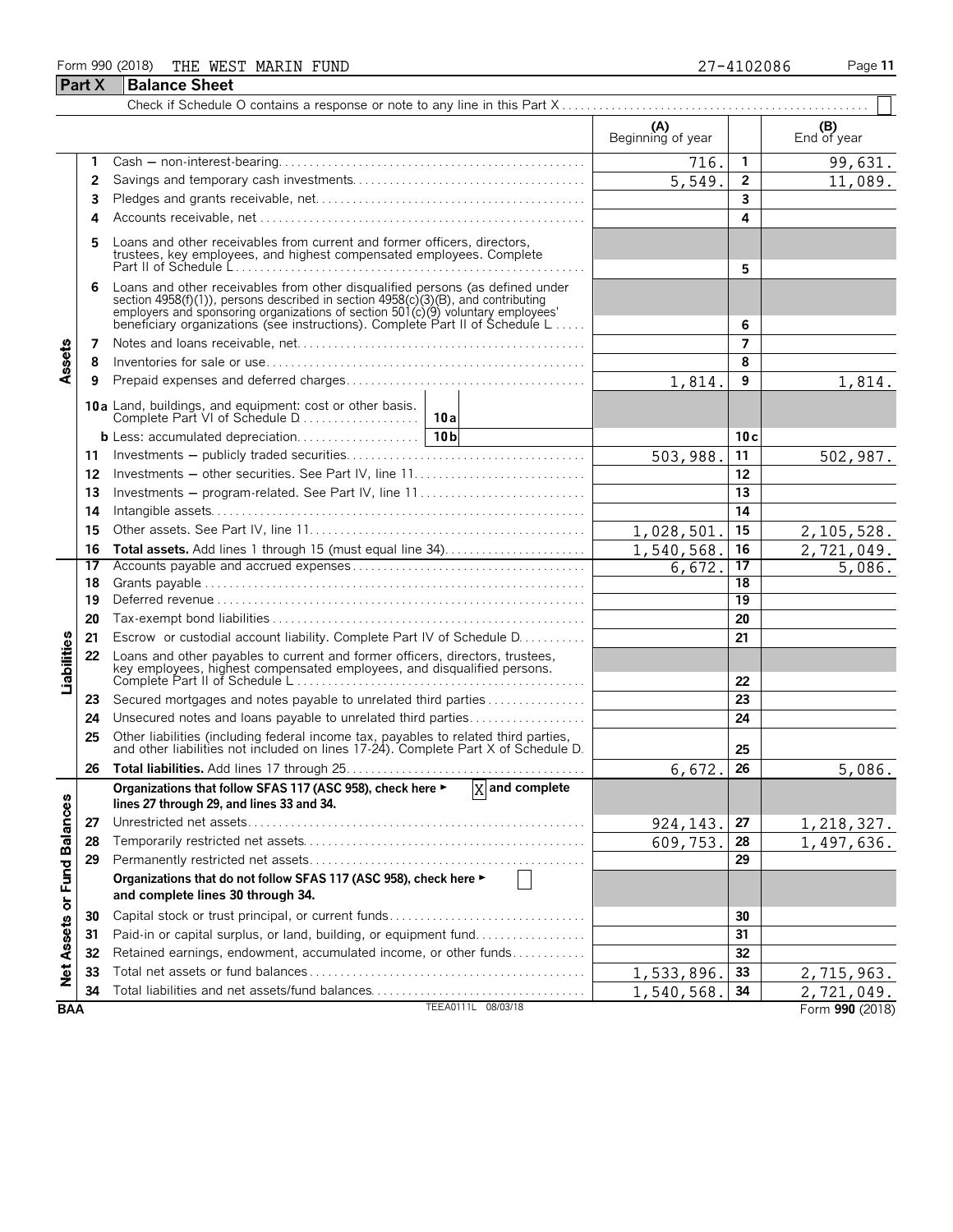#### Form 990 (2018) Page **11** THE WEST MARIN FUND 27-4102086 **Part X Balance Sheet**

|                             |    |                                                                                                                                                                                                                                                                                                                      | (A)<br>Beginning of year |                 | (B)<br>End of year |
|-----------------------------|----|----------------------------------------------------------------------------------------------------------------------------------------------------------------------------------------------------------------------------------------------------------------------------------------------------------------------|--------------------------|-----------------|--------------------|
|                             | 1  |                                                                                                                                                                                                                                                                                                                      | 716.                     | 1               | 99,631.            |
|                             | 2  |                                                                                                                                                                                                                                                                                                                      | 5,549.                   | $\mathbf{2}$    | 11,089.            |
|                             | 3  |                                                                                                                                                                                                                                                                                                                      |                          | 3               |                    |
|                             | 4  |                                                                                                                                                                                                                                                                                                                      |                          | 4               |                    |
|                             | 5  | Loans and other receivables from current and former officers, directors, trustees, key employees, and highest compensated employees. Complete<br>Part II of Schedule L                                                                                                                                               |                          | 5               |                    |
|                             | 6  | Loans and other receivables from other disqualified persons (as defined under<br>Section 4958(f)(1)), persons described in section 4958(c)(3)(B), and contributing<br>employers and sponsoring organizations of section 501(c)(9) voluntary employees<br>beneficiary organizations (see instructions). Complete Part |                          | 6               |                    |
|                             | 7  |                                                                                                                                                                                                                                                                                                                      |                          | 7               |                    |
| Assets                      | 8  |                                                                                                                                                                                                                                                                                                                      |                          | 8               |                    |
|                             | 9  |                                                                                                                                                                                                                                                                                                                      | 1,814.                   | 9               | 1,814.             |
|                             |    | <b>10a</b> Land, buildings, and equipment: cost or other basis.                                                                                                                                                                                                                                                      |                          |                 |                    |
|                             |    |                                                                                                                                                                                                                                                                                                                      |                          | 10c             |                    |
|                             | 11 |                                                                                                                                                                                                                                                                                                                      | 503,988.                 | 11              | 502,987.           |
|                             | 12 |                                                                                                                                                                                                                                                                                                                      |                          | 12              |                    |
|                             | 13 | Investments - program-related. See Part IV, line 11                                                                                                                                                                                                                                                                  |                          | 13              |                    |
|                             | 14 |                                                                                                                                                                                                                                                                                                                      |                          | 14              |                    |
|                             | 15 |                                                                                                                                                                                                                                                                                                                      | 1,028,501.               | 15              | 2,105,528.         |
|                             | 16 |                                                                                                                                                                                                                                                                                                                      | 1,540,568.               | 16              | 2,721,049.         |
|                             | 17 |                                                                                                                                                                                                                                                                                                                      | 6,672.                   | 17              | 5,086.             |
|                             | 18 |                                                                                                                                                                                                                                                                                                                      |                          | 18              |                    |
|                             | 19 |                                                                                                                                                                                                                                                                                                                      |                          | $\overline{19}$ |                    |
|                             | 20 |                                                                                                                                                                                                                                                                                                                      |                          | 20              |                    |
|                             | 21 | Escrow or custodial account liability. Complete Part IV of Schedule D.                                                                                                                                                                                                                                               |                          | 21              |                    |
| Liabilities                 | 22 | Loans and other payables to current and former officers, directors, trustees,<br>key employees, highest compensated employees, and disqualified persons.                                                                                                                                                             |                          | 22              |                    |
|                             | 23 | Secured mortgages and notes payable to unrelated third parties                                                                                                                                                                                                                                                       |                          | 23              |                    |
|                             | 24 | Unsecured notes and loans payable to unrelated third parties                                                                                                                                                                                                                                                         |                          | 24              |                    |
|                             | 25 | Other liabilities (including federal income tax, payables to related third parties, and other liabilities not included on lines 17-24). Complete Part X of Schedule D.                                                                                                                                               |                          | 25              |                    |
|                             | 26 |                                                                                                                                                                                                                                                                                                                      | 6,672.                   | 26              | 5,086.             |
|                             |    | Organizations that follow SFAS 117 (ASC 958), check here $\blacktriangleright$ $\boxed{X}$ and complete<br>lines 27 through 29, and lines 33 and 34.                                                                                                                                                                 |                          |                 |                    |
|                             | 27 |                                                                                                                                                                                                                                                                                                                      | 924, 143.                | 27              | 1,218,327.         |
|                             | 28 |                                                                                                                                                                                                                                                                                                                      | 609,753.                 | 28              | 1,497,636.         |
|                             | 29 |                                                                                                                                                                                                                                                                                                                      |                          | 29              |                    |
| Net Assets or Fund Balances |    | Organizations that do not follow SFAS 117 (ASC 958), check here ►<br>and complete lines 30 through 34.                                                                                                                                                                                                               |                          |                 |                    |
|                             | 30 | Capital stock or trust principal, or current funds                                                                                                                                                                                                                                                                   |                          | 30              |                    |
|                             | 31 | Paid-in or capital surplus, or land, building, or equipment fund                                                                                                                                                                                                                                                     |                          | 31              |                    |
|                             | 32 | Retained earnings, endowment, accumulated income, or other funds                                                                                                                                                                                                                                                     |                          | 32              |                    |
|                             | 33 |                                                                                                                                                                                                                                                                                                                      | 1,533,896.               | 33              | 2,715,963.         |
|                             | 34 |                                                                                                                                                                                                                                                                                                                      | 1,540,568.               | 34              | 2,721,049.         |
| <b>BAA</b>                  |    | TEEA0111L 08/03/18                                                                                                                                                                                                                                                                                                   |                          |                 | Form 990 (2018)    |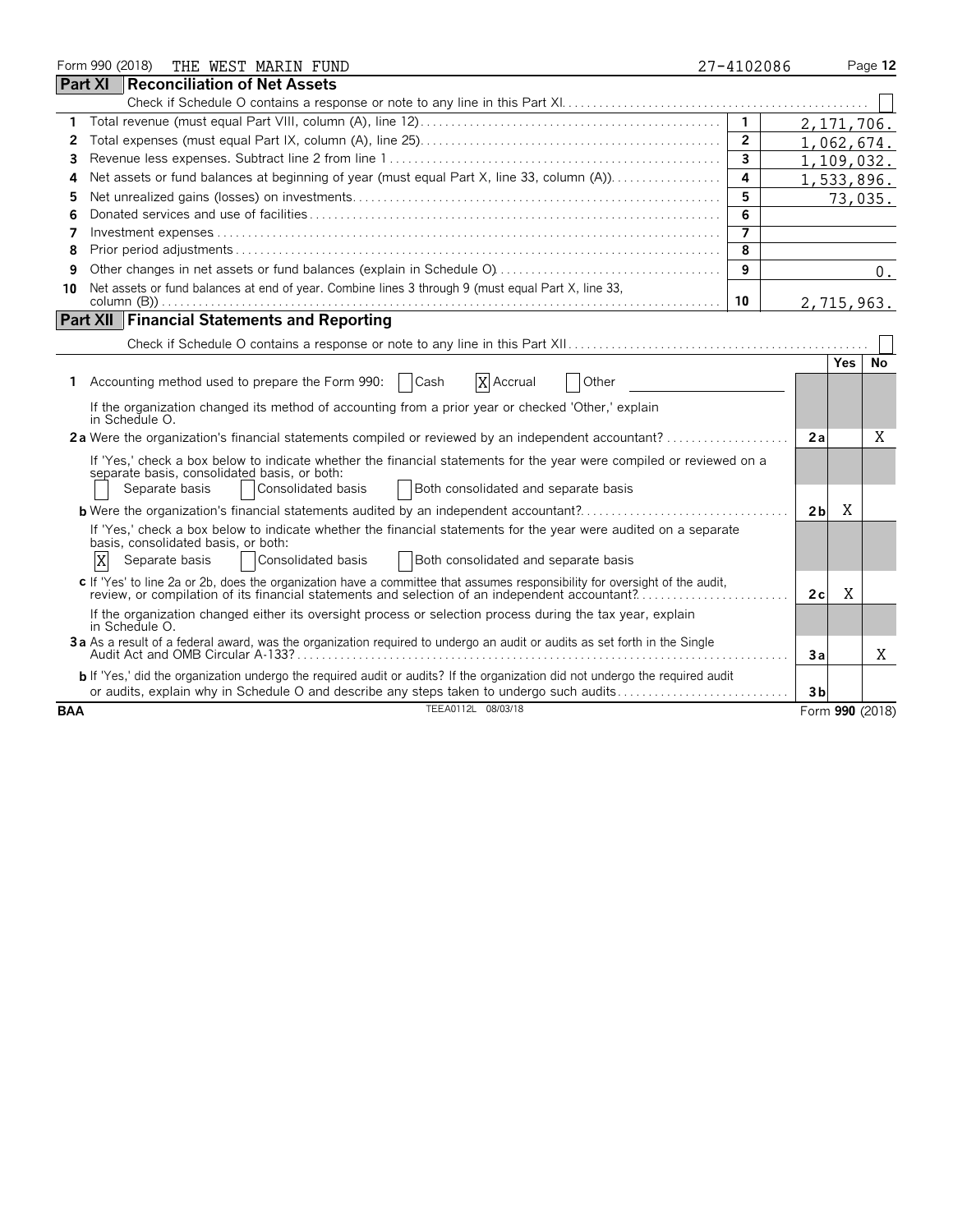|            | Form 990 (2018)<br>THE WEST MARIN FUND                                                                                                                                                                                                               | 27-4102086     |                 |      | Page 12 |
|------------|------------------------------------------------------------------------------------------------------------------------------------------------------------------------------------------------------------------------------------------------------|----------------|-----------------|------|---------|
|            | Part XI<br>Reconciliation of Net Assets                                                                                                                                                                                                              |                |                 |      |         |
|            |                                                                                                                                                                                                                                                      |                |                 |      |         |
| 1.         |                                                                                                                                                                                                                                                      | $\mathbf{1}$   | 2, 171, 706.    |      |         |
| 2          |                                                                                                                                                                                                                                                      | $\mathbf{2}$   | 1,062,674.      |      |         |
| 3          |                                                                                                                                                                                                                                                      | $\mathbf{3}$   | 1,109,032.      |      |         |
| 4          | Net assets or fund balances at beginning of year (must equal Part X, line 33, column (A))                                                                                                                                                            | 4              | 1,533,896.      |      |         |
| 5          |                                                                                                                                                                                                                                                      | 5              |                 |      | 73,035. |
| հ          |                                                                                                                                                                                                                                                      | 6              |                 |      |         |
| 7          |                                                                                                                                                                                                                                                      | $\overline{7}$ |                 |      |         |
| 8          |                                                                                                                                                                                                                                                      | 8              |                 |      |         |
| 9          |                                                                                                                                                                                                                                                      | 9              |                 |      | 0.      |
| 10         | Net assets or fund balances at end of year. Combine lines 3 through 9 (must equal Part X, line 33,                                                                                                                                                   |                |                 |      |         |
|            |                                                                                                                                                                                                                                                      | 10             | 2,715,963.      |      |         |
|            | <b>Part XII Financial Statements and Reporting</b>                                                                                                                                                                                                   |                |                 |      |         |
|            |                                                                                                                                                                                                                                                      |                |                 |      |         |
|            |                                                                                                                                                                                                                                                      |                |                 | Yes. | No      |
| 1.         | Accounting method used to prepare the Form 990:<br>Cash<br>X Accrual<br><b>Other</b>                                                                                                                                                                 |                |                 |      |         |
|            | If the organization changed its method of accounting from a prior year or checked 'Other,' explain<br>in Schedule O.                                                                                                                                 |                |                 |      |         |
|            |                                                                                                                                                                                                                                                      |                | 2a              |      | X       |
|            | If 'Yes,' check a box below to indicate whether the financial statements for the year were compiled or reviewed on a<br>separate basis, consolidated basis, or both:<br>Consolidated basis<br>Both consolidated and separate basis<br>Separate basis |                |                 |      |         |
|            |                                                                                                                                                                                                                                                      |                | 2 <sub>b</sub>  | Χ    |         |
|            | If 'Yes,' check a box below to indicate whether the financial statements for the year were audited on a separate<br>basis, consolidated basis, or both:<br>X<br>Consolidated basis<br>Both consolidated and separate basis<br>Separate basis         |                |                 |      |         |
|            | c If 'Yes' to line 2a or 2b, does the organization have a committee that assumes responsibility for oversight of the audit,<br>review, or compilation of its financial statements and selection of an independent accountant?                        |                | 2c              | X    |         |
|            | If the organization changed either its oversight process or selection process during the tax year, explain<br>in Schedule O.                                                                                                                         |                |                 |      |         |
|            | 3a As a result of a federal award, was the organization required to undergo an audit or audits as set forth in the Single                                                                                                                            |                | Зa              |      | X       |
|            | <b>b</b> If 'Yes,' did the organization undergo the required audit or audits? If the organization did not undergo the required audit<br>or audits, explain why in Schedule O and describe any steps taken to undergo such audits                     |                | 3 <sub>b</sub>  |      |         |
| <b>BAA</b> | TEEA0112L 08/03/18                                                                                                                                                                                                                                   |                | Form 990 (2018) |      |         |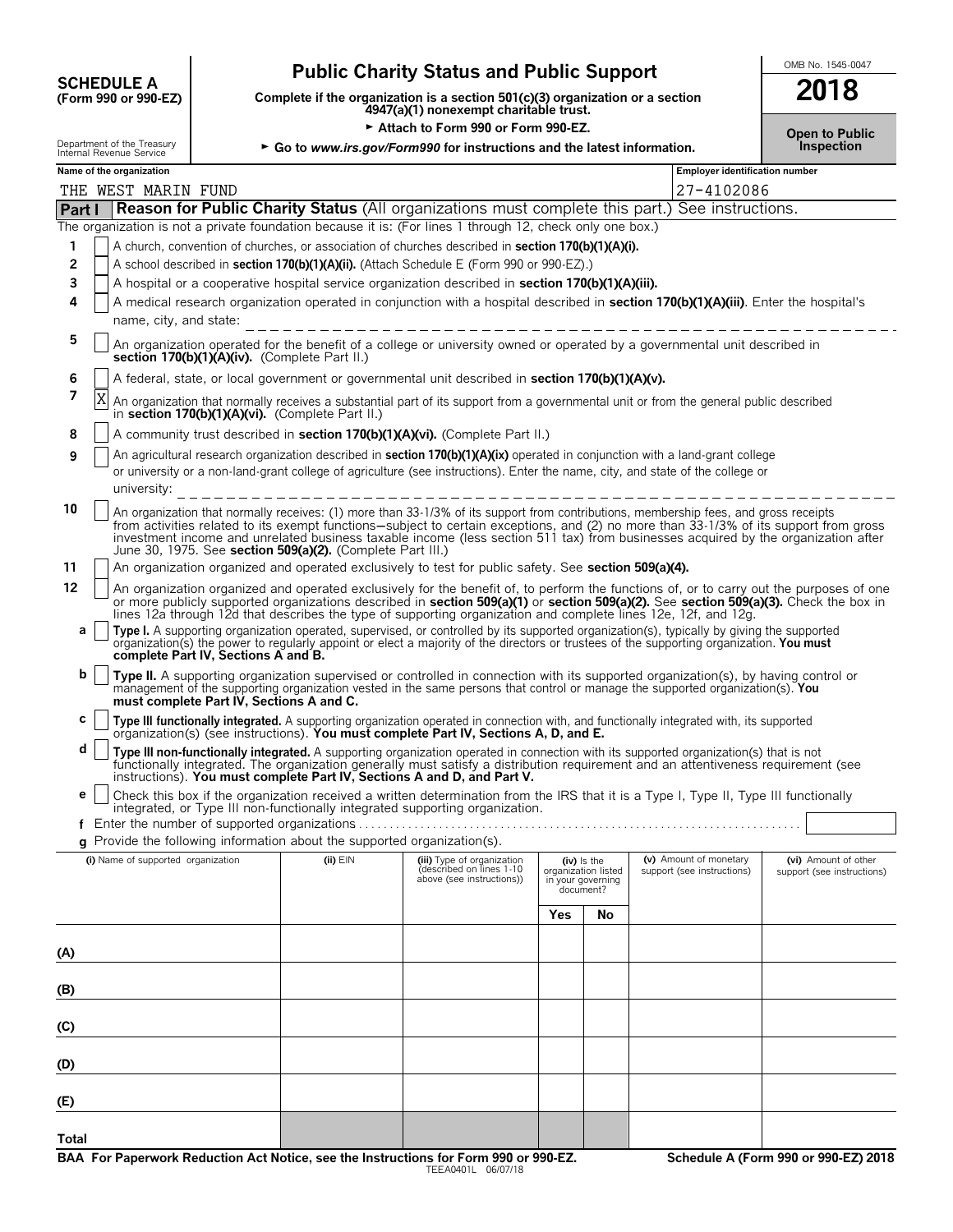# **Public Charity Status and Public Support**<br>
(Form 990 or 990-EZ) Complete if the organization is a section 501(c)(3) organization or a section **2018**

**COMPOUTE A**<br>
(Form 990 or 990-EZ) Complete if the organization is a section 501(c)(3) organization or a section<br>
4947(a)(1) nonexempt charitable trust.

Attach to Form 990 or Form 990-EZ.

| ZUIŎ                                |
|-------------------------------------|
| <b>Open to Public</b><br>Inspection |

|         |                                                                                                                                                                                                                                                                                                                                                                                                                                                                                                                                                                                                                                                                             | Department of the Treasury<br>Internal Revenue Service |                                          |                                               | ► Go to www.irs.gov/Form990 for instructions and the latest information.                                                                                                                                                                                                                                                                              |           |                                                           |                                                      | Inspection                                         |  |
|---------|-----------------------------------------------------------------------------------------------------------------------------------------------------------------------------------------------------------------------------------------------------------------------------------------------------------------------------------------------------------------------------------------------------------------------------------------------------------------------------------------------------------------------------------------------------------------------------------------------------------------------------------------------------------------------------|--------------------------------------------------------|------------------------------------------|-----------------------------------------------|-------------------------------------------------------------------------------------------------------------------------------------------------------------------------------------------------------------------------------------------------------------------------------------------------------------------------------------------------------|-----------|-----------------------------------------------------------|------------------------------------------------------|----------------------------------------------------|--|
|         |                                                                                                                                                                                                                                                                                                                                                                                                                                                                                                                                                                                                                                                                             | Name of the organization                               |                                          |                                               |                                                                                                                                                                                                                                                                                                                                                       |           |                                                           | <b>Employer identification number</b>                |                                                    |  |
|         |                                                                                                                                                                                                                                                                                                                                                                                                                                                                                                                                                                                                                                                                             | THE WEST MARIN FUND                                    |                                          |                                               |                                                                                                                                                                                                                                                                                                                                                       |           |                                                           | 27-4102086                                           |                                                    |  |
| Part I  |                                                                                                                                                                                                                                                                                                                                                                                                                                                                                                                                                                                                                                                                             |                                                        |                                          |                                               | <b>Reason for Public Charity Status</b> (All organizations must complete this part.) See instructions.<br>The organization is not a private foundation because it is: (For lines 1 through 12, check only one box.)                                                                                                                                   |           |                                                           |                                                      |                                                    |  |
| 1       |                                                                                                                                                                                                                                                                                                                                                                                                                                                                                                                                                                                                                                                                             |                                                        |                                          |                                               | A church, convention of churches, or association of churches described in section 170(b)(1)(A)(i).                                                                                                                                                                                                                                                    |           |                                                           |                                                      |                                                    |  |
| 2       |                                                                                                                                                                                                                                                                                                                                                                                                                                                                                                                                                                                                                                                                             |                                                        |                                          |                                               | A school described in section 170(b)(1)(A)(ii). (Attach Schedule E (Form 990 or 990-EZ).)                                                                                                                                                                                                                                                             |           |                                                           |                                                      |                                                    |  |
| 3       |                                                                                                                                                                                                                                                                                                                                                                                                                                                                                                                                                                                                                                                                             |                                                        |                                          |                                               | A hospital or a cooperative hospital service organization described in section 170(b)(1)(A)(iii).                                                                                                                                                                                                                                                     |           |                                                           |                                                      |                                                    |  |
| 4       |                                                                                                                                                                                                                                                                                                                                                                                                                                                                                                                                                                                                                                                                             |                                                        |                                          |                                               | A medical research organization operated in conjunction with a hospital described in section 170(b)(1)(A)(iii). Enter the hospital's                                                                                                                                                                                                                  |           |                                                           |                                                      |                                                    |  |
|         |                                                                                                                                                                                                                                                                                                                                                                                                                                                                                                                                                                                                                                                                             | name, city, and state:                                 |                                          |                                               | ---------------------------------                                                                                                                                                                                                                                                                                                                     |           |                                                           |                                                      |                                                    |  |
| 5       |                                                                                                                                                                                                                                                                                                                                                                                                                                                                                                                                                                                                                                                                             |                                                        |                                          | section 170(b)(1)(A)(iv). (Complete Part II.) | An organization operated for the benefit of a college or university owned or operated by a governmental unit described in                                                                                                                                                                                                                             |           |                                                           |                                                      |                                                    |  |
| 6       |                                                                                                                                                                                                                                                                                                                                                                                                                                                                                                                                                                                                                                                                             |                                                        |                                          |                                               | A federal, state, or local government or governmental unit described in section 170(b)(1)(A)(v).                                                                                                                                                                                                                                                      |           |                                                           |                                                      |                                                    |  |
| 7       | Χ<br>An organization that normally receives a substantial part of its support from a governmental unit or from the general public described<br>in section 170(b)(1)(A)(vi). (Complete Part II.)                                                                                                                                                                                                                                                                                                                                                                                                                                                                             |                                                        |                                          |                                               |                                                                                                                                                                                                                                                                                                                                                       |           |                                                           |                                                      |                                                    |  |
| 8       |                                                                                                                                                                                                                                                                                                                                                                                                                                                                                                                                                                                                                                                                             |                                                        |                                          |                                               | A community trust described in section 170(b)(1)(A)(vi). (Complete Part II.)                                                                                                                                                                                                                                                                          |           |                                                           |                                                      |                                                    |  |
| 9       |                                                                                                                                                                                                                                                                                                                                                                                                                                                                                                                                                                                                                                                                             |                                                        |                                          |                                               | An agricultural research organization described in <b>section 170(b)(1)(A)(ix)</b> operated in conjunction with a land-grant college<br>or university or a non-land-grant college of agriculture (see instructions). Enter the name, city, and state of the college or                                                                                |           |                                                           |                                                      |                                                    |  |
| 10      | An organization that normally receives: (1) more than 33-1/3% of its support from contributions, membership fees, and gross receipts<br>from activities related to its exempt functions—subject to certain exceptions, and (2) no more than 33-1/3% of its support from gross<br>investment income and unrelated business taxable income (less section 511 tax) from businesses acquired by the organization after<br>June 30, 1975. See section 509(a)(2). (Complete Part III.)                                                                                                                                                                                            |                                                        |                                          |                                               |                                                                                                                                                                                                                                                                                                                                                       |           |                                                           |                                                      |                                                    |  |
| 11      |                                                                                                                                                                                                                                                                                                                                                                                                                                                                                                                                                                                                                                                                             |                                                        |                                          |                                               | An organization organized and operated exclusively to test for public safety. See section 509(a)(4).                                                                                                                                                                                                                                                  |           |                                                           |                                                      |                                                    |  |
| 12<br>a | An organization organized and operated exclusively for the benefit of, to perform the functions of, or to carry out the purposes of one<br>or more publicly supported organizations described in section 509(a)(1) or section 509(a)(2). See section 509(a)(3). Check the box in<br>lines 12a through 12d that describes the type of supporting organization and complete lines 12e, 12f, and 12g.<br>Type I. A supporting organization operated, supervised, or controlled by its supported organization(s), typically by giving the supported organization(s) the power to regularly apport or elect a majority of the directors o<br>complete Part IV, Sections A and B. |                                                        |                                          |                                               |                                                                                                                                                                                                                                                                                                                                                       |           |                                                           |                                                      |                                                    |  |
| b       |                                                                                                                                                                                                                                                                                                                                                                                                                                                                                                                                                                                                                                                                             |                                                        | must complete Part IV, Sections A and C. |                                               | Type II. A supporting organization supervised or controlled in connection with its supported organization(s), by having control or<br>management of the supporting organization vested in the same persons that control or manage the supported organization(s). You                                                                                  |           |                                                           |                                                      |                                                    |  |
| c       |                                                                                                                                                                                                                                                                                                                                                                                                                                                                                                                                                                                                                                                                             |                                                        |                                          |                                               | Type III functionally integrated. A supporting organization operated in connection with, and functionally integrated with, its supported organization(s) (see instructions). You must complete Part IV, Sections A, D, and E.                                                                                                                         |           |                                                           |                                                      |                                                    |  |
| d       |                                                                                                                                                                                                                                                                                                                                                                                                                                                                                                                                                                                                                                                                             |                                                        |                                          |                                               | Type III non-functionally integrated. A supporting organization operated in connection with its supported organization(s) that is not<br>functionally integrated. The organization generally must satisfy a distribution requirement and an attentiveness requirement (see<br>instructions). You must complete Part IV, Sections A and D, and Part V. |           |                                                           |                                                      |                                                    |  |
| е       |                                                                                                                                                                                                                                                                                                                                                                                                                                                                                                                                                                                                                                                                             |                                                        |                                          |                                               | Check this box if the organization received a written determination from the IRS that it is a Type I. Type II, Type III functionally<br>integrated, or Type III non-functionally integrated supporting organization.                                                                                                                                  |           |                                                           |                                                      |                                                    |  |
|         |                                                                                                                                                                                                                                                                                                                                                                                                                                                                                                                                                                                                                                                                             |                                                        |                                          |                                               |                                                                                                                                                                                                                                                                                                                                                       |           |                                                           |                                                      |                                                    |  |
|         |                                                                                                                                                                                                                                                                                                                                                                                                                                                                                                                                                                                                                                                                             |                                                        |                                          |                                               | g Provide the following information about the supported organization(s).                                                                                                                                                                                                                                                                              |           |                                                           |                                                      |                                                    |  |
|         |                                                                                                                                                                                                                                                                                                                                                                                                                                                                                                                                                                                                                                                                             | (i) Name of supported organization                     |                                          | $(ii)$ $EIN$                                  | (iii) Type of organization<br>described on lines 1-10<br>above (see instructions))                                                                                                                                                                                                                                                                    | document? | $(iv)$ is the<br>organization listed<br>in your governing | (v) Amount of monetary<br>support (see instructions) | (vi) Amount of other<br>support (see instructions) |  |
|         |                                                                                                                                                                                                                                                                                                                                                                                                                                                                                                                                                                                                                                                                             |                                                        |                                          |                                               |                                                                                                                                                                                                                                                                                                                                                       | Yes       | No                                                        |                                                      |                                                    |  |
| (A)     |                                                                                                                                                                                                                                                                                                                                                                                                                                                                                                                                                                                                                                                                             |                                                        |                                          |                                               |                                                                                                                                                                                                                                                                                                                                                       |           |                                                           |                                                      |                                                    |  |
| (B)     |                                                                                                                                                                                                                                                                                                                                                                                                                                                                                                                                                                                                                                                                             |                                                        |                                          |                                               |                                                                                                                                                                                                                                                                                                                                                       |           |                                                           |                                                      |                                                    |  |
|         |                                                                                                                                                                                                                                                                                                                                                                                                                                                                                                                                                                                                                                                                             |                                                        |                                          |                                               |                                                                                                                                                                                                                                                                                                                                                       |           |                                                           |                                                      |                                                    |  |
| (C)     |                                                                                                                                                                                                                                                                                                                                                                                                                                                                                                                                                                                                                                                                             |                                                        |                                          |                                               |                                                                                                                                                                                                                                                                                                                                                       |           |                                                           |                                                      |                                                    |  |
| (D)     |                                                                                                                                                                                                                                                                                                                                                                                                                                                                                                                                                                                                                                                                             |                                                        |                                          |                                               |                                                                                                                                                                                                                                                                                                                                                       |           |                                                           |                                                      |                                                    |  |
| (E)     |                                                                                                                                                                                                                                                                                                                                                                                                                                                                                                                                                                                                                                                                             |                                                        |                                          |                                               |                                                                                                                                                                                                                                                                                                                                                       |           |                                                           |                                                      |                                                    |  |
| Total   |                                                                                                                                                                                                                                                                                                                                                                                                                                                                                                                                                                                                                                                                             |                                                        |                                          |                                               |                                                                                                                                                                                                                                                                                                                                                       |           |                                                           |                                                      |                                                    |  |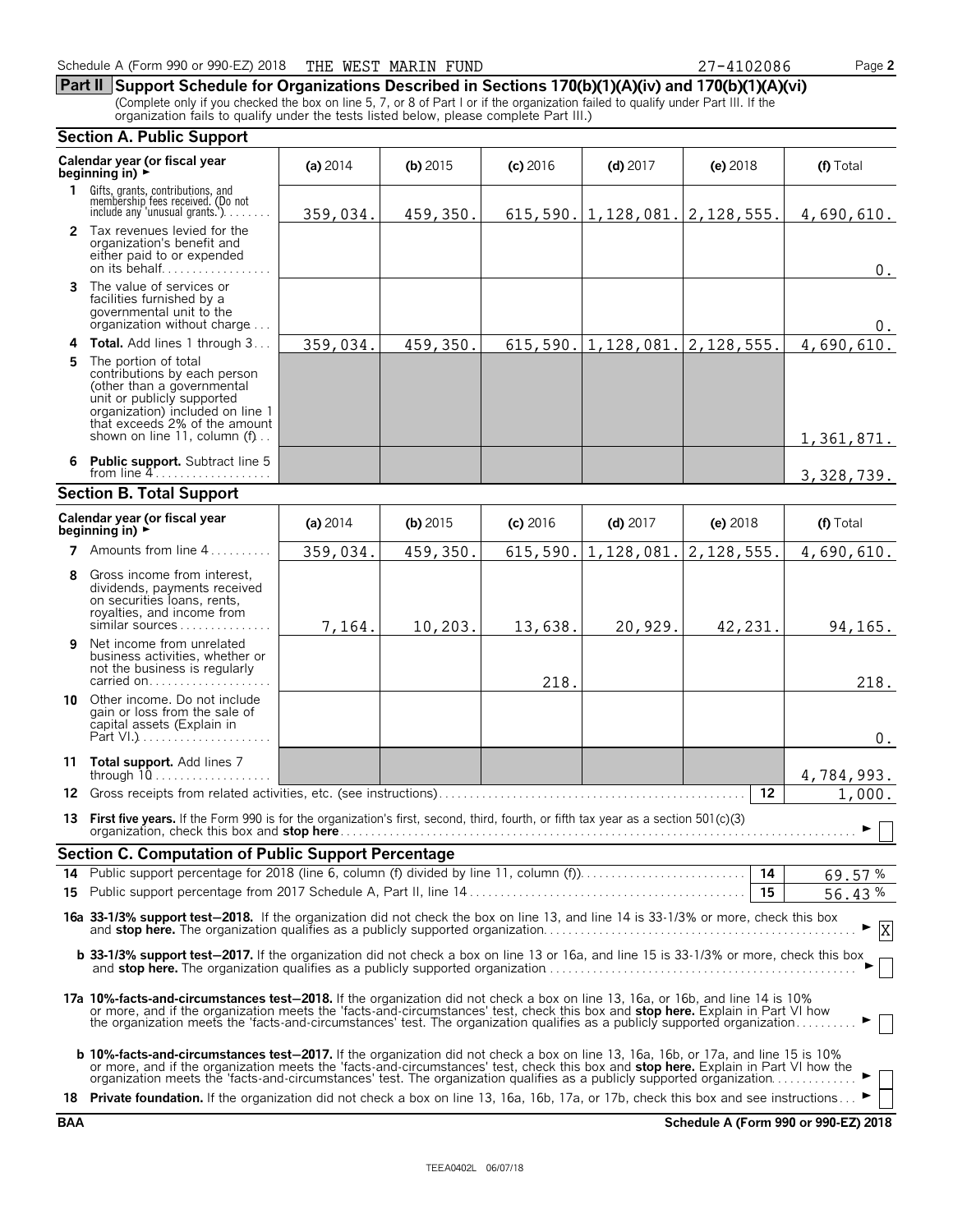**Part II Support Schedule for Organizations Described in Sections 170(b)(1)(A)(iv) and 170(b)(1)(A)(vi)** (Complete only if you checked the box on line 5, 7, or 8 of Part I or if the organization failed to qualify under Part III. If the organization fails to qualify under the tests listed below, please complete Part III.)

#### **Section A. Public Support Calendar year (or fiscal year (a) 2014 <b>(b)** 2015 **(c)** 2016 **(d)** 2017 **(e)** 2018 **(f)** Total **beginning in) F 1** Gifts, grants, contributions, and<br>membership fees received. (Do not<br>include any 'unusual grants.'). . . . . . . . **2** Tax revenues levied for the organization's benefit and either paid to or expended on its behalf........... **3** The value of services or facilities furnished by a governmental unit to the organization without charge. . . . **4 Total.** Add lines 1 through 3 . . . **5** The portion of total contributions by each person (other than a governmental unit or publicly supported organization) included on line 1 that exceeds 2% of the amount shown on line 11, column (f). **6 Public support.** Subtract line 5 from line 4 **Section B. Total Support Calendar year (or fiscal year (a) 2014 <b>(b)** 2015 **(c)** 2016 **(d)** 2017 **(e)** 2018 **(f)** Total **beginning in) 7** Amounts from line 4...... **8** Gross income from interest, dividends, payments received on securities loans, rents, royalties, and income from similar sources . . . . . . **9** Net income from unrelated business activities, whether or not the business is regularly carried on. . . . . . . . . . . . . . **10** Other income. Do not include gain or loss from the sale of capital assets (Explain in Part VI.). **11 Total support.** Add lines 7 through 10. . . . . . . . . . . . . . . . **12** Gross receipts from related activities, etc. (see instructions). . . . . . . . . . . . . . . . . . . . . . . . . . . . . . . . . . . . . . . . . . . . . . . . . . **12 13 First five years.** If the Form 990 is for the organization's first, second, third, fourth, or fifth tax year as a section 501(c)(3) organization, check this box and **stop here**. . . . . . . . . . . . . . . . . . . . . . . . . . . . . . . . . . . . . . . . . . . . . . . . . . . . . . . . . . . . . . . . . . . . . . . . . . . . . . . . . . . . G **Section C. Computation of Public Support Percentage 14** Public support percentage for 2018 (line 6, column (f) divided by line 11, column (f)). . . . . . . . . . . . . . . . . . . . . . . . . . . **14** % **15** Public support percentage from 2017 Schedule A, Part II, line 14 . . . . . . . . . . . . . . . . . . . . . . . . . . . . . . . . . . . . . . . . . . . . . **15** % **16a 33-1/3% support test**'**2018.** If the organization did not check the box on line 13, and line 14 is 33-1/3% or more, check this box and **stop here.** The organization qualifies as a publicly supported organization. . . . . . . . . . . . . . . . . . . . . . . . . . . . . . . . . . . . . . . . . . . . . . . . . . . G **b 33-1/3% support test-2017.** If the organization did not check a box on line 13 or 16a, and line 15 is 33-1/3% or more, check this box and **stop here.** The organization qualifies as a publicly supported organization. . . . . . . . . . . . . . . . . . . . . . . . . . . . . . . . . . . . . . . . . . . . . . . . . . . G **17a 10%-facts-and-circumstances test**'**2018.** If the organization did not check a box on line 13, 16a, or 16b, and line 14 is 10% or more, and if the organization meets the 'facts-and-circumstances' test, check this box and **stop here.** Explain in Part VI how<br>the organization meets the 'facts-and-circumstances' test. The organization qualifies as a **b 10%-facts-and-circumstances test**'**2017.** If the organization did not check a box on line 13, 16a, 16b, or 17a, and line 15 is 10% or more, and if the organization meets the 'facts-and-circumstances' test, check this box and **stop here.** Explain in Part VI how the<br>organization meets the 'facts-and-circumstances' test. The organization qualifies as a 18 **Private foundation.** If the organization did not check a box on line 13, 16a, 16b, 17a, or 17b, check this box and see instructions. 359,034. 459,350. 615,590. 1,128,081. 2,128,555. 4,690,610. 0.  $\Omega$ 359,034. 459,350. 615,590. 1,128,081. 2,128,555. 4,690,610. 1,361,871. 3,328,739. 359,034. 459,350. 615,590. 1,128,081. 2,128,555. 4,690,610. 7,164. 10,203. 13,638. 20,929. 42,231. 94,165. 218. 218. 0. 4,784,993. 1,000. 69.57 56.43 X

**BAA Schedule A (Form 990 or 990-EZ) 2018**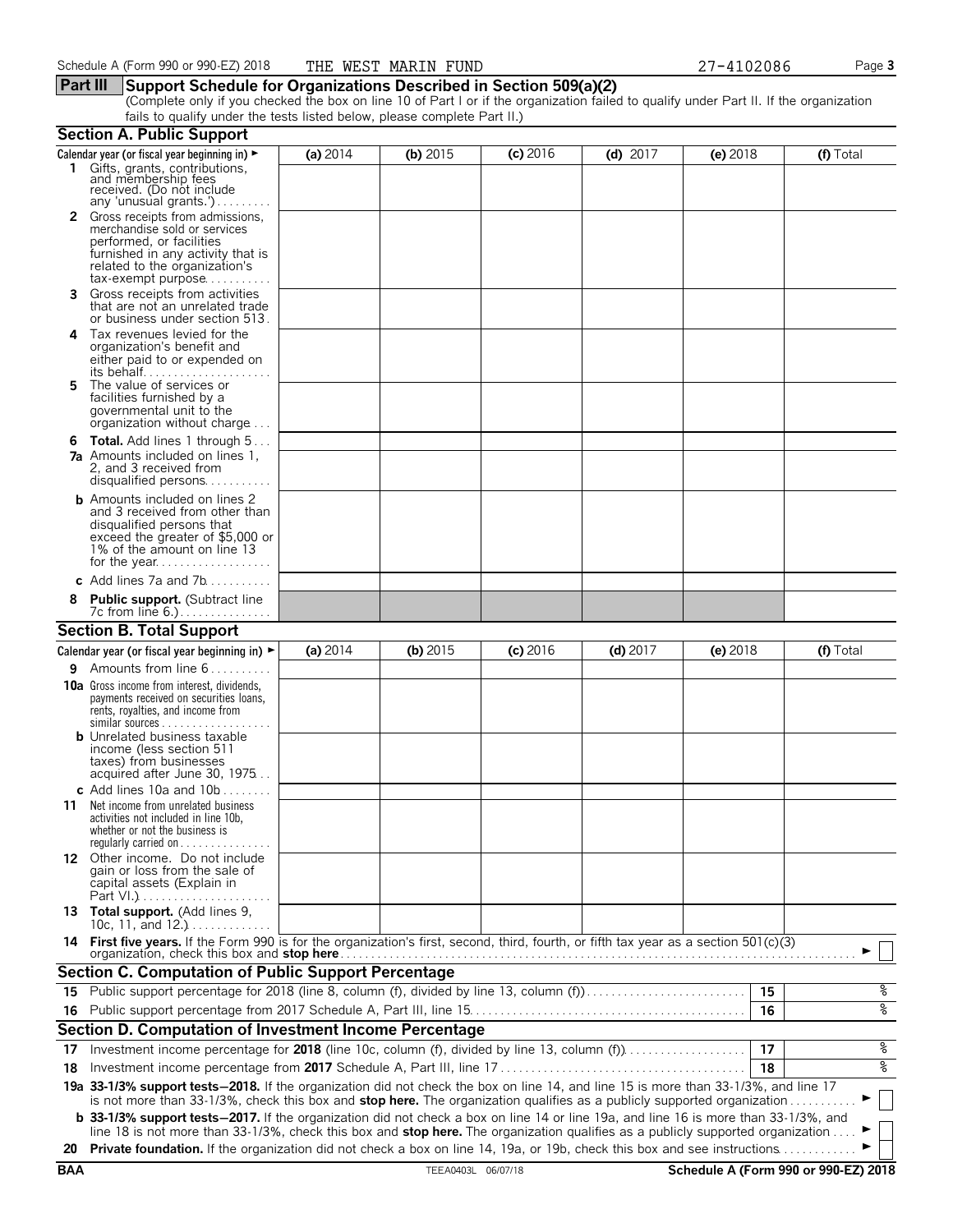#### **Part III Support Schedule for Organizations Described in Section 509(a)(2)**

(Complete only if you checked the box on line 10 of Part I or if the organization failed to qualify under Part II. If the organization fails to qualify under the tests listed below, please complete Part II.)

|            | <b>Section A. Public Support</b>                                                                                                                                                                                                                                      |          |                    |            |            |            |                                      |  |  |  |
|------------|-----------------------------------------------------------------------------------------------------------------------------------------------------------------------------------------------------------------------------------------------------------------------|----------|--------------------|------------|------------|------------|--------------------------------------|--|--|--|
|            | Calendar year (or fiscal year beginning in) ►                                                                                                                                                                                                                         | (a) 2014 | (b) $2015$         | $(c)$ 2016 | $(d)$ 2017 | $(e)$ 2018 | (f) Total                            |  |  |  |
|            | 1 Gifts, grants, contributions,<br>and membership fees<br>received. (Do not include<br>any 'unusual grants.')                                                                                                                                                         |          |                    |            |            |            |                                      |  |  |  |
|            | Gross receipts from admissions,<br>merchandise sold or services<br>performed, or facilities<br>furnished in any activity that is<br>related to the organization's<br>$tax\text{-}exempt$ purpose                                                                      |          |                    |            |            |            |                                      |  |  |  |
| 3.         | Gross receipts from activities<br>that are not an unrelated trade<br>or business under section 513.                                                                                                                                                                   |          |                    |            |            |            |                                      |  |  |  |
| 4          | Tax revenues levied for the<br>organization's benefit and<br>either paid to or expended on<br>its behalf                                                                                                                                                              |          |                    |            |            |            |                                      |  |  |  |
| 5.         | The value of services or<br>facilities furnished by a<br>governmental unit to the<br>organization without charge                                                                                                                                                      |          |                    |            |            |            |                                      |  |  |  |
|            | <b>6 Total.</b> Add lines 1 through 5<br><b>7a</b> Amounts included on lines 1,<br>2, and 3 received from<br>disqualified persons                                                                                                                                     |          |                    |            |            |            |                                      |  |  |  |
|            | <b>b</b> Amounts included on lines 2<br>and 3 received from other than<br>disqualified persons that<br>exceed the greater of \$5,000 or<br>1% of the amount on line 13                                                                                                |          |                    |            |            |            |                                      |  |  |  |
|            | c Add lines $7a$ and $7b$                                                                                                                                                                                                                                             |          |                    |            |            |            |                                      |  |  |  |
|            | <b>Public support.</b> (Subtract line                                                                                                                                                                                                                                 |          |                    |            |            |            |                                      |  |  |  |
|            | <b>Section B. Total Support</b>                                                                                                                                                                                                                                       |          |                    |            |            |            |                                      |  |  |  |
|            | Calendar year (or fiscal year beginning in) $\blacktriangleright$                                                                                                                                                                                                     | (a) 2014 | $(b)$ 2015         | $(c)$ 2016 | $(d)$ 2017 | (e) 2018   | (f) Total                            |  |  |  |
| 9.         | Amounts from line 6                                                                                                                                                                                                                                                   |          |                    |            |            |            |                                      |  |  |  |
|            | <b>10a</b> Gross income from interest, dividends,<br>payments received on securities loans,<br>rents, royalties, and income from<br><b>b</b> Unrelated business taxable<br>income (less section 511<br>taxes) from businesses<br>acquired after June 30, 1975         |          |                    |            |            |            |                                      |  |  |  |
|            | c Add lines 10a and $10b$                                                                                                                                                                                                                                             |          |                    |            |            |            |                                      |  |  |  |
| 11         | Net income from unrelated business<br>activities not included in line 10b,<br>whether or not the business is<br>regularly carried on $\dots\dots\dots\dots\dots$                                                                                                      |          |                    |            |            |            |                                      |  |  |  |
|            | 12 Other income. Do not include<br>gain or loss from the sale of<br>capital assets (Explain in                                                                                                                                                                        |          |                    |            |            |            |                                      |  |  |  |
|            | 13 Total support. (Add lines 9,<br>10c, 11, and $12.$ )                                                                                                                                                                                                               |          |                    |            |            |            |                                      |  |  |  |
|            | 14 First five years. If the Form 990 is for the organization's first, second, third, fourth, or fifth tax year as a section 501(c)(3)                                                                                                                                 |          |                    |            |            |            |                                      |  |  |  |
|            | <b>Section C. Computation of Public Support Percentage</b>                                                                                                                                                                                                            |          |                    |            |            |            |                                      |  |  |  |
| 15         | Public support percentage for 2018 (line 8, column (f), divided by line 13, column (f))                                                                                                                                                                               |          |                    |            |            | 15         | နွ                                   |  |  |  |
|            |                                                                                                                                                                                                                                                                       |          |                    |            |            | 16         | နွ                                   |  |  |  |
|            | Section D. Computation of Investment Income Percentage                                                                                                                                                                                                                |          |                    |            |            |            |                                      |  |  |  |
| 17         | Investment income percentage for 2018 (line 10c, column (f), divided by line 13, column (f)                                                                                                                                                                           |          |                    |            |            | 17         | ್ಠಿ                                  |  |  |  |
| 18         | နွ<br>18                                                                                                                                                                                                                                                              |          |                    |            |            |            |                                      |  |  |  |
|            | 19a 33-1/3% support tests-2018. If the organization did not check the box on line 14, and line 15 is more than 33-1/3%, and line 17                                                                                                                                   |          |                    |            |            |            |                                      |  |  |  |
|            | is not more than 33-1/3%, check this box and stop here. The organization qualifies as a publicly supported organization<br><b>b</b> 33-1/3% support tests-2017. If the organization did not check a box on line 14 or line 19a, and line 16 is more than 33-1/3%, and |          |                    |            |            |            |                                      |  |  |  |
|            | line 18 is not more than 33-1/3%, check this box and stop here. The organization qualifies as a publicly supported organization                                                                                                                                       |          |                    |            |            |            |                                      |  |  |  |
| 20         | <b>Private foundation.</b> If the organization did not check a box on line 14, 19a, or 19b, check this box and see instructions                                                                                                                                       |          |                    |            |            |            |                                      |  |  |  |
| <b>BAA</b> |                                                                                                                                                                                                                                                                       |          | TEEA0403L 06/07/18 |            |            |            | Schedule A (Form 990 or 990-EZ) 2018 |  |  |  |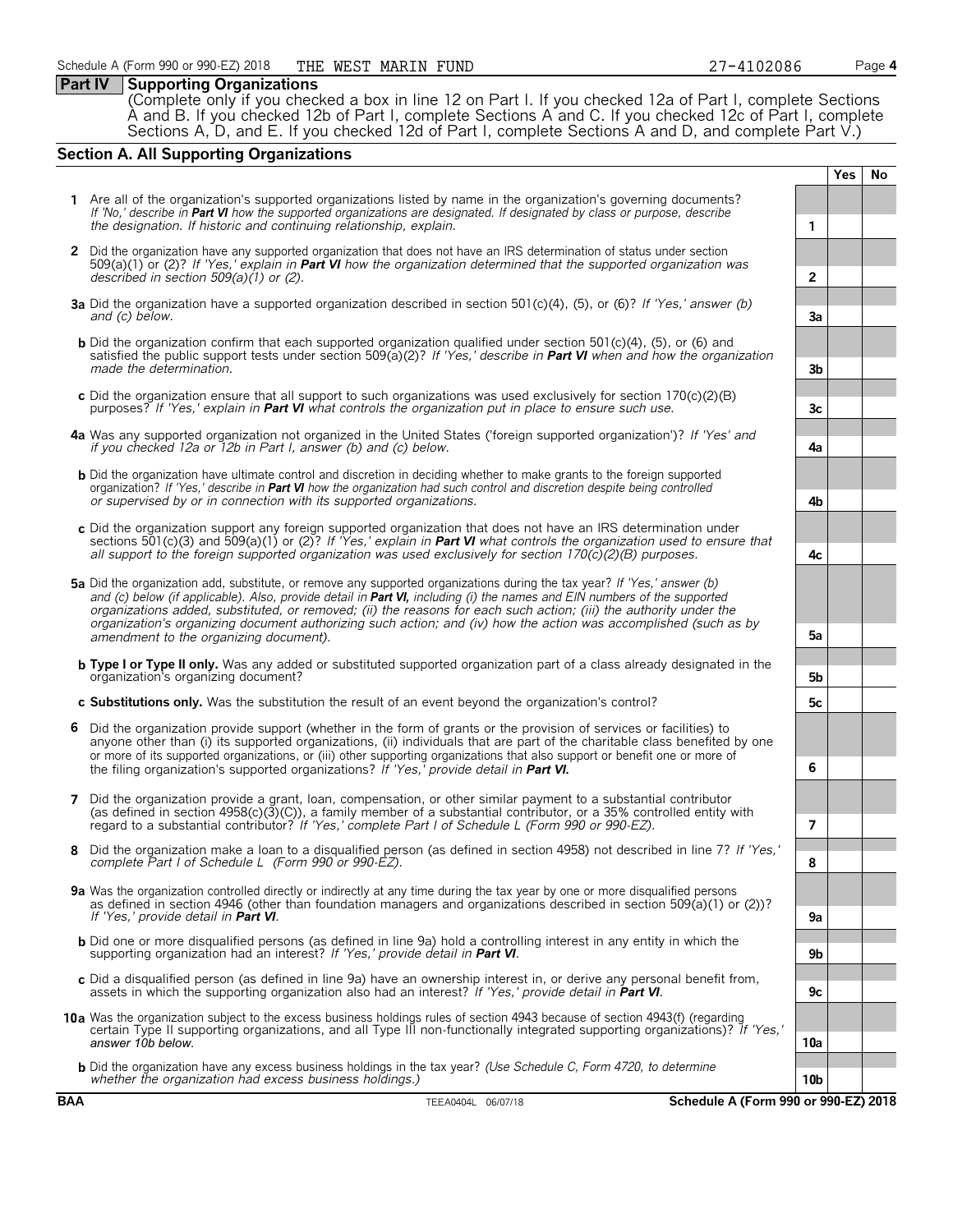#### **Part IV Supporting Organizations**

(Complete only if you checked a box in line 12 on Part I. If you checked 12a of Part I, complete Sections A and B. If you checked 12b of Part I, complete Sections A and C. If you checked 12c of Part I, complete Sections A, D, and E. If you checked 12d of Part I, complete Sections A and D, and complete Part V.)

### **Section A. All Supporting Organizations**

**Yes No 1** Are all of the organization's supported organizations listed by name in the organization's governing documents? *If 'No,' describe in Part VI how the supported organizations are designated. If designated by class or purpose, describe the designation. If historic and continuing relationship, explain.* **1 2** Did the organization have any supported organization that does not have an IRS determination of status under section 509(a)(1) or (2)? *If 'Yes,' explain in Part VI how the organization determined that the supported organization was described in section 509(a)(1) or (2).* **2 3a** Did the organization have a supported organization described in section 501(c)(4), (5), or (6)? *If 'Yes,' answer (b) and (c) below.* **3a b** Did the organization confirm that each supported organization qualified under section 501(c)(4), (5), or (6) and satisfied the public support tests under section 509(a)(2)? *If 'Yes,' describe in Part VI when and how the organization made the determination.* **3b c** Did the organization ensure that all support to such organizations was used exclusively for section 170(c)(2)(B) purposes? *If 'Yes,' explain in Part VI what controls the organization put in place to ensure such use.* **3c 4a** Was any supported organization not organized in the United States ('foreign supported organization')? *If 'Yes' and if you checked 12a or 12b in Part I, answer (b) and (c) below.* **4a b** Did the organization have ultimate control and discretion in deciding whether to make grants to the foreign supported organization? *If 'Yes,' describe in Part VI how the organization had such control and discretion despite being controlled or supervised by or in connection with its supported organizations.* **4b c** Did the organization support any foreign supported organization that does not have an IRS determination under sections 501(c)(3) and 509(a)(1) or (2)? *If 'Yes,' explain in Part VI what controls the organization used to ensure that all support to the foreign supported organization was used exclusively for section 170(c)(2)(B) purposes.* **4c 5a** Did the organization add, substitute, or remove any supported organizations during the tax year? *If 'Yes,' answer (b)* and (c) below (if applicable). Also, provide detail in **Part VI**, including (i) the names and EIN numbers of the supported *organizations added, substituted, or removed; (ii) the reasons for each such action; (iii) the authority under the organization's organizing document authorizing such action; and (iv) how the action was accomplished (such as by amendment to the organizing document).* **5a b Type I or Type II only.** Was any added or substituted supported organization part of a class already designated in the organization's organizing document? **5b c Substitutions only.** Was the substitution the result of an event beyond the organization's control? **5c 6** Did the organization provide support (whether in the form of grants or the provision of services or facilities) to anyone other than (i) its supported organizations, (ii) individuals that are part of the charitable class benefited by one or more of its supported organizations, or (iii) other supporting organizations that also support or benefit one or more of the filing organization's supported organizations? *If 'Yes,' provide detail in Part VI.* **6 7** Did the organization provide a grant, loan, compensation, or other similar payment to a substantial contributor (as defined in section 4958(c)(3)(C)), a family member of a substantial contributor, or a 35% controlled entity with regard to a substantial contributor? *If 'Yes,' complete Part I of Schedule L (Form 990 or 990-EZ).* **7 8** Did the organization make a loan to a disqualified person (as defined in section 4958) not described in line 7? *If 'Yes,' complete Part I of Schedule L (Form 990 or 990-EZ).* **8 9a** Was the organization controlled directly or indirectly at any time during the tax year by one or more disqualified persons as defined in section 4946 (other than foundation managers and organizations described in section 509(a)(1) or (2))? *If 'Yes,' provide detail in Part VI*. **9a** b Did one or more disqualified persons (as defined in line 9a) hold a controlling interest in any entity in which the<br>supporting organization had an interest? If 'Yes,' provide detail in **Part VI**. c Did a disqualified person (as defined in line 9a) have an ownership interest in, or derive any personal benefit from,<br>assets in which the supporting organization also had an interest? If 'Yes,' provide detail in Part VI. **10a** Was the organization subject to the excess business holdings rules of section 4943 because of section 4943(f) (regarding certain Type II supporting organizations, and all Type III non-functionally integrated supporting organizations)? *If 'Yes,' answer 10b below.* **10a b** Did the organization have any excess business holdings in the tax year? *(Use Schedule C, Form 4720, to determine whether the organization had excess business holdings.)* **10b**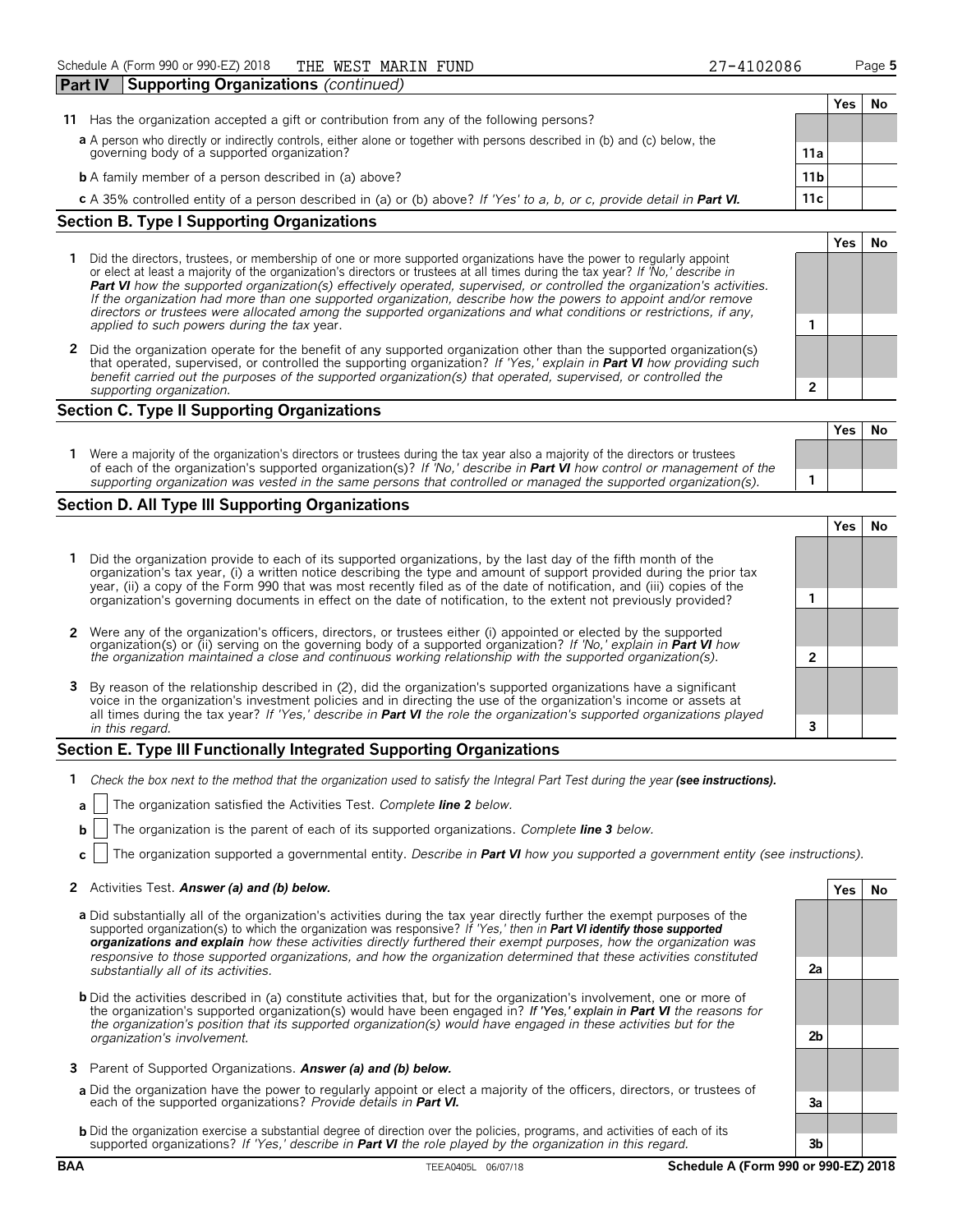| <b>Part IV</b> | <b>Supporting Organizations (continued)</b>                                                                               |                 |       |  |
|----------------|---------------------------------------------------------------------------------------------------------------------------|-----------------|-------|--|
|                |                                                                                                                           |                 | res ( |  |
| 11             | Has the organization accepted a gift or contribution from any of the following persons?                                   |                 |       |  |
|                | a A person who directly or indirectly controls, either alone or together with persons described in (b) and (c) below, the |                 |       |  |
|                | governing body of a supported organization?                                                                               | 11a             |       |  |
|                | <b>b</b> A family member of a person described in (a) above?                                                              | 11 <sub>b</sub> |       |  |
|                | c A 35% controlled entity of a person described in (a) or (b) above? If 'Yes' to a, b, or c, provide detail in Part VI.   | 11c             |       |  |
|                | <b>Section B. Type I Supporting Organizations</b>                                                                         |                 |       |  |

#### **1** Did the directors, trustees, or membership of one or more supported organizations have the power to regularly appoint or elect at least a majority of the organization's directors or trustees at all times during the tax year? *If 'No,' describe in Part VI how the supported organization(s) effectively operated, supervised, or controlled the organization's activities. If the organization had more than one supported organization, describe how the powers to appoint and/or remove directors or trustees were allocated among the supported organizations and what conditions or restrictions, if any, applied to such powers during the tax* year. **1**

**2** Did the organization operate for the benefit of any supported organization other than the supported organization(s) that operated, supervised, or controlled the supporting organization? *If 'Yes,' explain in Part VI how providing such benefit carried out the purposes of the supported organization(s) that operated, supervised, or controlled the supporting organization.* **2**

#### **Section C. Type II Supporting Organizations**

|                                                                                                                                                                                                                                                               | Yes | No |
|---------------------------------------------------------------------------------------------------------------------------------------------------------------------------------------------------------------------------------------------------------------|-----|----|
| Were a majority of the organization's directors or trustees during the tax year also a majority of the directors or trustees<br>of each of the organization's supported organization(s)? If 'No,' describe in <b>Part VI</b> how control or management of the |     |    |
| supporting organization was vested in the same persons that controlled or managed the supported organization(s).                                                                                                                                              |     |    |

#### **Section D. All Type III Supporting Organizations**

| 1 Did the organization provide to each of its supported organizations, by the last day of the fifth month of the<br>organization's tax year, (i) a written notice describing the type and amount of support provided during the prior tax |                                                                                                                                                                                                                                                                                                                                                                                                                                                                                                                                                                                                                                              |  |
|-------------------------------------------------------------------------------------------------------------------------------------------------------------------------------------------------------------------------------------------|----------------------------------------------------------------------------------------------------------------------------------------------------------------------------------------------------------------------------------------------------------------------------------------------------------------------------------------------------------------------------------------------------------------------------------------------------------------------------------------------------------------------------------------------------------------------------------------------------------------------------------------------|--|
| organization's governing documents in effect on the date of notification, to the extent not previously provided?                                                                                                                          |                                                                                                                                                                                                                                                                                                                                                                                                                                                                                                                                                                                                                                              |  |
|                                                                                                                                                                                                                                           |                                                                                                                                                                                                                                                                                                                                                                                                                                                                                                                                                                                                                                              |  |
|                                                                                                                                                                                                                                           |                                                                                                                                                                                                                                                                                                                                                                                                                                                                                                                                                                                                                                              |  |
| the organization maintained a close and continuous working relationship with the supported organization(s).                                                                                                                               |                                                                                                                                                                                                                                                                                                                                                                                                                                                                                                                                                                                                                                              |  |
|                                                                                                                                                                                                                                           |                                                                                                                                                                                                                                                                                                                                                                                                                                                                                                                                                                                                                                              |  |
| voice in the organization's investment policies and in directing the use of the organization's income or assets at                                                                                                                        |                                                                                                                                                                                                                                                                                                                                                                                                                                                                                                                                                                                                                                              |  |
|                                                                                                                                                                                                                                           | ,                                                                                                                                                                                                                                                                                                                                                                                                                                                                                                                                                                                                                                            |  |
|                                                                                                                                                                                                                                           | year, (ii) a copy of the Form 990 that was most recently filed as of the date of notification, and (iii) copies of the<br>2 Were any of the organization's officers, directors, or trustees either (i) appointed or elected by the supported<br>organization(s) or (ii) serving on the governing body of a supported organization? If No, explain in Part VI how<br>3 By reason of the relationship described in (2), did the organization's supported organizations have a significant<br>all times during the tax year? If 'Yes,' describe in <b>Part VI</b> the role the organization's supported organizations played<br>in this regard. |  |

#### **Section E. Type III Functionally Integrated Supporting Organizations**

- **1** *Check the box next to the method that the organization used to satisfy the Integral Part Test during the year (see instructions).* 
	- **a** The organization satisfied the Activities Test. *Complete line 2 below.*
	- **b** The organization is the parent of each of its supported organizations. *Complete line 3 below.*
	- **c** The organization supported a governmental entity. *Describe in Part VI how you supported a government entity (see instructions).*

#### **2** Activities Test. *Answer (a) and (b) below.* **Yes No**

- **a** Did substantially all of the organization's activities during the tax year directly further the exempt purposes of the supported organization(s) to which the organization was responsive? *If 'Yes,' then in Part VI identify those supported organizations and explain how these activities directly furthered their exempt purposes, how the organization was responsive to those supported organizations, and how the organization determined that these activities constituted substantially all of its activities.* **2a**
- **b** Did the activities described in (a) constitute activities that, but for the organization's involvement, one or more of the organization's supported organization(s) would have been engaged in? *If 'Yes,' explain in Part VI the reasons for the organization's position that its supported organization(s) would have engaged in these activities but for the organization's involvement.* **2b**
- **3** Parent of Supported Organizations. *Answer (a) and (b) below.*
- **a** Did the organization have the power to regularly appoint or elect a majority of the officers, directors, or trustees of each of the supported organizations? *Provide details in Part VI.* **3a**
- **b** Did the organization exercise a substantial degree of direction over the policies, programs, and activities of each of its supported organizations? *If 'Yes,' describe in Part VI the role played by the organization in this regard.* **3b**

**Yes No**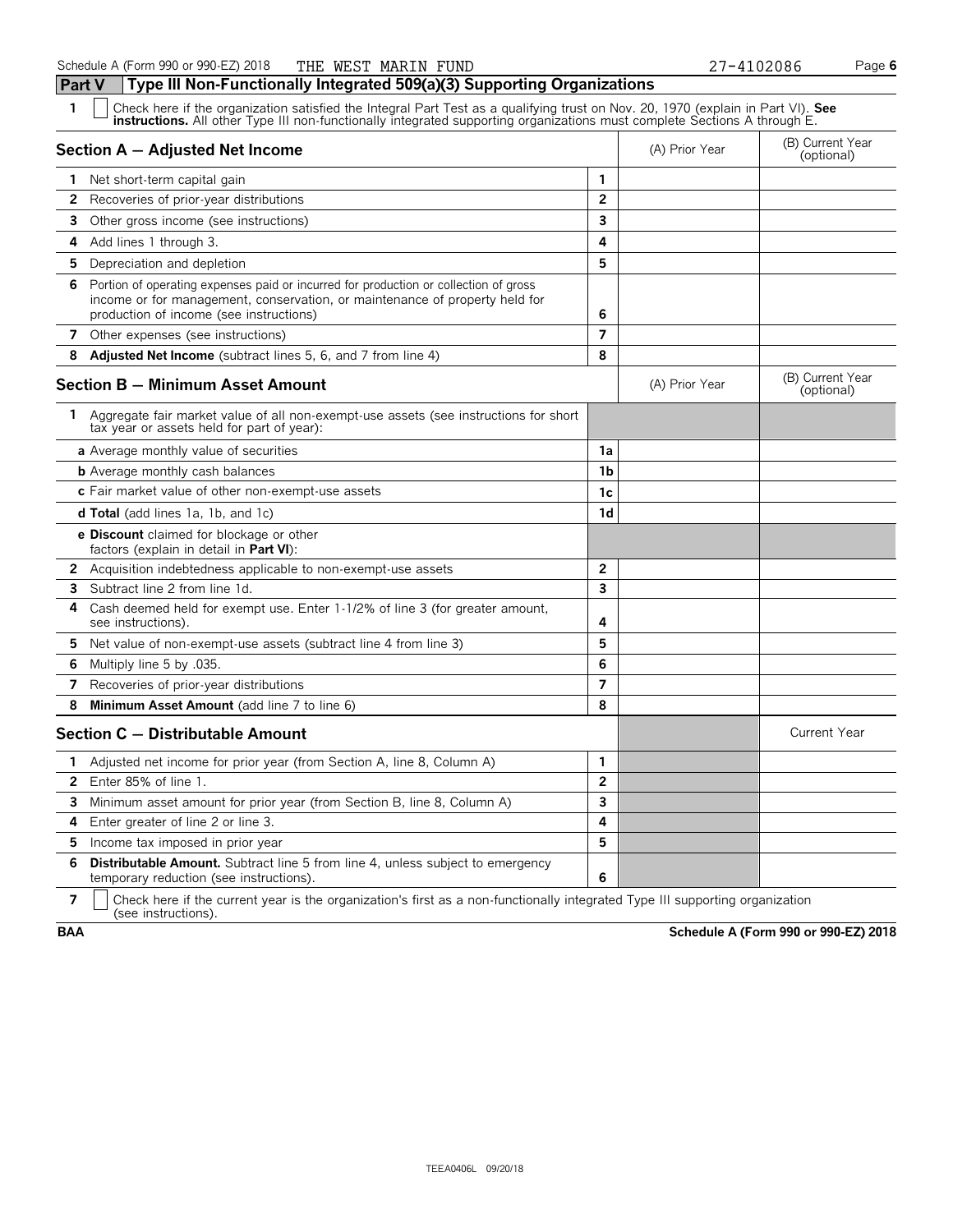|              | Type III Non-Functionally Integrated 509(a)(3) Supporting Organizations<br>Part V                                                                                                                                                                                    |                          |                |                                |
|--------------|----------------------------------------------------------------------------------------------------------------------------------------------------------------------------------------------------------------------------------------------------------------------|--------------------------|----------------|--------------------------------|
| 1            | Check here if the organization satisfied the Integral Part Test as a qualifying trust on Nov. 20, 1970 (explain in Part VI). See<br><b>instructions.</b> All other Type III non-functionally integrated supporting organizations must complete Sections A through E. |                          |                |                                |
|              | Section A - Adjusted Net Income                                                                                                                                                                                                                                      |                          | (A) Prior Year | (B) Current Year<br>(optional) |
| 1            | Net short-term capital gain                                                                                                                                                                                                                                          | 1                        |                |                                |
| $\mathbf{2}$ | Recoveries of prior-year distributions                                                                                                                                                                                                                               | $\overline{2}$           |                |                                |
| 3            | Other gross income (see instructions)                                                                                                                                                                                                                                | 3                        |                |                                |
| 4            | Add lines 1 through 3.                                                                                                                                                                                                                                               | 4                        |                |                                |
| 5            | Depreciation and depletion                                                                                                                                                                                                                                           | 5                        |                |                                |
| 6            | Portion of operating expenses paid or incurred for production or collection of gross<br>income or for management, conservation, or maintenance of property held for<br>production of income (see instructions)                                                       | 6                        |                |                                |
| 7            | Other expenses (see instructions)                                                                                                                                                                                                                                    | $\overline{7}$           |                |                                |
| 8            | <b>Adjusted Net Income</b> (subtract lines 5, 6, and 7 from line 4)                                                                                                                                                                                                  | 8                        |                |                                |
|              | <b>Section B - Minimum Asset Amount</b>                                                                                                                                                                                                                              |                          | (A) Prior Year | (B) Current Year<br>(optional) |
| 1.           | Aggregate fair market value of all non-exempt-use assets (see instructions for short<br>tax year or assets held for part of year):                                                                                                                                   |                          |                |                                |
|              | a Average monthly value of securities                                                                                                                                                                                                                                | 1a                       |                |                                |
|              | <b>b</b> Average monthly cash balances                                                                                                                                                                                                                               | 1b                       |                |                                |
|              | c Fair market value of other non-exempt-use assets                                                                                                                                                                                                                   | 1c                       |                |                                |
|              | <b>d Total</b> (add lines 1a, 1b, and 1c)                                                                                                                                                                                                                            | 1 <sub>d</sub>           |                |                                |
|              | <b>e Discount</b> claimed for blockage or other<br>factors (explain in detail in Part VI):                                                                                                                                                                           |                          |                |                                |
| 2            | Acquisition indebtedness applicable to non-exempt-use assets                                                                                                                                                                                                         | $\overline{2}$           |                |                                |
| 3            | Subtract line 2 from line 1d.                                                                                                                                                                                                                                        | 3                        |                |                                |
| 4            | Cash deemed held for exempt use. Enter 1-1/2% of line 3 (for greater amount,<br>see instructions).                                                                                                                                                                   | 4                        |                |                                |
| 5            | Net value of non-exempt-use assets (subtract line 4 from line 3)                                                                                                                                                                                                     | 5                        |                |                                |
| 6            | Multiply line 5 by .035.                                                                                                                                                                                                                                             | 6                        |                |                                |
| 7            | Recoveries of prior-year distributions                                                                                                                                                                                                                               | $\overline{\phantom{a}}$ |                |                                |
| 8            | Minimum Asset Amount (add line 7 to line 6)                                                                                                                                                                                                                          | 8                        |                |                                |
|              | Section C - Distributable Amount                                                                                                                                                                                                                                     |                          |                | <b>Current Year</b>            |
| 1            | Adjusted net income for prior year (from Section A, line 8, Column A)                                                                                                                                                                                                | $\mathbf{1}$             |                |                                |
| $\mathbf{2}$ | Enter 85% of line 1.                                                                                                                                                                                                                                                 | $\overline{2}$           |                |                                |
| 3            | Minimum asset amount for prior year (from Section B, line 8, Column A)                                                                                                                                                                                               | $\overline{\mathbf{3}}$  |                |                                |
| 4            | Enter greater of line 2 or line 3.                                                                                                                                                                                                                                   | 4                        |                |                                |
| 5            | Income tax imposed in prior year                                                                                                                                                                                                                                     | 5                        |                |                                |
| 6            | <b>Distributable Amount.</b> Subtract line 5 from line 4, unless subject to emergency<br>temporary reduction (see instructions).                                                                                                                                     | 6                        |                |                                |

**7**  $\mid$  Check here if the current year is the organization's first as a non-functionally integrated Type III supporting organization (see instructions).

**BAA Schedule A (Form 990 or 990-EZ) 2018**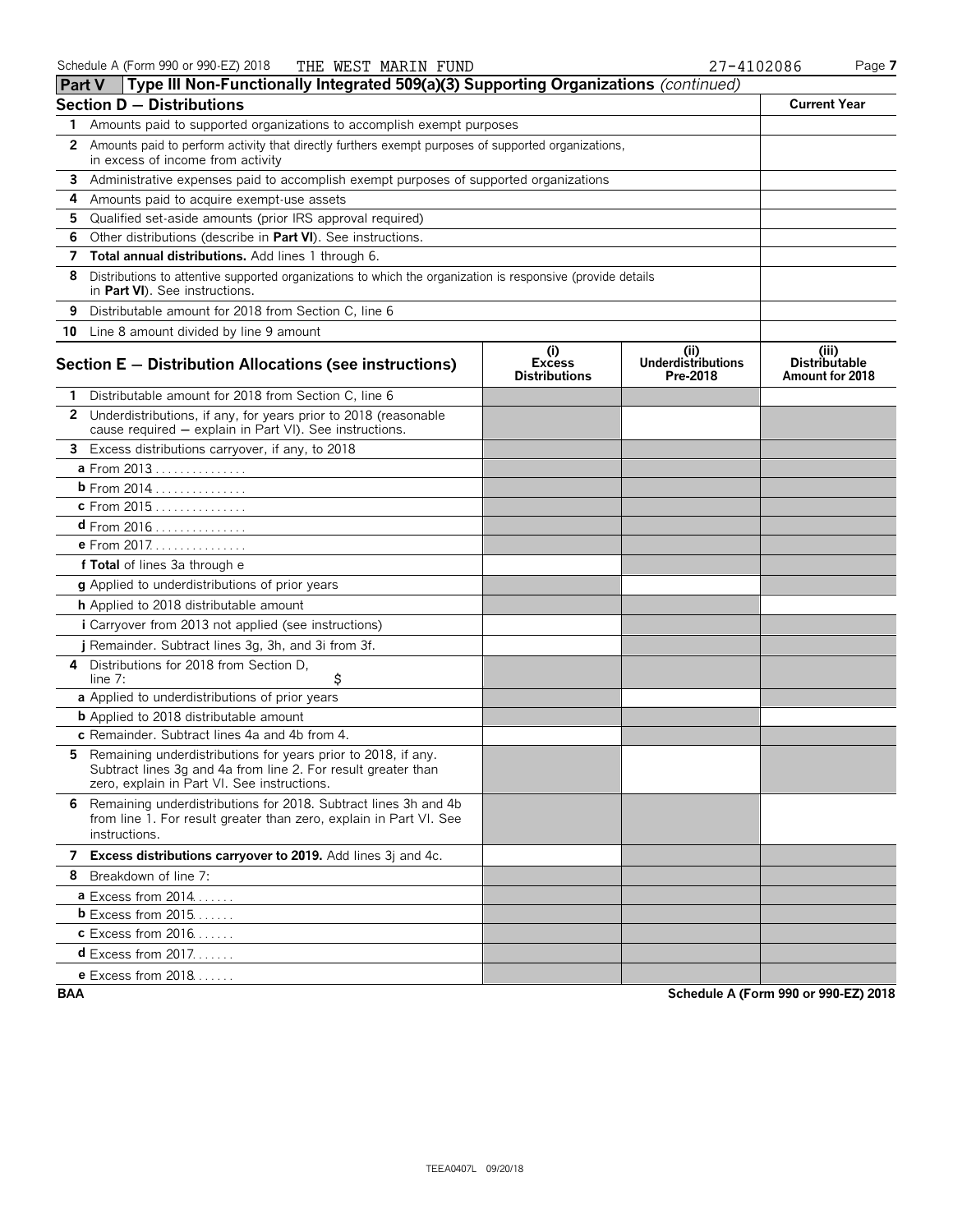| <b>Part V</b> | Type III Non-Functionally Integrated 509(a)(3) Supporting Organizations (continued)                                                                                           |                                              |                                              |                                                  |
|---------------|-------------------------------------------------------------------------------------------------------------------------------------------------------------------------------|----------------------------------------------|----------------------------------------------|--------------------------------------------------|
|               | <b>Section D - Distributions</b>                                                                                                                                              |                                              |                                              | <b>Current Year</b>                              |
| 1.            | Amounts paid to supported organizations to accomplish exempt purposes                                                                                                         |                                              |                                              |                                                  |
| 2             | Amounts paid to perform activity that directly furthers exempt purposes of supported organizations,<br>in excess of income from activity                                      |                                              |                                              |                                                  |
| 3             | Administrative expenses paid to accomplish exempt purposes of supported organizations                                                                                         |                                              |                                              |                                                  |
| 4             | Amounts paid to acquire exempt-use assets                                                                                                                                     |                                              |                                              |                                                  |
| 5             | Qualified set-aside amounts (prior IRS approval required)                                                                                                                     |                                              |                                              |                                                  |
| 6             | Other distributions (describe in Part VI). See instructions.                                                                                                                  |                                              |                                              |                                                  |
| 7             | Total annual distributions. Add lines 1 through 6.                                                                                                                            |                                              |                                              |                                                  |
| 8             | Distributions to attentive supported organizations to which the organization is responsive (provide details<br>in Part VI). See instructions.                                 |                                              |                                              |                                                  |
| 9             | Distributable amount for 2018 from Section C, line 6                                                                                                                          |                                              |                                              |                                                  |
|               | 10 Line 8 amount divided by line 9 amount                                                                                                                                     |                                              |                                              |                                                  |
|               | Section E - Distribution Allocations (see instructions)                                                                                                                       | (i)<br><b>Excess</b><br><b>Distributions</b> | (i)<br><b>Underdistributions</b><br>Pre-2018 | (iii)<br><b>Distributable</b><br>Amount for 2018 |
|               | Distributable amount for 2018 from Section C, line 6                                                                                                                          |                                              |                                              |                                                  |
|               | 2 Underdistributions, if any, for years prior to 2018 (reasonable<br>cause required - explain in Part VI). See instructions.                                                  |                                              |                                              |                                                  |
| 3             | Excess distributions carryover, if any, to 2018                                                                                                                               |                                              |                                              |                                                  |
|               | a From 2013                                                                                                                                                                   |                                              |                                              |                                                  |
|               | <b>b</b> From 2014                                                                                                                                                            |                                              |                                              |                                                  |
|               | c From 2015                                                                                                                                                                   |                                              |                                              |                                                  |
|               | $d$ From 2016                                                                                                                                                                 |                                              |                                              |                                                  |
|               | <b>e</b> From 2017.                                                                                                                                                           |                                              |                                              |                                                  |
|               | f Total of lines 3a through e                                                                                                                                                 |                                              |                                              |                                                  |
|               | g Applied to underdistributions of prior years                                                                                                                                |                                              |                                              |                                                  |
|               | h Applied to 2018 distributable amount                                                                                                                                        |                                              |                                              |                                                  |
|               | <i>i</i> Carryover from 2013 not applied (see instructions)                                                                                                                   |                                              |                                              |                                                  |
|               | j Remainder. Subtract lines 3g, 3h, and 3i from 3f.                                                                                                                           |                                              |                                              |                                                  |
| 4             | Distributions for 2018 from Section D.<br>\$<br>line 7:                                                                                                                       |                                              |                                              |                                                  |
|               | a Applied to underdistributions of prior years                                                                                                                                |                                              |                                              |                                                  |
|               | <b>b</b> Applied to 2018 distributable amount                                                                                                                                 |                                              |                                              |                                                  |
|               | c Remainder. Subtract lines 4a and 4b from 4.                                                                                                                                 |                                              |                                              |                                                  |
| 5.            | Remaining underdistributions for years prior to 2018, if any.<br>Subtract lines 3g and 4a from line 2. For result greater than<br>zero, explain in Part VI. See instructions. |                                              |                                              |                                                  |
|               | 6 Remaining underdistributions for 2018. Subtract lines 3h and 4b<br>from line 1. For result greater than zero, explain in Part VI. See<br>instructions.                      |                                              |                                              |                                                  |
|               | 7 Excess distributions carryover to 2019. Add lines 3j and 4c.                                                                                                                |                                              |                                              |                                                  |
|               | 8 Breakdown of line 7:                                                                                                                                                        |                                              |                                              |                                                  |
|               | <b>a</b> Excess from $2014$                                                                                                                                                   |                                              |                                              |                                                  |
|               | $b$ Excess from 2015                                                                                                                                                          |                                              |                                              |                                                  |
|               | <b>c</b> Excess from 2016                                                                                                                                                     |                                              |                                              |                                                  |
|               | <b>d</b> Excess from 2017                                                                                                                                                     |                                              |                                              |                                                  |
|               | e Excess from 2018                                                                                                                                                            |                                              |                                              |                                                  |

**BAA Schedule A (Form 990 or 990-EZ) 2018**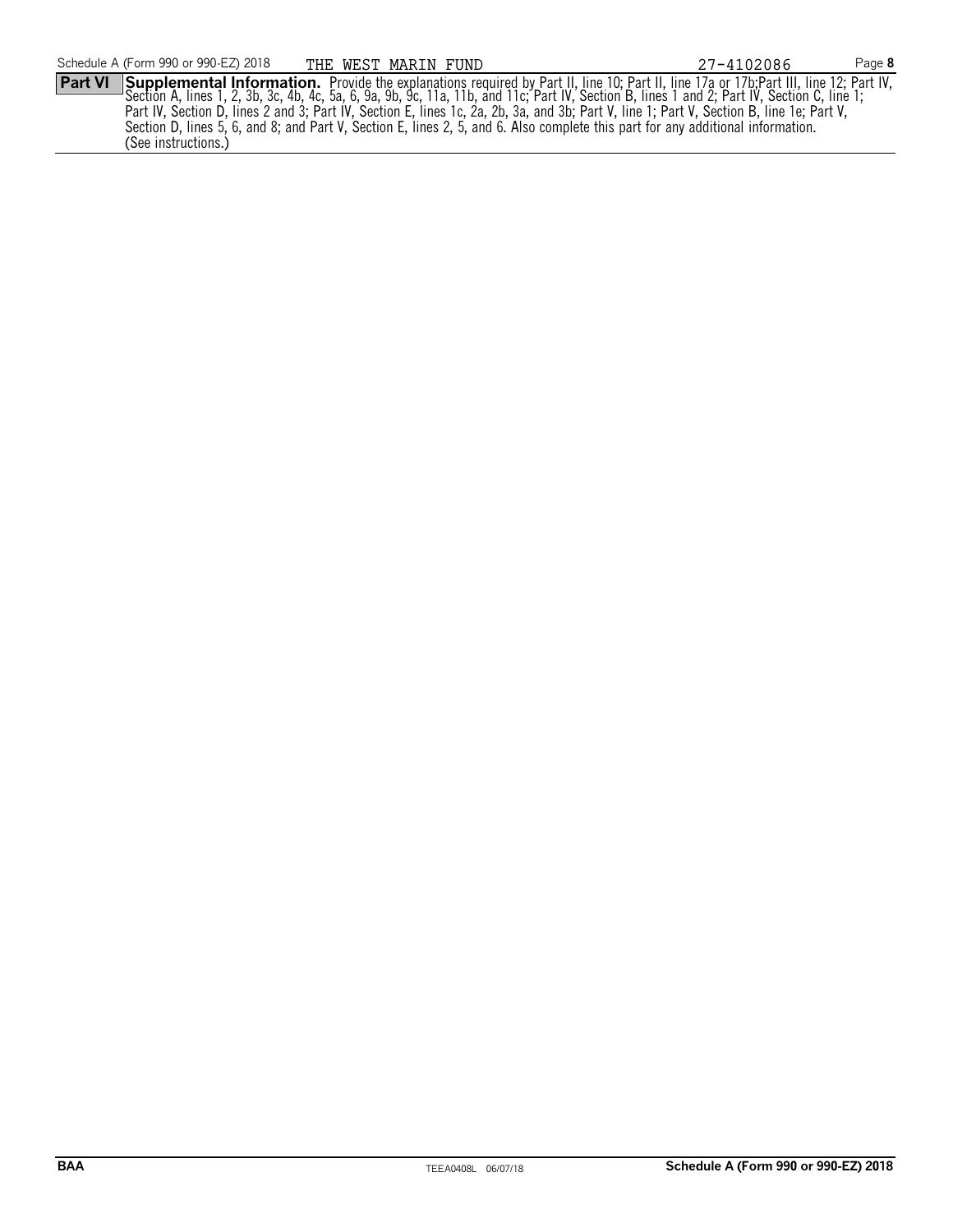Part VI Supplemental Information. Provide the explanations required by Part II, line 10; Part II, line 17a or 17b;Part III, line 12; Part IV,<br>Section A, lines 1, 2, 3b, 3c, 4b, 4c, 5a, 6, 9a, 9b, 9c, 11a, 11b, and 11c; Par Part IV, Section D, lines 2 and 3; Part IV, Section E, lines 1c, 2a, 2b, 3a, and 3b; Part V, line 1; Part V, Section B, line 1e; Part V, Section D, lines 5, 6, and 8; and Part V, Section E, lines 2, 5, and 6. Also complete this part for any additional information. (See instructions.)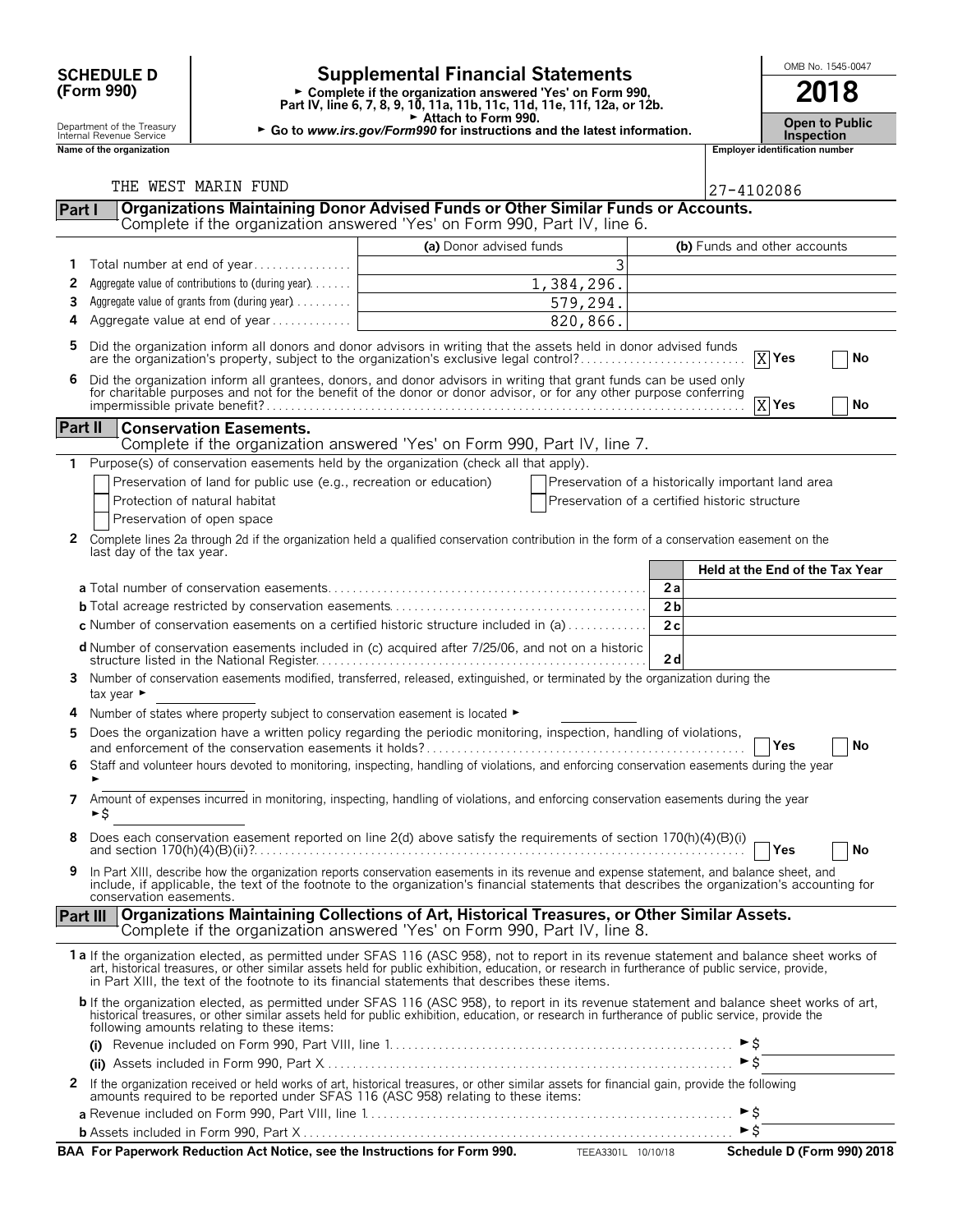| <b>SCHEDULE D</b> |  |
|-------------------|--|
| (Form 990)        |  |

## SCHEDULE D Supplemental Financial Statements<br>
Form 990) Fomplete if the organization answered 'Yes' on Form 990, **DO18**

**Part IV, line 6, 7, 8, 9, 10, 11a, 11b, 11c, 11d, 11e, 11f, 12a, or 12b. 2018** 

Attach to Form 990.

► Attach to Form 990.<br>
■ Go to *www.irs.gov/Form990* for instructions and the latest information. Inspection Department of the Treasury **Exercision Exercise PEATLICE CONFORM SPULLER IDENT CONFORM SPULLER IDENT COPER TO PULLER IDENT COPER TO PULLER INCREDIBLER COPER TO PULLER INCREDIBLER INCREDIBLER INCREDIBLER INCREDIBLER INCR** 

| THE WEST MARIN FUND                                                                                                                                                                                                                                                                                                                                                                            |                                                                                   |                                                    |
|------------------------------------------------------------------------------------------------------------------------------------------------------------------------------------------------------------------------------------------------------------------------------------------------------------------------------------------------------------------------------------------------|-----------------------------------------------------------------------------------|----------------------------------------------------|
| Part I                                                                                                                                                                                                                                                                                                                                                                                         | Organizations Maintaining Donor Advised Funds or Other Similar Funds or Accounts. | 27-4102086                                         |
|                                                                                                                                                                                                                                                                                                                                                                                                | Complete if the organization answered 'Yes' on Form 990, Part IV, line 6.         |                                                    |
|                                                                                                                                                                                                                                                                                                                                                                                                | (a) Donor advised funds                                                           | (b) Funds and other accounts                       |
| Total number at end of year<br>1                                                                                                                                                                                                                                                                                                                                                               | 3                                                                                 |                                                    |
| Aggregate value of contributions to (during year)<br>2                                                                                                                                                                                                                                                                                                                                         | 1,384,296.                                                                        |                                                    |
| Aggregate value of grants from (during year)                                                                                                                                                                                                                                                                                                                                                   | 579,294.                                                                          |                                                    |
| Aggregate value at end of year<br>4                                                                                                                                                                                                                                                                                                                                                            | 820,866.                                                                          |                                                    |
| Did the organization inform all donors and donor advisors in writing that the assets held in donor advised funds<br>5<br>are the organization's property, subject to the organization's exclusive legal control?                                                                                                                                                                               |                                                                                   | $\overline{X}$ Yes<br>No                           |
| Did the organization inform all grantees, donors, and donor advisors in writing that grant funds can be used only<br>for charitable purposes and not for the benefit of the donor or donor advisor, or for any other purpose conf<br>6                                                                                                                                                         |                                                                                   | $X$ Yes<br>No                                      |
| Part II<br><b>Conservation Easements.</b>                                                                                                                                                                                                                                                                                                                                                      | Complete if the organization answered 'Yes' on Form 990, Part IV, line 7.         |                                                    |
| 1 Purpose(s) of conservation easements held by the organization (check all that apply).                                                                                                                                                                                                                                                                                                        |                                                                                   |                                                    |
| Preservation of land for public use (e.g., recreation or education)                                                                                                                                                                                                                                                                                                                            |                                                                                   | Preservation of a historically important land area |
| Protection of natural habitat                                                                                                                                                                                                                                                                                                                                                                  |                                                                                   | Preservation of a certified historic structure     |
| Preservation of open space                                                                                                                                                                                                                                                                                                                                                                     |                                                                                   |                                                    |
| 2 Complete lines 2a through 2d if the organization held a qualified conservation contribution in the form of a conservation easement on the<br>last day of the tax year.                                                                                                                                                                                                                       |                                                                                   |                                                    |
|                                                                                                                                                                                                                                                                                                                                                                                                |                                                                                   | Held at the End of the Tax Year                    |
|                                                                                                                                                                                                                                                                                                                                                                                                |                                                                                   | 2a                                                 |
|                                                                                                                                                                                                                                                                                                                                                                                                |                                                                                   | 2 <sub>b</sub>                                     |
| c Number of conservation easements on a certified historic structure included in (a)                                                                                                                                                                                                                                                                                                           |                                                                                   | 2c                                                 |
| d Number of conservation easements included in (c) acquired after 7/25/06, and not on a historic                                                                                                                                                                                                                                                                                               |                                                                                   | 2d                                                 |
| 3 Number of conservation easements modified, transferred, released, extinguished, or terminated by the organization during the<br>tax year ►                                                                                                                                                                                                                                                   |                                                                                   |                                                    |
| Number of states where property subject to conservation easement is located ▶                                                                                                                                                                                                                                                                                                                  |                                                                                   |                                                    |
| Does the organization have a written policy regarding the periodic monitoring, inspection, handling of violations,<br>5                                                                                                                                                                                                                                                                        |                                                                                   | No<br>Yes                                          |
| Staff and volunteer hours devoted to monitoring, inspecting, handling of violations, and enforcing conservation easements during the year<br>6                                                                                                                                                                                                                                                 |                                                                                   |                                                    |
| 7 Amount of expenses incurred in monitoring, inspecting, handling of violations, and enforcing conservation easements during the year                                                                                                                                                                                                                                                          |                                                                                   |                                                    |
| Does each conservation easement reported on line 2(d) above satisfy the requirements of section 170(h)(4)(B)(i)                                                                                                                                                                                                                                                                                |                                                                                   | $7$ Yes<br>No                                      |
| In Part XIII, describe how the organization reports conservation easements in its revenue and expense statement, and balance sheet, and<br>include, if applicable, the text of the footnote to the organization's financial statements that describes the organization's accounting for<br>conservation easements.                                                                             |                                                                                   |                                                    |
| Part III Organizations Maintaining Collections of Art, Historical Treasures, or Other Similar Assets.                                                                                                                                                                                                                                                                                          | Complete if the organization answered 'Yes' on Form 990, Part IV, line 8.         |                                                    |
| 1a If the organization elected, as permitted under SFAS 116 (ASC 958), not to report in its revenue statement and balance sheet works of<br>art, historical treasures, or other similar assets held for public exhibition, education, or research in furtherance of public service, provide,<br>in Part XIII, the text of the footnote to its financial statements that describes these items. |                                                                                   |                                                    |
| <b>b</b> If the organization elected, as permitted under SFAS 116 (ASC 958), to report in its revenue statement and balance sheet works of art,<br>historical treasures, or other similar assets held for public exhibition, education, or research in furtherance of public service, provide the<br>following amounts relating to these items:                                                |                                                                                   |                                                    |
|                                                                                                                                                                                                                                                                                                                                                                                                |                                                                                   |                                                    |
|                                                                                                                                                                                                                                                                                                                                                                                                |                                                                                   |                                                    |
| If the organization received or held works of art, historical treasures, or other similar assets for financial gain, provide the following<br>2<br>amounts required to be reported under SFAS 116 (ASC 958) relating to these items:                                                                                                                                                           |                                                                                   |                                                    |
|                                                                                                                                                                                                                                                                                                                                                                                                |                                                                                   | ►\$                                                |
|                                                                                                                                                                                                                                                                                                                                                                                                |                                                                                   | $\triangleright$ \$                                |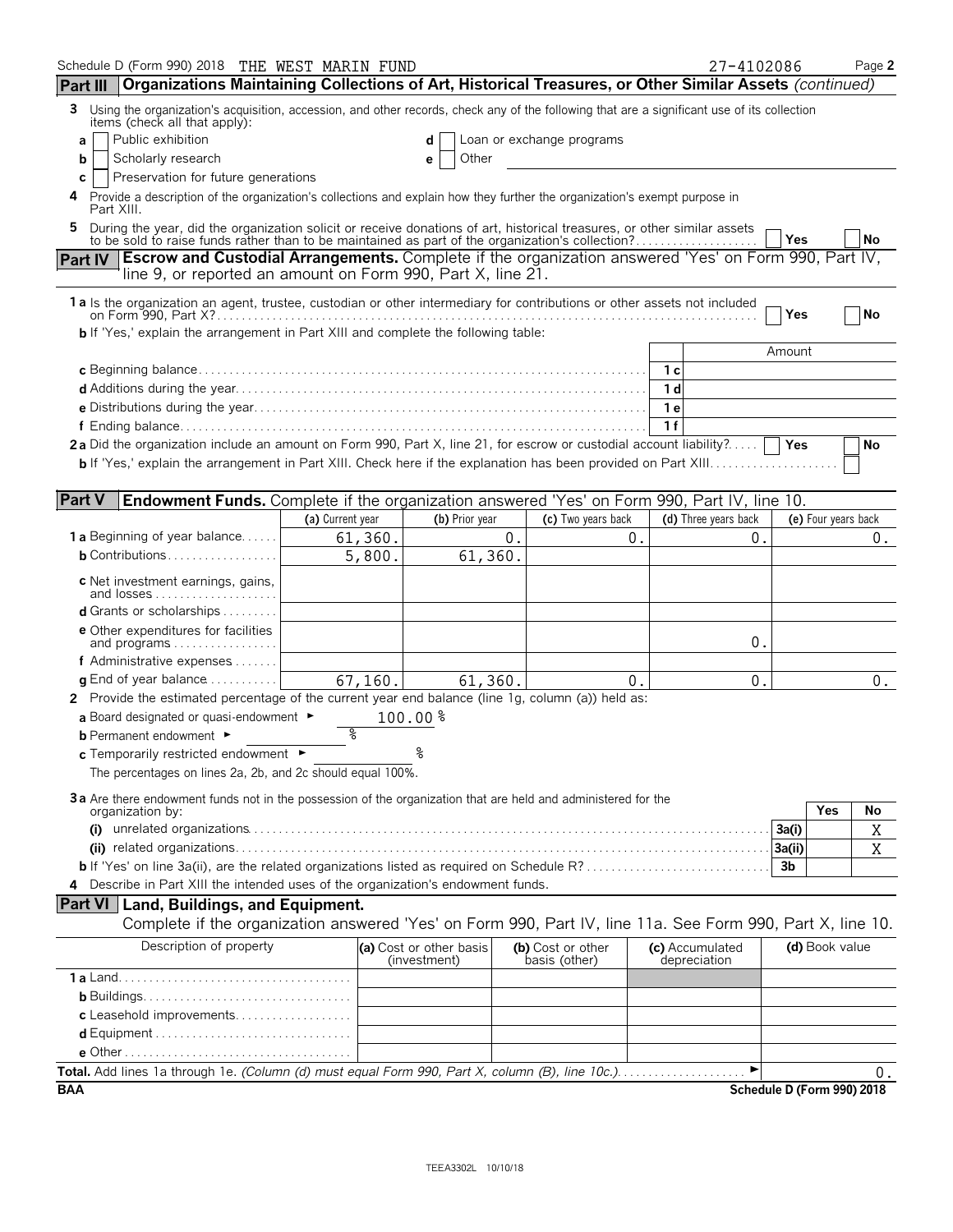| Schedule D (Form 990) 2018 THE WEST MARIN FUND                                                                                                                                                                                 |                  |                                         |                                    | 27-4102086                      |                            |                     | Page 2 |
|--------------------------------------------------------------------------------------------------------------------------------------------------------------------------------------------------------------------------------|------------------|-----------------------------------------|------------------------------------|---------------------------------|----------------------------|---------------------|--------|
| Organizations Maintaining Collections of Art, Historical Treasures, or Other Similar Assets (continued)<br><b>Part III</b>                                                                                                     |                  |                                         |                                    |                                 |                            |                     |        |
| Using the organization's acquisition, accession, and other records, check any of the following that are a significant use of its collection<br>3.<br>items (check all that apply):                                             |                  |                                         |                                    |                                 |                            |                     |        |
| Public exhibition<br>a                                                                                                                                                                                                         |                  | d                                       | Loan or exchange programs          |                                 |                            |                     |        |
| Scholarly research<br>b                                                                                                                                                                                                        |                  | Other<br>е                              |                                    |                                 |                            |                     |        |
| Preservation for future generations<br>C<br>Provide a description of the organization's collections and explain how they further the organization's exempt purpose in                                                          |                  |                                         |                                    |                                 |                            |                     |        |
| Part XIII.                                                                                                                                                                                                                     |                  |                                         |                                    |                                 |                            |                     |        |
| During the year, did the organization solicit or receive donations of art, historical treasures, or other similar assets to be sold to raise funds rather than to be maintained as part of the organization's collection?<br>5 |                  |                                         |                                    |                                 | Yes                        |                     | No     |
| Part IV Escrow and Custodial Arrangements. Complete if the organization answered 'Yes' on Form 990, Part IV,<br>line 9, or reported an amount on Form 990, Part X, line 21.                                                    |                  |                                         |                                    |                                 |                            |                     |        |
| 1a Is the organization an agent, trustee, custodian or other intermediary for contributions or other assets not included                                                                                                       |                  |                                         |                                    |                                 | Yes                        |                     | No     |
| <b>b</b> If 'Yes,' explain the arrangement in Part XIII and complete the following table:                                                                                                                                      |                  |                                         |                                    |                                 |                            |                     |        |
|                                                                                                                                                                                                                                |                  |                                         |                                    |                                 | Amount                     |                     |        |
|                                                                                                                                                                                                                                |                  |                                         |                                    |                                 |                            |                     |        |
|                                                                                                                                                                                                                                |                  |                                         |                                    | 1 d                             |                            |                     |        |
|                                                                                                                                                                                                                                |                  |                                         |                                    | 1e<br>1f                        |                            |                     |        |
| 2a Did the organization include an amount on Form 990, Part X, line 21, for escrow or custodial account liability?                                                                                                             |                  |                                         |                                    |                                 |                            |                     | No     |
|                                                                                                                                                                                                                                |                  |                                         |                                    |                                 |                            |                     |        |
|                                                                                                                                                                                                                                |                  |                                         |                                    |                                 |                            |                     |        |
| <b>Part V</b><br>Endowment Funds. Complete if the organization answered 'Yes' on Form 990, Part IV, line 10.                                                                                                                   |                  |                                         |                                    |                                 |                            |                     |        |
|                                                                                                                                                                                                                                | (a) Current year | (b) Prior year                          | (c) Two years back                 | (d) Three years back            |                            | (e) Four years back |        |
| <b>1 a</b> Beginning of year balance                                                                                                                                                                                           | 61,360.          |                                         | 0.<br>0.                           | 0.                              |                            |                     | 0.     |
| <b>b</b> Contributions                                                                                                                                                                                                         | 5,800.           | 61,360.                                 |                                    |                                 |                            |                     |        |
| <b>c</b> Net investment earnings, gains,                                                                                                                                                                                       |                  |                                         |                                    |                                 |                            |                     |        |
| <b>d</b> Grants or scholarships $\ldots$                                                                                                                                                                                       |                  |                                         |                                    |                                 |                            |                     |        |
| <b>e</b> Other expenditures for facilities<br>and programs                                                                                                                                                                     |                  |                                         |                                    | 0.                              |                            |                     |        |
| f Administrative expenses                                                                                                                                                                                                      |                  |                                         |                                    |                                 |                            |                     |        |
| <b>g</b> End of year balance $\ldots \ldots \ldots$                                                                                                                                                                            | 67, 160.         | 61,360.                                 | 0.                                 | 0.                              |                            |                     | 0.     |
| 2 Provide the estimated percentage of the current year end balance (line 1g, column (a)) held as:                                                                                                                              |                  |                                         |                                    |                                 |                            |                     |        |
| a Board designated or quasi-endowment $\blacktriangleright$                                                                                                                                                                    |                  | 100.00 <sup>8</sup>                     |                                    |                                 |                            |                     |        |
| <b>b</b> Permanent endowment ►                                                                                                                                                                                                 | ٥,               |                                         |                                    |                                 |                            |                     |        |
| c Temporarily restricted endowment ►                                                                                                                                                                                           |                  | ٥.                                      |                                    |                                 |                            |                     |        |
| The percentages on lines 2a, 2b, and 2c should equal 100%.                                                                                                                                                                     |                  |                                         |                                    |                                 |                            |                     |        |
| 3a Are there endowment funds not in the possession of the organization that are held and administered for the                                                                                                                  |                  |                                         |                                    |                                 |                            |                     |        |
| organization by:<br>(i)                                                                                                                                                                                                        |                  |                                         |                                    |                                 |                            | <b>Yes</b>          | No     |
|                                                                                                                                                                                                                                |                  |                                         |                                    |                                 | 3a(i)<br>3a(ii)            |                     | Χ<br>X |
|                                                                                                                                                                                                                                |                  |                                         |                                    |                                 | 3 <sub>b</sub>             |                     |        |
| 4 Describe in Part XIII the intended uses of the organization's endowment funds.                                                                                                                                               |                  |                                         |                                    |                                 |                            |                     |        |
| <b>Part VI</b> Land, Buildings, and Equipment.                                                                                                                                                                                 |                  |                                         |                                    |                                 |                            |                     |        |
| Complete if the organization answered 'Yes' on Form 990, Part IV, line 11a. See Form 990, Part X, line 10.                                                                                                                     |                  |                                         |                                    |                                 |                            |                     |        |
| Description of property                                                                                                                                                                                                        |                  | (a) Cost or other basis<br>(investment) | (b) Cost or other<br>basis (other) | (c) Accumulated<br>depreciation |                            | (d) Book value      |        |
|                                                                                                                                                                                                                                |                  |                                         |                                    |                                 |                            |                     |        |
|                                                                                                                                                                                                                                |                  |                                         |                                    |                                 |                            |                     |        |
| c Leasehold improvements                                                                                                                                                                                                       |                  |                                         |                                    |                                 |                            |                     |        |
|                                                                                                                                                                                                                                |                  |                                         |                                    |                                 |                            |                     |        |
|                                                                                                                                                                                                                                |                  |                                         |                                    |                                 |                            |                     |        |
| <b>BAA</b>                                                                                                                                                                                                                     |                  |                                         |                                    | ▶                               |                            |                     | 0.     |
|                                                                                                                                                                                                                                |                  |                                         |                                    |                                 | Schedule D (Form 990) 2018 |                     |        |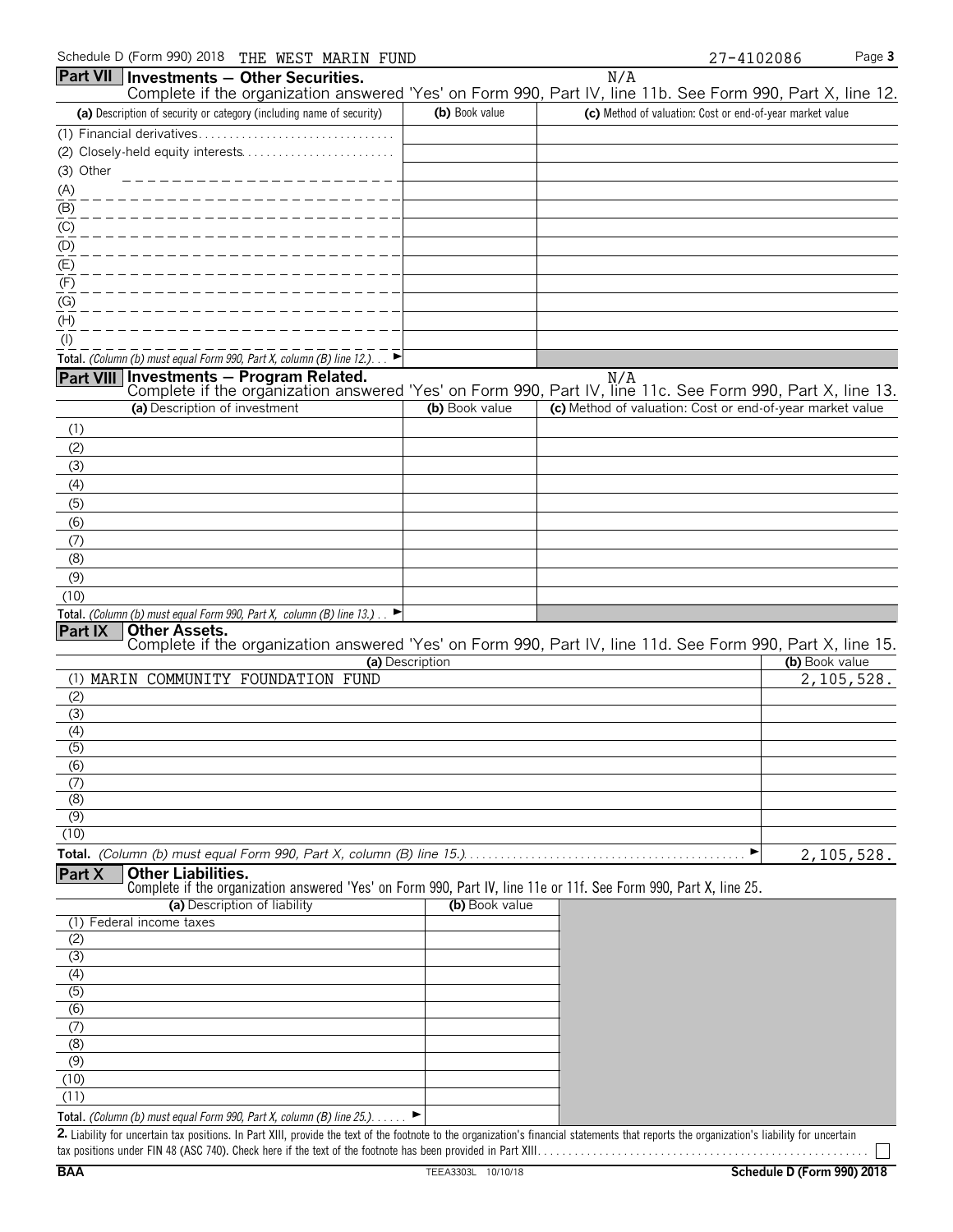| Schedule D (Form 990) 2018 THE WEST MARIN FUND |  |  |  |  |
|------------------------------------------------|--|--|--|--|
|------------------------------------------------|--|--|--|--|

|                  | Schedule D (Form 990) 2018 THE WEST MARIN FUND                                                                                                                                              |                 |                                                           | 27-4102086     | Page 3     |
|------------------|---------------------------------------------------------------------------------------------------------------------------------------------------------------------------------------------|-----------------|-----------------------------------------------------------|----------------|------------|
| <b>Part VII</b>  | Investments - Other Securities.<br>Complete if the organization answered 'Yes' on Form 990, Part IV, line 11b. See Form 990, Part X, line 12.                                               |                 | N/A                                                       |                |            |
|                  | (a) Description of security or category (including name of security)                                                                                                                        | (b) Book value  | (c) Method of valuation: Cost or end-of-year market value |                |            |
|                  |                                                                                                                                                                                             |                 |                                                           |                |            |
|                  |                                                                                                                                                                                             |                 |                                                           |                |            |
| (3) Other        |                                                                                                                                                                                             |                 |                                                           |                |            |
| (A)              |                                                                                                                                                                                             |                 |                                                           |                |            |
| (B)              |                                                                                                                                                                                             |                 |                                                           |                |            |
| (C)              |                                                                                                                                                                                             |                 |                                                           |                |            |
| (D)              |                                                                                                                                                                                             |                 |                                                           |                |            |
| (E)              |                                                                                                                                                                                             |                 |                                                           |                |            |
| (F)              |                                                                                                                                                                                             |                 |                                                           |                |            |
| (G)<br>(H)       |                                                                                                                                                                                             |                 |                                                           |                |            |
| $($ l $)$        |                                                                                                                                                                                             |                 |                                                           |                |            |
|                  | Total. (Column (b) must equal Form 990, Part X, column (B) line 12.)                                                                                                                        |                 |                                                           |                |            |
|                  | Part VIII Investments - Program Related.                                                                                                                                                    |                 | N/A                                                       |                |            |
|                  | Complete if the organization answered 'Yes' on Form 990, Part IV, line 11c. See Form 990, Part X, line 13.                                                                                  |                 |                                                           |                |            |
|                  | (a) Description of investment                                                                                                                                                               | (b) Book value  | (c) Method of valuation: Cost or end-of-year market value |                |            |
| (1)              |                                                                                                                                                                                             |                 |                                                           |                |            |
| (2)              |                                                                                                                                                                                             |                 |                                                           |                |            |
| (3)              |                                                                                                                                                                                             |                 |                                                           |                |            |
| (4)              |                                                                                                                                                                                             |                 |                                                           |                |            |
| (5)              |                                                                                                                                                                                             |                 |                                                           |                |            |
| (6)              |                                                                                                                                                                                             |                 |                                                           |                |            |
| (7)              |                                                                                                                                                                                             |                 |                                                           |                |            |
| (8)              |                                                                                                                                                                                             |                 |                                                           |                |            |
| (9)              |                                                                                                                                                                                             |                 |                                                           |                |            |
| (10)             | Total. (Column (b) must equal Form 990, Part X, column (B) line 13.).                                                                                                                       |                 |                                                           |                |            |
| Part IX          | <b>Other Assets.</b>                                                                                                                                                                        |                 |                                                           |                |            |
|                  | Complete if the organization answered 'Yes' on Form 990, Part IV, line 11d. See Form 990, Part X, line 15.                                                                                  |                 |                                                           |                |            |
|                  |                                                                                                                                                                                             | (a) Description |                                                           | (b) Book value |            |
|                  | (1) MARIN COMMUNITY FOUNDATION FUND                                                                                                                                                         |                 |                                                           |                | 2,105,528. |
| (2)<br>(3)       |                                                                                                                                                                                             |                 |                                                           |                |            |
| (4)              |                                                                                                                                                                                             |                 |                                                           |                |            |
| (5)              |                                                                                                                                                                                             |                 |                                                           |                |            |
| (6)              |                                                                                                                                                                                             |                 |                                                           |                |            |
| (7)              |                                                                                                                                                                                             |                 |                                                           |                |            |
| (8)              |                                                                                                                                                                                             |                 |                                                           |                |            |
| (9)              |                                                                                                                                                                                             |                 |                                                           |                |            |
| (10)             |                                                                                                                                                                                             |                 |                                                           |                |            |
|                  |                                                                                                                                                                                             |                 |                                                           | ▶              | 2,105,528. |
| Part X           | <b>Other Liabilities.</b><br>Complete if the organization answered 'Yes' on Form 990, Part IV, line 11e or 11f. See Form 990, Part X, line 25.                                              |                 |                                                           |                |            |
|                  | (a) Description of liability                                                                                                                                                                | (b) Book value  |                                                           |                |            |
| (1)              | Federal income taxes                                                                                                                                                                        |                 |                                                           |                |            |
| (2)              |                                                                                                                                                                                             |                 |                                                           |                |            |
| $\overline{3)}$  |                                                                                                                                                                                             |                 |                                                           |                |            |
| (4)              |                                                                                                                                                                                             |                 |                                                           |                |            |
| $\overline{(5)}$ |                                                                                                                                                                                             |                 |                                                           |                |            |
| (6)              |                                                                                                                                                                                             |                 |                                                           |                |            |
| (7)<br>(8)       |                                                                                                                                                                                             |                 |                                                           |                |            |
| (9)              |                                                                                                                                                                                             |                 |                                                           |                |            |
| (10)             |                                                                                                                                                                                             |                 |                                                           |                |            |
| (11)             |                                                                                                                                                                                             |                 |                                                           |                |            |
|                  | Total. (Column (b) must equal Form 990, Part X, column (B) line 25.).                                                                                                                       |                 |                                                           |                |            |
|                  | 2. Liability for uncertain tax positions. In Part XIII, provide the text of the footnote to the organization's financial statements that reports the organization's liability for uncertain |                 |                                                           |                |            |

**2.** Liability for uncertain tax positions. In Part XIII, provide the text of the footnote to the organization's financial statements that reports the organization's liability for uncertain tax positions under FIN 48 (ASC 740). Check here if the text of the footnote has been provided in Part XIII. . . . . . . . . . . . . . . . . . . . . . . . . . . . . . . . . . . . . . . . . . . . . . . . . . . . . .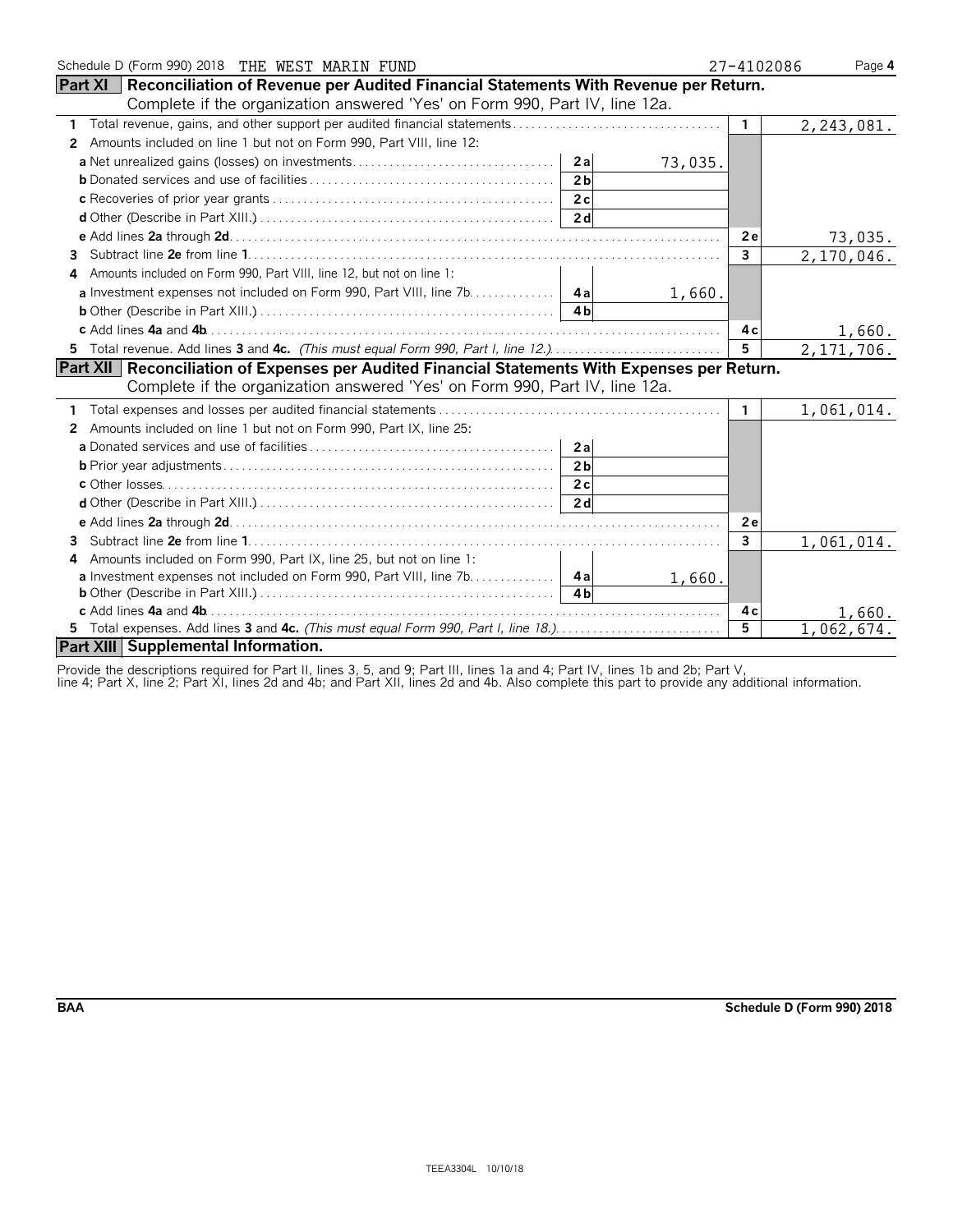| Schedule D (Form 990) 2018 THE WEST MARIN FUND                                                        | 27-4102086   | Page 4        |
|-------------------------------------------------------------------------------------------------------|--------------|---------------|
| Part XI<br>Reconciliation of Revenue per Audited Financial Statements With Revenue per Return.        |              |               |
| Complete if the organization answered 'Yes' on Form 990, Part IV, line 12a.                           |              |               |
|                                                                                                       | $\mathbf{1}$ | 2,243,081.    |
| Amounts included on line 1 but not on Form 990, Part VIII, line 12:<br>2                              |              |               |
| 2a<br>73,035.                                                                                         |              |               |
| 2 <sub>b</sub>                                                                                        |              |               |
| 2c                                                                                                    |              |               |
| 2d                                                                                                    |              |               |
|                                                                                                       | 2e           | 73,035.       |
| 3                                                                                                     | $\mathbf{3}$ | 2,170,046.    |
| Amounts included on Form 990, Part VIII, line 12, but not on line 1:<br>4                             |              |               |
| a Investment expenses not included on Form 990, Part VIII, line 7b. 4a<br>1,660.                      |              |               |
|                                                                                                       |              |               |
|                                                                                                       | 4 c          | 1,660.        |
| 5 Total revenue. Add lines 3 and 4c. (This must equal Form 990, Part I, line 12.)                     | $5^{\circ}$  | 2, 171, 706.  |
| <b>Part XII Reconciliation of Expenses per Audited Financial Statements With Expenses per Return.</b> |              |               |
| Complete if the organization answered 'Yes' on Form 990, Part IV, line 12a.                           |              |               |
|                                                                                                       | 1.           | 1,061,014.    |
| Amounts included on line 1 but not on Form 990, Part IX, line 25:<br>2                                |              |               |
| 2a                                                                                                    |              |               |
| 2 <sub>b</sub>                                                                                        |              |               |
| 2c                                                                                                    |              |               |
| 2d                                                                                                    |              |               |
|                                                                                                       | 2e           |               |
| 3.                                                                                                    | 3            | 1,061,014.    |
| Amounts included on Form 990, Part IX, line 25, but not on line 1:<br>4                               |              |               |
| <b>a</b> Investment expenses not included on Form 990, Part VIII, line 7b. 4a<br>1,660.               |              |               |
| 4h                                                                                                    |              |               |
|                                                                                                       | 4 c          | <u>1,660.</u> |
|                                                                                                       | 5            | 1,062,674.    |
| Part XIII Supplemental Information.                                                                   |              |               |

Provide the descriptions required for Part II, lines 3, 5, and 9; Part III, lines 1a and 4; Part IV, lines 1b and 2b; Part V,

line 4; Part X, line 2; Part XI, lines 2d and 4b; and Part XII, lines 2d and 4b. Also complete this part to provide any additional information.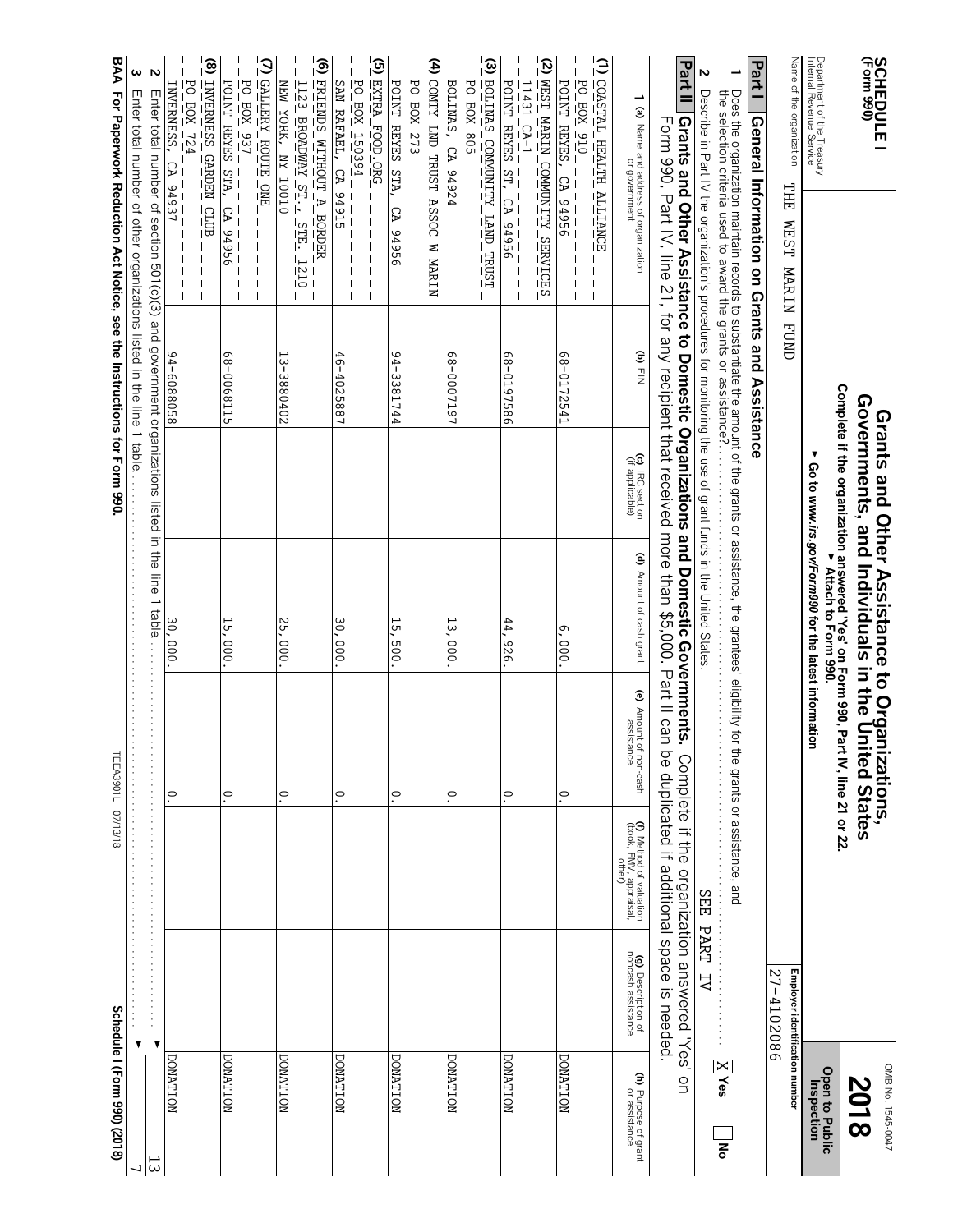|                                                                                                                                          |                                                                                                              |                                                                                                                                                                          |                                    |                                                                                                                                                                                                      |                                      |                                                                                               |                                              | OMB No. 1545-0047                     |
|------------------------------------------------------------------------------------------------------------------------------------------|--------------------------------------------------------------------------------------------------------------|--------------------------------------------------------------------------------------------------------------------------------------------------------------------------|------------------------------------|------------------------------------------------------------------------------------------------------------------------------------------------------------------------------------------------------|--------------------------------------|-----------------------------------------------------------------------------------------------|----------------------------------------------|---------------------------------------|
| <b>SCHEDULE</b>                                                                                                                          |                                                                                                              |                                                                                                                                                                          |                                    | Governments, and Individuals in the Un<br>Grants and Other Assistance to Organ                                                                                                                       | ited States<br>izations,             |                                                                                               |                                              | <b>2018</b>                           |
| Department of the Treasury<br>Internal Revenue Service                                                                                   |                                                                                                              |                                                                                                                                                                          | ▼                                  | Complete if the organization answered 'Yes' on Form 990, Part IV, line 21 or 22.<br>Complete if the organization answered 'Yes' on Form 990.<br>Go to www.irs.gov/Form990 for the latest information |                                      |                                                                                               |                                              | <b>Open to Public</b><br>Inspection   |
| Name of the organization                                                                                                                 | <b>THE</b><br>NEST NEARIN FUND                                                                               |                                                                                                                                                                          |                                    |                                                                                                                                                                                                      |                                      |                                                                                               | Employer identification number<br>27-4102086 |                                       |
| <b>Part</b> I                                                                                                                            |                                                                                                              | General Information on Grants and Assistance                                                                                                                             |                                    |                                                                                                                                                                                                      |                                      |                                                                                               |                                              |                                       |
|                                                                                                                                          |                                                                                                              | the selection criteria used to award the grants or assistance?                                                                                                           |                                    | Does the organization maintain records to substantiate the amount of the grants or assistance, the grantees' eligibility for                                                                         |                                      | the grants or assistance, and                                                                 |                                              | $X$ Yes<br>종                          |
| N                                                                                                                                        |                                                                                                              |                                                                                                                                                                          |                                    | Describe in Part IV the organization's procedures for monitoring the use of grant funds in the United States.                                                                                        |                                      |                                                                                               | SEE PART IV                                  |                                       |
| <b>Part II</b>                                                                                                                           |                                                                                                              |                                                                                                                                                                          |                                    | Grants and Other Assistance to Domestic Organizations and Domestic Governments.<br>Form 990, Part IV, line 21, for any recipient that received more than \$5,000. Part II can                        |                                      | be duplicated if additional space is needed<br>Complete if the organization answered 'Yes' on |                                              |                                       |
| ∸<br>(a) Name and address of organization<br>or government                                                                               |                                                                                                              | $(n)$ $E^{IN}$                                                                                                                                                           | (c) IRC section<br>(if applicable) | (d) Amount of cash grant                                                                                                                                                                             | (e) Amount of non-cash<br>assistance | <b>(f)</b> Method of valuation<br>(book, FMV, appraisal,<br>other)                            | (g) Description of<br>noncash assistance     | (h) Purpose of grant<br>or assistance |
| 'n<br><b>COASTAL</b><br><b>PO BOX 910</b>                                                                                                | <b>HEALTH ALLIANCE</b><br>$\mathbf{I}$                                                                       |                                                                                                                                                                          |                                    |                                                                                                                                                                                                      |                                      |                                                                                               |                                              |                                       |
| POINT REYES, CA 94956                                                                                                                    | Ш                                                                                                            | 68-0172541                                                                                                                                                               |                                    | 6,000.                                                                                                                                                                                               | $\circ$                              |                                                                                               |                                              | DONATION                              |
| $\mathbf{Q}$<br><u>WEST MARIN COMMUNITY SERVICES</u><br>11431 CA-1                                                                       |                                                                                                              |                                                                                                                                                                          |                                    |                                                                                                                                                                                                      |                                      |                                                                                               |                                              |                                       |
|                                                                                                                                          |                                                                                                              | 68-0197586                                                                                                                                                               |                                    | 44,926                                                                                                                                                                                               | ₽.                                   |                                                                                               |                                              | DONATION                              |
| CSD BOLINAS COMMUNITY LAND URUST<br>$\underline{PQ}$ BOX 805                                                                             |                                                                                                              |                                                                                                                                                                          |                                    |                                                                                                                                                                                                      |                                      |                                                                                               |                                              |                                       |
| BOLINAS, CA 94924                                                                                                                        |                                                                                                              | 68-0007197                                                                                                                                                               |                                    | 13,000.                                                                                                                                                                                              | $\tilde{\phantom{0}}$                |                                                                                               |                                              | DONATION                              |
| <u>(4) CONTY LIND TRUST ASSOC W MARIN</u><br>PO BOX 273                                                                                  |                                                                                                              |                                                                                                                                                                          |                                    |                                                                                                                                                                                                      |                                      |                                                                                               |                                              |                                       |
| POINT REYES STA,                                                                                                                         | CA 94956                                                                                                     | 94-3381744                                                                                                                                                               |                                    | 15,500.                                                                                                                                                                                              | $\circ$                              |                                                                                               |                                              | DONATION                              |
| $\odot$<br>EXTRA FOOD.ORG                                                                                                                | $\mathbf{I}$<br>$\mathbf{I}$<br>$\mathbf{I}$<br>$\mathbf{I}$<br>$\mathbf{I}$<br>$\mathbf{I}$<br>$\mathbf{I}$ |                                                                                                                                                                          |                                    |                                                                                                                                                                                                      |                                      |                                                                                               |                                              |                                       |
| <u>РО ВОХ 150394 — — —</u><br>SAN RAFAEL, СА 94915                                                                                       |                                                                                                              | 46-4025887                                                                                                                                                               |                                    | 30,000                                                                                                                                                                                               | $\circ$                              |                                                                                               |                                              | DONATION                              |
| $\odot$<br><u>FRIENDS WITHOUT A BORDER</u><br>1123 BROADWAY ST.                                                                          | STE. 1210                                                                                                    |                                                                                                                                                                          |                                    |                                                                                                                                                                                                      |                                      |                                                                                               |                                              |                                       |
| NEW YORK, NY 10010                                                                                                                       | $\mathbf{I}$                                                                                                 | 13-3880402                                                                                                                                                               |                                    | 25,000                                                                                                                                                                                               | $\circ$                              |                                                                                               |                                              | DONATION                              |
| $\overline{\text{C}}$ GALIERY ROUTE ONE                                                                                                  | $\mathbf{I}$                                                                                                 |                                                                                                                                                                          |                                    |                                                                                                                                                                                                      |                                      |                                                                                               |                                              |                                       |
| $\frac{\text{PO}}{\text{POIN}}\frac{\text{BOX}}{\text{REYES}}\frac{937}{\text{STR, CNA}},\frac{\text{CA}}{\text{CA}}\frac{94956}{94956}$ |                                                                                                              | 68-0068115                                                                                                                                                               |                                    | ΓD.<br>000'                                                                                                                                                                                          | $\circ$                              |                                                                                               |                                              | DONATION                              |
| <b>(8)</b> INVERNESS GARDEN CLUB                                                                                                         | $\mathbf{I}$<br>$\mathbf{I}$<br>$\mathbf{I}$                                                                 |                                                                                                                                                                          |                                    |                                                                                                                                                                                                      |                                      |                                                                                               |                                              |                                       |
| $\underline{PQ}$ BOX 724                                                                                                                 | $\frac{1}{1}$                                                                                                |                                                                                                                                                                          |                                    |                                                                                                                                                                                                      |                                      |                                                                                               |                                              |                                       |
| <b>INVERNESS,</b><br>CA 94937                                                                                                            |                                                                                                              | 94-6088058                                                                                                                                                               |                                    | 30,000.                                                                                                                                                                                              | $\circ$                              |                                                                                               |                                              | DONATION                              |
| ω<br>$\sim$                                                                                                                              |                                                                                                              | Enter total number of other organizations listed in the line 1 table.<br>Enter total number of section 501(c)(3) and government organizations listed in the line 1 table |                                    |                                                                                                                                                                                                      |                                      |                                                                                               |                                              | 5<br>S                                |
|                                                                                                                                          |                                                                                                              |                                                                                                                                                                          |                                    |                                                                                                                                                                                                      |                                      |                                                                                               |                                              |                                       |
| BAA For Paperwork Reduction Act Notice, see the Instructions for Form 990                                                                |                                                                                                              |                                                                                                                                                                          |                                    |                                                                                                                                                                                                      | TEEA3901L 07/13/18                   |                                                                                               |                                              | Schedule I (Form 990) (2018)          |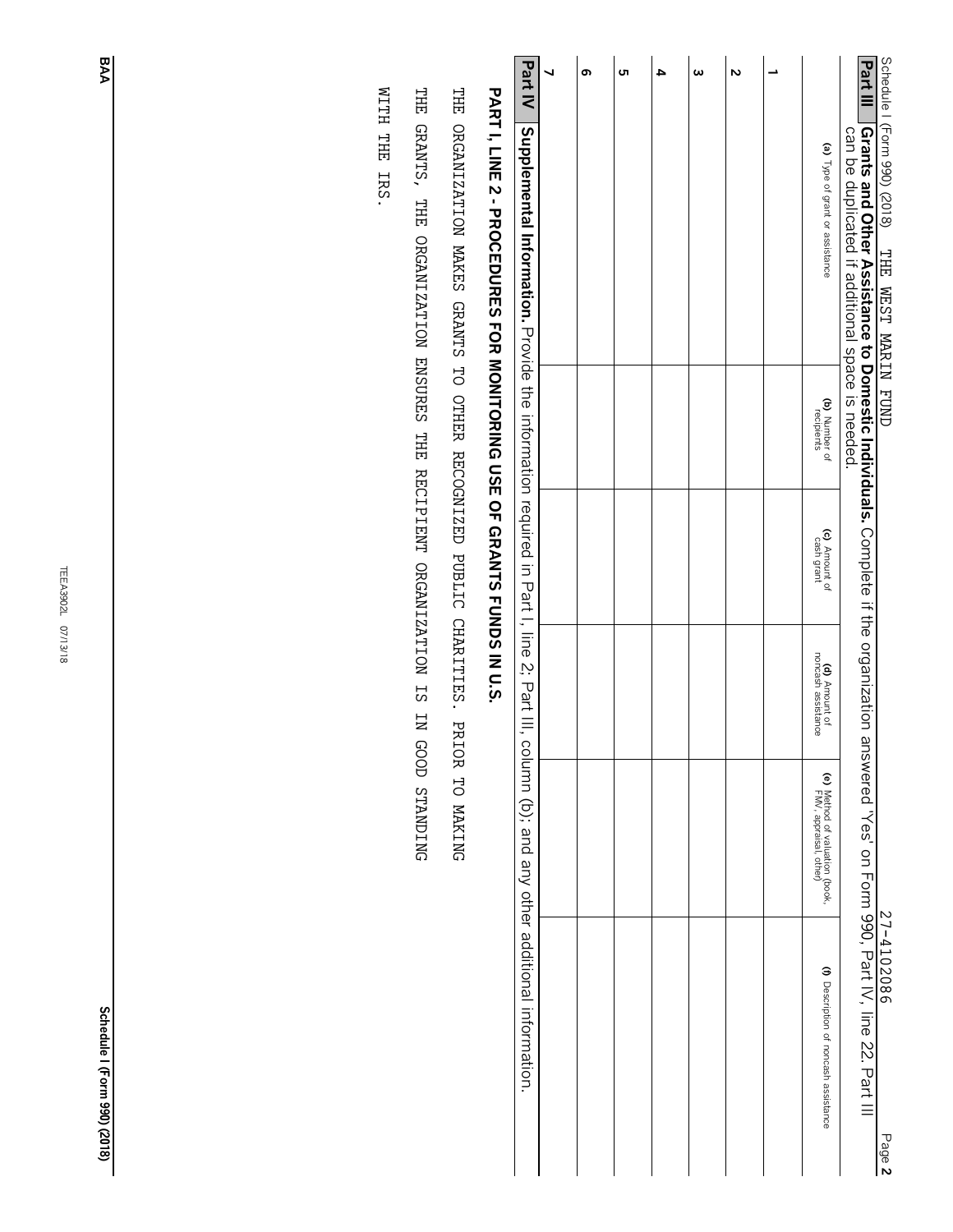| Schedule I (Form 990) (2018)<br><b>Part III</b><br>Grants and Other Assistance to Domestic Individuals. Complete if the organization answered 'Yes' on Form 990, Part IV, line 22. Part III<br>can be duplicated if additional space is needed.<br>THE WEST MARIN FUND                  |                                                            |                                     |                                                                                | 27-4102086<br>Page 2                   |
|-----------------------------------------------------------------------------------------------------------------------------------------------------------------------------------------------------------------------------------------------------------------------------------------|------------------------------------------------------------|-------------------------------------|--------------------------------------------------------------------------------|----------------------------------------|
| (a) Type of grant or assistance                                                                                                                                                                                                                                                         | (b) Number of<br>recipients<br>(c) Amount of<br>cash grant | (d) Amount of<br>noncash assistance | $\widehat{\mathbf{e}}$<br>Method of valuation (book,<br>FMV, appraisal, other) | Э<br>Description of noncash assistance |
| ∸                                                                                                                                                                                                                                                                                       |                                                            |                                     |                                                                                |                                        |
| Z                                                                                                                                                                                                                                                                                       |                                                            |                                     |                                                                                |                                        |
| $\boldsymbol{\omega}$                                                                                                                                                                                                                                                                   |                                                            |                                     |                                                                                |                                        |
| 4                                                                                                                                                                                                                                                                                       |                                                            |                                     |                                                                                |                                        |
| CΠ                                                                                                                                                                                                                                                                                      |                                                            |                                     |                                                                                |                                        |
| თ                                                                                                                                                                                                                                                                                       |                                                            |                                     |                                                                                |                                        |
| ┙                                                                                                                                                                                                                                                                                       |                                                            |                                     |                                                                                |                                        |
| <b>Part IV</b><br>Supplemation in Economic internation is that if $\mu$ is the $\mu$ in $\alpha$ in $\alpha$ is the $\mu$ in $\alpha$ is the $\mu$ is $\alpha$ is the $\alpha$ is the substantion in equivalence in the $\alpha$ . The $\alpha$ is the $\mu$ is $\alpha$ is the $\mu$ i |                                                            |                                     |                                                                                |                                        |
| PARTI, LINE 2 - PROCEDURES FOR MONITORING COR OF GRANTS FONDS IN C.S                                                                                                                                                                                                                    |                                                            |                                     |                                                                                |                                        |
| <b>THE</b><br>ORGANIZATION MAKES GRANTS                                                                                                                                                                                                                                                 | TO OTHER RECOGNIZED PUBLIC CHARITIES.                      |                                     | PRINE NAKING                                                                   |                                        |
| 畐<br>GRANTS,<br><b>THE</b><br>ORGANIZATION ENSURES                                                                                                                                                                                                                                      | <b>THE</b><br>RECIPIENT ORGANIZATION                       | 1S<br>$\overline{\mathbf{N}}$       | COOD STANDING                                                                  |                                        |
| NITH THE<br>IRS.                                                                                                                                                                                                                                                                        |                                                            |                                     |                                                                                |                                        |
|                                                                                                                                                                                                                                                                                         |                                                            |                                     |                                                                                |                                        |

**BAA**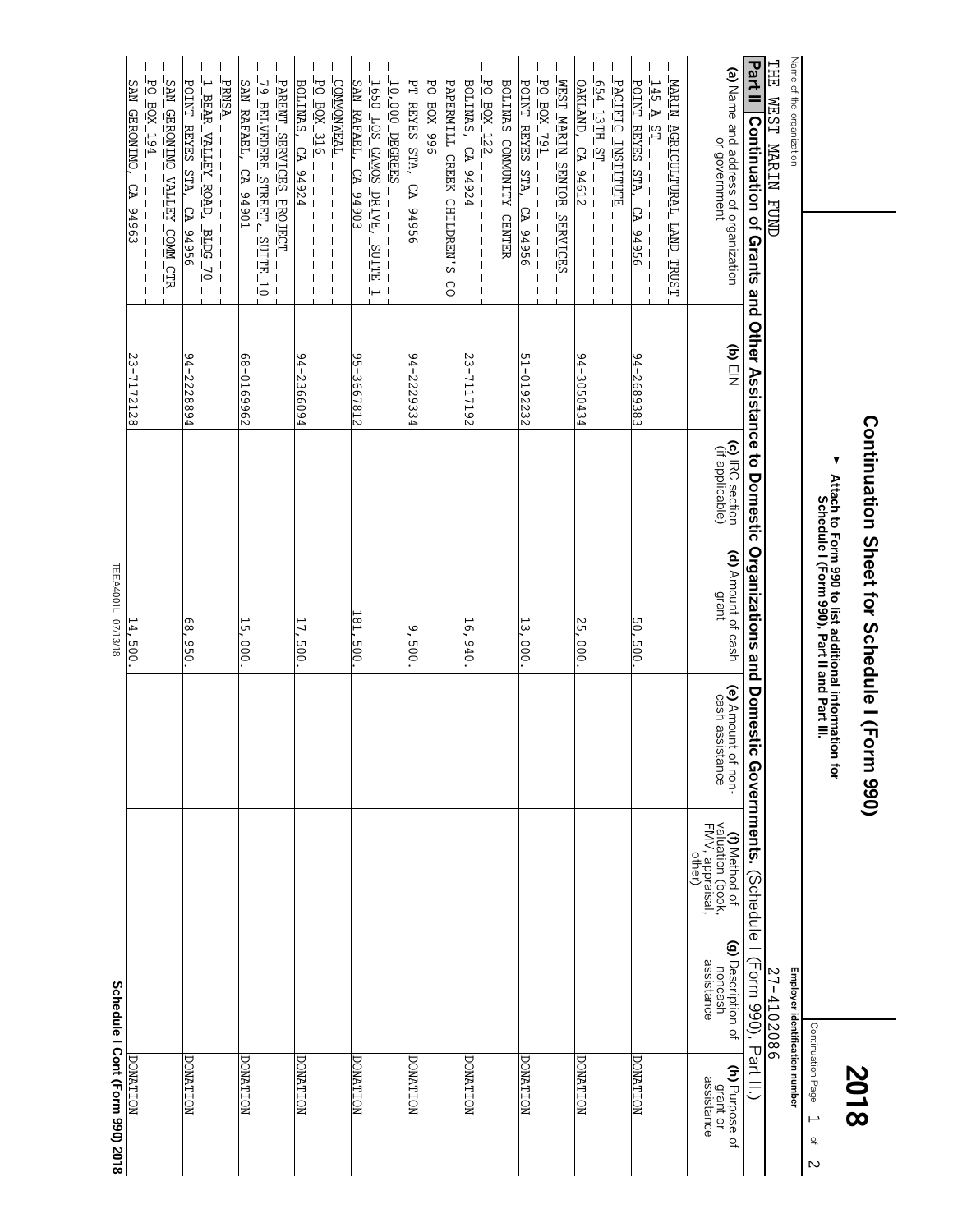|                                                                                                                 |                                                                                                                                                                                                                                                                                                                                                                                                                                                |                              |                                    |                                                                                                       | Continuation Speet for Schedule I (Form 990) |                                                                |                                             | <b>2018</b>                                             |
|-----------------------------------------------------------------------------------------------------------------|------------------------------------------------------------------------------------------------------------------------------------------------------------------------------------------------------------------------------------------------------------------------------------------------------------------------------------------------------------------------------------------------------------------------------------------------|------------------------------|------------------------------------|-------------------------------------------------------------------------------------------------------|----------------------------------------------|----------------------------------------------------------------|---------------------------------------------|---------------------------------------------------------|
|                                                                                                                 |                                                                                                                                                                                                                                                                                                                                                                                                                                                |                              |                                    | Attach to Form 990 to list additional information for<br>Schedule I (Form 990), Part II and Part III. |                                              |                                                                |                                             | Continuation Page<br>Ţ<br>$\supsetneq$<br>$\mathcal{D}$ |
| Name of the organization                                                                                        |                                                                                                                                                                                                                                                                                                                                                                                                                                                |                              |                                    |                                                                                                       |                                              |                                                                |                                             | Employer identification number                          |
| HH NESH NARIN FUND<br>Part II Continuation of Grants and Other Assistance to Domestic Organizations and Domesti |                                                                                                                                                                                                                                                                                                                                                                                                                                                |                              |                                    |                                                                                                       |                                              | c Governments. (Schedule                                       | (Form 990), Part II.)<br>27-4102086         |                                                         |
| <b>(a)</b> Name and address of organization<br>or government                                                    |                                                                                                                                                                                                                                                                                                                                                                                                                                                | $\mathbf{a}$ in $\mathbf{b}$ | (c) IRC section<br>(if applicable) | (d) Amount of cash<br>grant                                                                           | (e) Amount of non-<br>cash assistance        | (f) Method of<br>valuation (book,<br>FMV, appraisal,<br>other) | (g) Description of<br>assistance<br>noncash | <b>(h)</b> Purpose of<br>grant or<br>assistance         |
| MARIN AGRICULTURAL LAND TRUST                                                                                   |                                                                                                                                                                                                                                                                                                                                                                                                                                                |                              |                                    |                                                                                                       |                                              |                                                                |                                             |                                                         |
| $145$ A $ST$<br>POINT REYES STA, CA 94956<br>$\mathbf{I}$                                                       |                                                                                                                                                                                                                                                                                                                                                                                                                                                | 94-2689383                   |                                    | 50,500.                                                                                               |                                              |                                                                |                                             | DONATION                                                |
| $-554$ $13TH$ $ST$<br><b>PACIFIC INSTITUTE</b><br>$\mathbf{I}$                                                  | $\mathbf{I}$<br>$\overline{\phantom{a}}$                                                                                                                                                                                                                                                                                                                                                                                                       |                              |                                    |                                                                                                       |                                              |                                                                |                                             |                                                         |
| <b>OAKLAND,</b><br>CA 94612<br>$\mathbf{I}$                                                                     |                                                                                                                                                                                                                                                                                                                                                                                                                                                | 94-3050434                   |                                    | 25,000                                                                                                |                                              |                                                                |                                             | DONATION                                                |
| <b>MEST MARIN SENIS RERVICES</b><br>PO BOX 791<br>$\mathbf I$<br>$\begin{array}{c} 1 \\ 1 \end{array}$          |                                                                                                                                                                                                                                                                                                                                                                                                                                                |                              |                                    |                                                                                                       |                                              |                                                                |                                             |                                                         |
| POINT REYES STA, CA 94956                                                                                       |                                                                                                                                                                                                                                                                                                                                                                                                                                                | 51-0192232                   |                                    | 13,000                                                                                                |                                              |                                                                |                                             | DONATION                                                |
| $\underline{PQ}$ BOX 122 _ _ _ _<br>BOLINE COMMUNITY CENTER                                                     | $\begin{bmatrix} 1 \\ 1 \\ 1 \\ 1 \end{bmatrix}$                                                                                                                                                                                                                                                                                                                                                                                               |                              |                                    |                                                                                                       |                                              |                                                                |                                             |                                                         |
| <b>PAPERMILL CREEK CHILDREN'S CO</b><br>BOLINAS, CA 94924                                                       |                                                                                                                                                                                                                                                                                                                                                                                                                                                | 23-7117192                   |                                    | 16,<br>.940.                                                                                          |                                              |                                                                |                                             | DONATION                                                |
| PO BOX 996 __<br>$\overline{1}$                                                                                 |                                                                                                                                                                                                                                                                                                                                                                                                                                                |                              |                                    |                                                                                                       |                                              |                                                                |                                             |                                                         |
| PT REYES STA, CA 94956                                                                                          |                                                                                                                                                                                                                                                                                                                                                                                                                                                | 94-2229334                   |                                    | $\circ$<br>.500.                                                                                      |                                              |                                                                |                                             | DONATION                                                |
| 10,000 DEGREES _____<br>1650 LOS GAMOS DRIVE, SUITE                                                             | $\overline{1}$<br>$\overline{\phantom{0}}$                                                                                                                                                                                                                                                                                                                                                                                                     |                              |                                    |                                                                                                       |                                              |                                                                |                                             |                                                         |
| SAN RAFAEL, CA 94903                                                                                            |                                                                                                                                                                                                                                                                                                                                                                                                                                                | 95-3667812                   |                                    | 181,500.                                                                                              |                                              |                                                                |                                             | DONATION                                                |
| $PQ$ BOX 316<br>COMMONWEAL ----                                                                                 | $\begin{array}{c} \rule{0pt}{2ex} \rule{0pt}{2ex} \rule{0pt}{2ex} \rule{0pt}{2ex} \rule{0pt}{2ex} \rule{0pt}{2ex} \rule{0pt}{2ex} \rule{0pt}{2ex} \rule{0pt}{2ex} \rule{0pt}{2ex} \rule{0pt}{2ex} \rule{0pt}{2ex} \rule{0pt}{2ex} \rule{0pt}{2ex} \rule{0pt}{2ex} \rule{0pt}{2ex} \rule{0pt}{2ex} \rule{0pt}{2ex} \rule{0pt}{2ex} \rule{0pt}{2ex} \rule{0pt}{2ex} \rule{0pt}{2ex} \rule{0pt}{2ex} \rule{0pt}{$<br>$\mathbf{I}$<br>$\mathbf{I}$ |                              |                                    |                                                                                                       |                                              |                                                                |                                             |                                                         |
| BOLINAS, CA 94924<br>$\begin{array}{c} 1 \\ 1 \end{array}$                                                      | $\mathbf{I}$<br>$\mathbf{I}$<br>$\mathbf{I}$<br>$\mathbf{I}$                                                                                                                                                                                                                                                                                                                                                                                   | 94-2366094                   |                                    | 17,500.                                                                                               |                                              |                                                                |                                             | DONATION                                                |
| PARENT SERVICES PROJECT                                                                                         |                                                                                                                                                                                                                                                                                                                                                                                                                                                |                              |                                    |                                                                                                       |                                              |                                                                |                                             |                                                         |
| <u>J9 BELVEDERE STREET, SUITE 10</u><br>SAN RAFAEL, CA 94901                                                    |                                                                                                                                                                                                                                                                                                                                                                                                                                                | 68-0169962                   |                                    | 15,000                                                                                                |                                              |                                                                |                                             | DONATION                                                |
| <b>PRNSA</b>                                                                                                    |                                                                                                                                                                                                                                                                                                                                                                                                                                                |                              |                                    |                                                                                                       |                                              |                                                                |                                             |                                                         |
| $\frac{1}{2}$ BEAR VALLEY ROAD, BLDG 70<br>POINT REYES STA,                                                     | CA 94956<br>$\mathbf{I}$                                                                                                                                                                                                                                                                                                                                                                                                                       | 94-2228894                   |                                    | 68<br>, 950.                                                                                          |                                              |                                                                |                                             | DONATION                                                |
| <b>SAN GERONINO VALLEY COMP CTR</b>                                                                             |                                                                                                                                                                                                                                                                                                                                                                                                                                                |                              |                                    |                                                                                                       |                                              |                                                                |                                             |                                                         |
| PO BOX 194                                                                                                      |                                                                                                                                                                                                                                                                                                                                                                                                                                                |                              |                                    |                                                                                                       |                                              |                                                                |                                             |                                                         |
| SAN GERONIMO, CA 94963                                                                                          |                                                                                                                                                                                                                                                                                                                                                                                                                                                | 23-7172128                   |                                    | <b>TEEA4001L 07/13/18</b><br>14,500                                                                   |                                              |                                                                |                                             | Schedule I Cont (Form 990) 2018<br>DONATION             |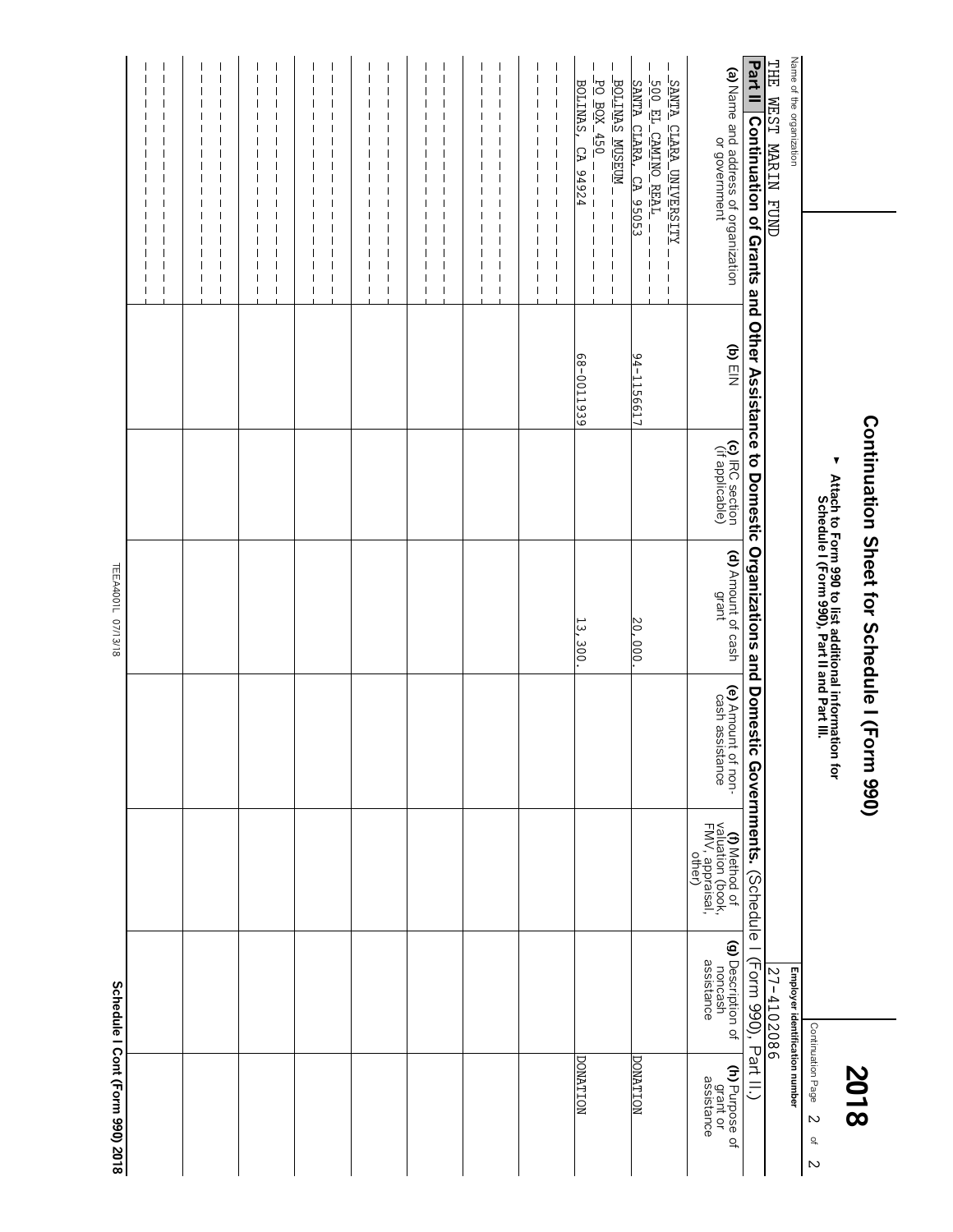|                                                                   |                              |                                    |                                                                                                       | Continuation Sheet tor Schedule 1 (Forn 990) |                                                                |                                                    | <b>2018</b>                                           |
|-------------------------------------------------------------------|------------------------------|------------------------------------|-------------------------------------------------------------------------------------------------------|----------------------------------------------|----------------------------------------------------------------|----------------------------------------------------|-------------------------------------------------------|
|                                                                   |                              | ▼                                  | Attach to Form 990 to list additional information for<br>Schedule I (Form 990), Part II and Part III. |                                              |                                                                |                                                    | Continuation Page<br>$\sim$<br>$\supsetneq$<br>$\sim$ |
| Name of the organization                                          |                              |                                    |                                                                                                       |                                              |                                                                | Employer identification number                     |                                                       |
| THE MEST NARIAL FUND                                              |                              |                                    |                                                                                                       |                                              |                                                                | 27-4102086                                         |                                                       |
| Part II                                                           |                              |                                    | Continuation of Grants and Other Assistance to Domestic Organizations and Domesti                     |                                              | c Governments. (Schedule I (Form 990), Part II.)               |                                                    |                                                       |
| <b>(a)</b> Name and address of organization<br>or government      | $\mathbf{a}$ in $\mathbf{b}$ | (c) IRC section<br>(if applicable) | <b>(d)</b> Amount of cash<br>grant                                                                    | (e) Amount of non-<br>cash assistance        | (f) Method of<br>valuation (book,<br>FMV, appraisal,<br>other) | <b>(g)</b> Description of<br>noncash<br>assistance | (h) Purpose of<br>grant or<br>assistance              |
| <b>ZLISWING WARD DATAERS</b><br><b>500 EL CAMINO REAL</b>         |                              |                                    |                                                                                                       |                                              |                                                                |                                                    |                                                       |
| SANTA CLARA,<br>CA 95053                                          | 94-1156617                   |                                    | 20,000.                                                                                               |                                              |                                                                |                                                    | DONATION                                              |
| <b>BOLINAS MUSEUM</b><br>$\mathbf{I}$<br>$\overline{\phantom{a}}$ |                              |                                    |                                                                                                       |                                              |                                                                |                                                    |                                                       |
| BOLINAS, CA 94924<br>PO BOX 450                                   | 68-0011939                   |                                    | 13,300.                                                                                               |                                              |                                                                |                                                    | DONATION                                              |
| П                                                                 |                              |                                    |                                                                                                       |                                              |                                                                |                                                    |                                                       |
|                                                                   |                              |                                    |                                                                                                       |                                              |                                                                |                                                    |                                                       |
|                                                                   |                              |                                    |                                                                                                       |                                              |                                                                |                                                    |                                                       |
|                                                                   |                              |                                    |                                                                                                       |                                              |                                                                |                                                    |                                                       |
|                                                                   |                              |                                    |                                                                                                       |                                              |                                                                |                                                    |                                                       |
|                                                                   |                              |                                    |                                                                                                       |                                              |                                                                |                                                    |                                                       |
|                                                                   |                              |                                    |                                                                                                       |                                              |                                                                |                                                    |                                                       |
|                                                                   |                              |                                    |                                                                                                       |                                              |                                                                |                                                    |                                                       |
|                                                                   |                              |                                    |                                                                                                       |                                              |                                                                |                                                    |                                                       |
|                                                                   |                              |                                    |                                                                                                       |                                              |                                                                |                                                    |                                                       |
|                                                                   |                              |                                    | TEEA4001L 07/13/18                                                                                    |                                              |                                                                |                                                    | Schedule I Cont (Form 990) 2018                       |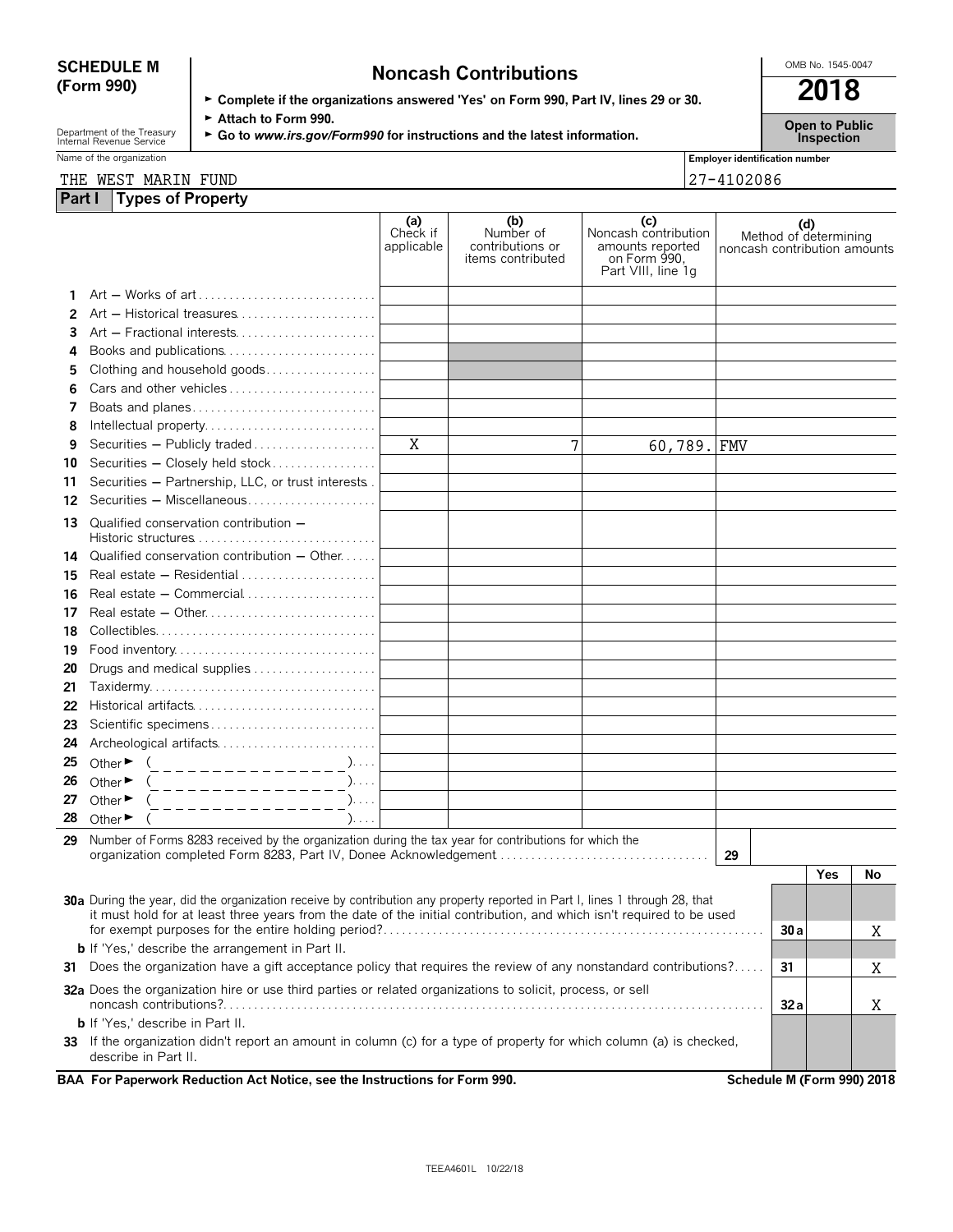## **SCHEDULE M Noncash Contributions**  $\begin{bmatrix} \text{OMB No. 1545-0047} \\ \text{OMB No. 1545-0047} \end{bmatrix}$

| ► Complete if the organizations answered 'Yes' on Form 990, Part IV, lines 29 or 30. | 2018 |
|--------------------------------------------------------------------------------------|------|
|                                                                                      |      |

Department of the Treasury **Computer Category Form 990.**<br>Internal Revenue Service **Category Form990 for instructions and the latest information. <b>Inspection**<br>Inspection

| Name of the organization             | <b>Employer identification number</b> |
|--------------------------------------|---------------------------------------|
| FUND<br>THE<br>WEST<br>MARIN         | 02086<br>' – 4 I                      |
| $D - 1$<br><b>ITussa of Dussantu</b> |                                       |

| Part I  |                             | <b>Types of Property</b>                                                                                                                                                  |                               |                                                           |                                                                                       |                                                              |     |     |    |
|---------|-----------------------------|---------------------------------------------------------------------------------------------------------------------------------------------------------------------------|-------------------------------|-----------------------------------------------------------|---------------------------------------------------------------------------------------|--------------------------------------------------------------|-----|-----|----|
|         |                             |                                                                                                                                                                           | (a)<br>Check if<br>applicable | (b)<br>Number of<br>contributions or<br>items contributed | (c)<br>Noncash contribution<br>amounts reported<br>on Form 990,<br>Part VIII, line 1q | (d)<br>Method of determining<br>noncash contribution amounts |     |     |    |
|         |                             |                                                                                                                                                                           |                               |                                                           |                                                                                       |                                                              |     |     |    |
|         |                             | Art - Historical treasures                                                                                                                                                |                               |                                                           |                                                                                       |                                                              |     |     |    |
| 3       |                             |                                                                                                                                                                           |                               |                                                           |                                                                                       |                                                              |     |     |    |
| 4       |                             | Books and publications                                                                                                                                                    |                               |                                                           |                                                                                       |                                                              |     |     |    |
| 5       |                             | Clothing and household goods                                                                                                                                              |                               |                                                           |                                                                                       |                                                              |     |     |    |
|         |                             | Cars and other vehicles                                                                                                                                                   |                               |                                                           |                                                                                       |                                                              |     |     |    |
| 7       |                             | Boats and planes                                                                                                                                                          |                               |                                                           |                                                                                       |                                                              |     |     |    |
| 8       |                             | Intellectual property                                                                                                                                                     |                               |                                                           |                                                                                       |                                                              |     |     |    |
| 9       |                             | Securities - Publicly traded                                                                                                                                              | X                             | 7                                                         | 60,789. FMV                                                                           |                                                              |     |     |    |
| 10      |                             | Securities - Closely held stock                                                                                                                                           |                               |                                                           |                                                                                       |                                                              |     |     |    |
| 11      |                             | Securities - Partnership, LLC, or trust interests.                                                                                                                        |                               |                                                           |                                                                                       |                                                              |     |     |    |
| $12 \,$ |                             | Securities - Miscellaneous                                                                                                                                                |                               |                                                           |                                                                                       |                                                              |     |     |    |
| 13      |                             | Qualified conservation contribution -<br>Historic structures                                                                                                              |                               |                                                           |                                                                                       |                                                              |     |     |    |
| 14      |                             | Qualified conservation contribution $-$ Other $\dots$                                                                                                                     |                               |                                                           |                                                                                       |                                                              |     |     |    |
| 15      |                             | Real estate $-$ Residential $\ldots$ , $\ldots$ , $\ldots$ , $\ldots$                                                                                                     |                               |                                                           |                                                                                       |                                                              |     |     |    |
| 16      |                             | Real estate - Commercial                                                                                                                                                  |                               |                                                           |                                                                                       |                                                              |     |     |    |
| 17      |                             | Real estate - Other                                                                                                                                                       |                               |                                                           |                                                                                       |                                                              |     |     |    |
| 18      |                             |                                                                                                                                                                           |                               |                                                           |                                                                                       |                                                              |     |     |    |
| 19      |                             |                                                                                                                                                                           |                               |                                                           |                                                                                       |                                                              |     |     |    |
| 20      |                             | Drugs and medical supplies                                                                                                                                                |                               |                                                           |                                                                                       |                                                              |     |     |    |
| 21      |                             |                                                                                                                                                                           |                               |                                                           |                                                                                       |                                                              |     |     |    |
| 22      |                             | Historical artifacts                                                                                                                                                      |                               |                                                           |                                                                                       |                                                              |     |     |    |
| 23      |                             | Scientific specimens                                                                                                                                                      |                               |                                                           |                                                                                       |                                                              |     |     |    |
| 24      |                             |                                                                                                                                                                           |                               |                                                           |                                                                                       |                                                              |     |     |    |
| 25      | Other $\blacktriangleright$ | $\sqrt{2}$<br>$\cdot$<br>_______________                                                                                                                                  |                               |                                                           |                                                                                       |                                                              |     |     |    |
| 26      | Other $\blacktriangleright$ | $). \ldots$<br>(________________                                                                                                                                          |                               |                                                           |                                                                                       |                                                              |     |     |    |
| 27      | Other $\blacktriangleright$ | $\left($<br>______________                                                                                                                                                |                               |                                                           |                                                                                       |                                                              |     |     |    |
| 28      | Other $\blacktriangleright$ | $). \ldots$                                                                                                                                                               |                               |                                                           |                                                                                       |                                                              |     |     |    |
| 29      |                             | Number of Forms 8283 received by the organization during the tax year for contributions for which the<br>organization completed Form 8283, Part IV, Donee Acknowledgement |                               |                                                           |                                                                                       |                                                              |     |     |    |
|         |                             |                                                                                                                                                                           |                               |                                                           |                                                                                       | 29                                                           |     | Yes |    |
|         |                             |                                                                                                                                                                           |                               |                                                           |                                                                                       |                                                              |     |     | No |
|         |                             | 30a During the year, did the organization receive by contribution any property reported in Part I, lines 1 through 28, that                                               |                               |                                                           |                                                                                       |                                                              |     |     |    |
|         |                             | it must hold for at least three years from the date of the initial contribution, and which isn't required to be used                                                      |                               |                                                           |                                                                                       |                                                              | 30a |     | Χ  |
|         |                             | <b>b</b> If 'Yes,' describe the arrangement in Part II.                                                                                                                   |                               |                                                           |                                                                                       |                                                              |     |     |    |
|         |                             | 31 Does the organization have a gift acceptance policy that requires the review of any nonstandard contributions?                                                         |                               |                                                           |                                                                                       |                                                              | 31  |     | Χ  |
|         |                             | 32a Does the organization hire or use third parties or related organizations to solicit, process, or sell                                                                 |                               |                                                           |                                                                                       |                                                              | 32a |     | Χ  |
|         |                             | <b>b</b> If 'Yes,' describe in Part II.                                                                                                                                   |                               |                                                           |                                                                                       |                                                              |     |     |    |
|         |                             | 33 If the organization didn't report an amount in column (c) for a type of property for which column (a) is checked,                                                      |                               |                                                           |                                                                                       |                                                              |     |     |    |
|         |                             | describe in Part II.                                                                                                                                                      |                               |                                                           |                                                                                       |                                                              |     |     |    |
|         |                             | BAA For Paperwork Reduction Act Notice, see the Instructions for Form 990.                                                                                                |                               |                                                           |                                                                                       | Schedule M (Form 990) 2018                                   |     |     |    |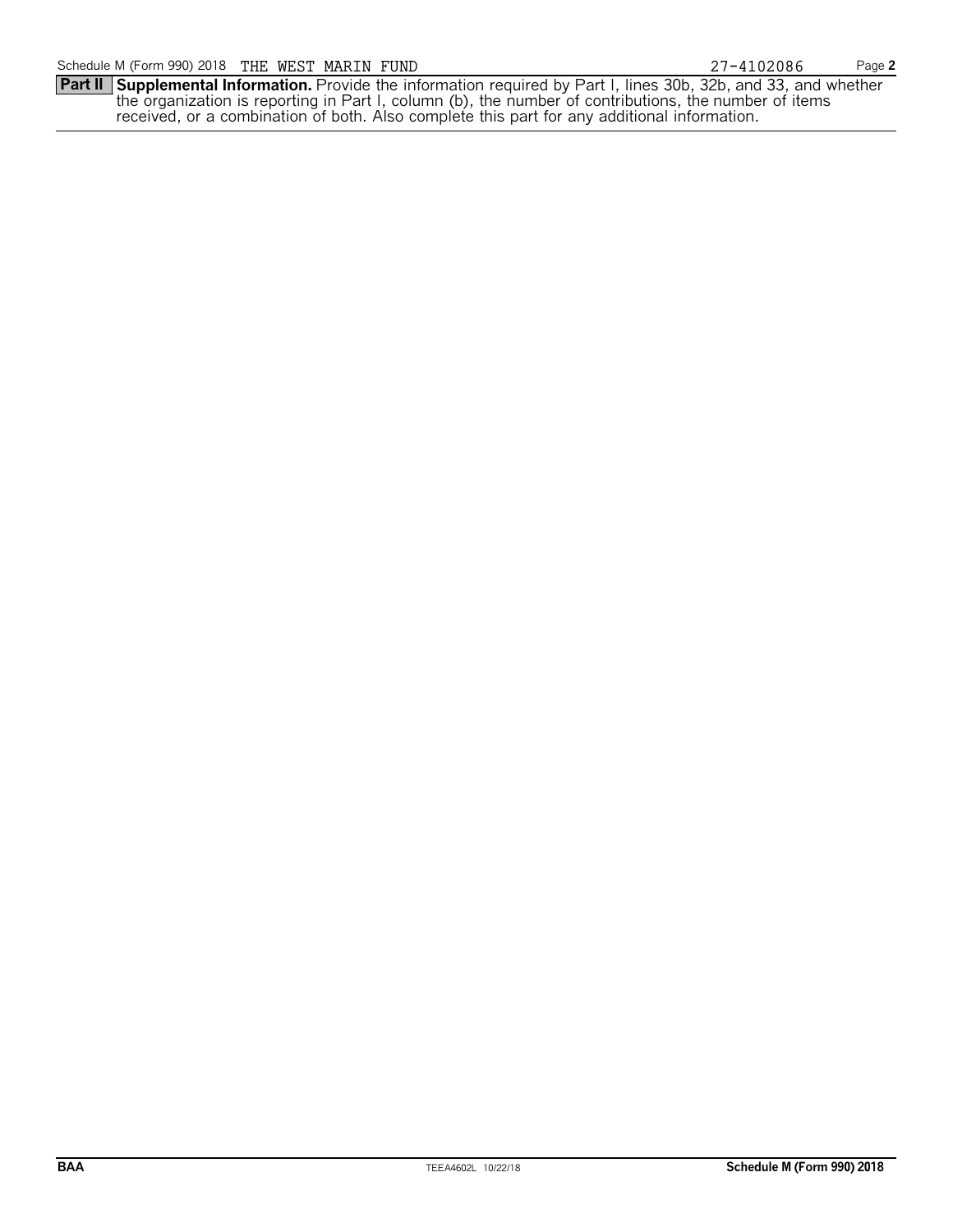**Part II Supplemental Information.** Provide the information required by Part I, lines 30b, 32b, and 33, and whether the organization is reporting in Part I, column (b), the number of contributions, the number of items received, or a combination of both. Also complete this part for any additional information.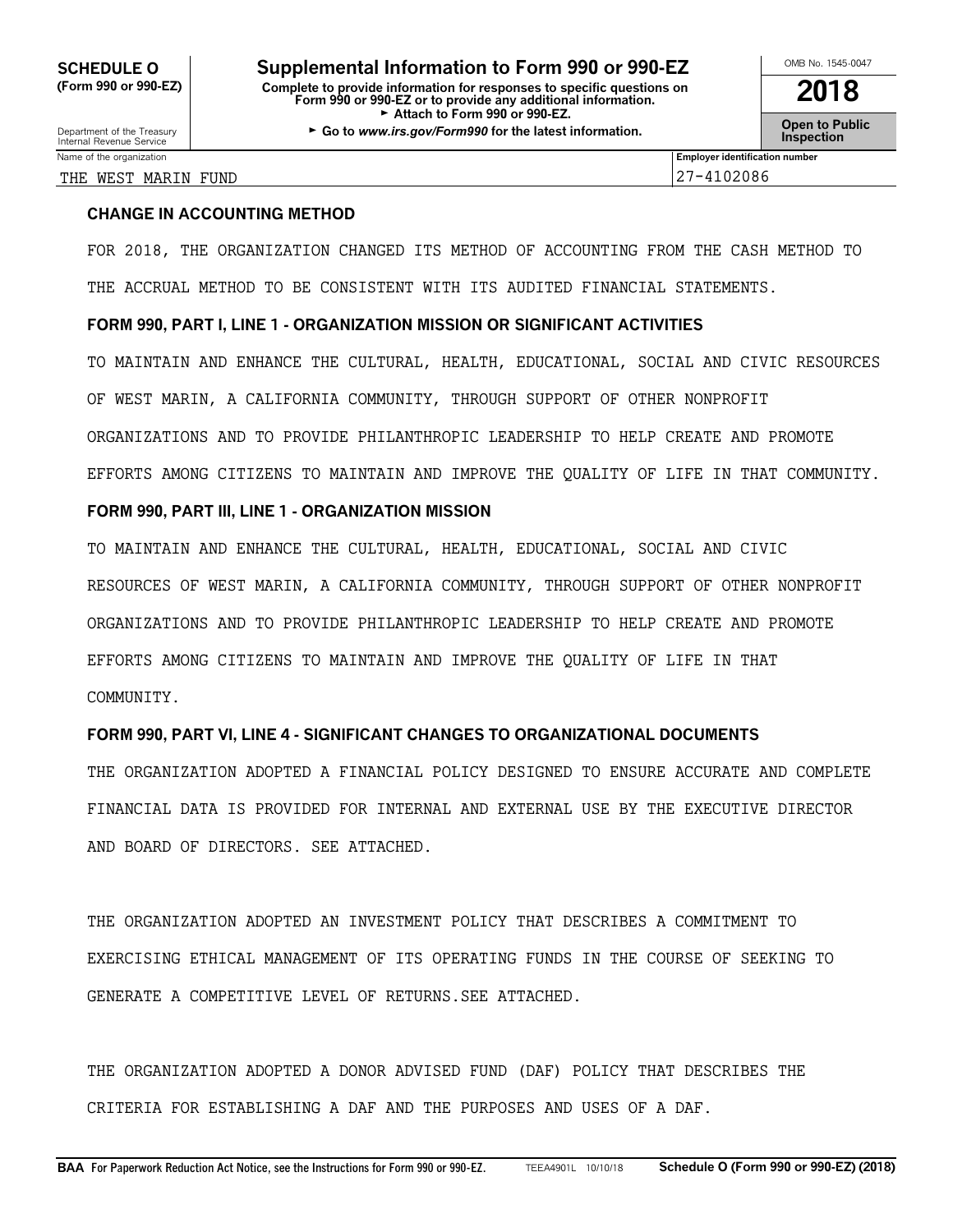Department of the Treasury **Constant Comment of the Collaboration Constant Constant Comment Constant Constant Constant Constant Constant Constant Constant Constant Constant Constant Constant Constant Constant Constant C** 

Name of the organization **Employer identification number Employer identification number** 

THE WEST MARIN FUND 20086

#### **CHANGE IN ACCOUNTING METHOD**

FOR 2018, THE ORGANIZATION CHANGED ITS METHOD OF ACCOUNTING FROM THE CASH METHOD TO THE ACCRUAL METHOD TO BE CONSISTENT WITH ITS AUDITED FINANCIAL STATEMENTS.

#### **FORM 990, PART I, LINE 1 - ORGANIZATION MISSION OR SIGNIFICANT ACTIVITIES**

TO MAINTAIN AND ENHANCE THE CULTURAL, HEALTH, EDUCATIONAL, SOCIAL AND CIVIC RESOURCES OF WEST MARIN, A CALIFORNIA COMMUNITY, THROUGH SUPPORT OF OTHER NONPROFIT ORGANIZATIONS AND TO PROVIDE PHILANTHROPIC LEADERSHIP TO HELP CREATE AND PROMOTE EFFORTS AMONG CITIZENS TO MAINTAIN AND IMPROVE THE QUALITY OF LIFE IN THAT COMMUNITY.

#### **FORM 990, PART III, LINE 1 - ORGANIZATION MISSION**

TO MAINTAIN AND ENHANCE THE CULTURAL, HEALTH, EDUCATIONAL, SOCIAL AND CIVIC RESOURCES OF WEST MARIN, A CALIFORNIA COMMUNITY, THROUGH SUPPORT OF OTHER NONPROFIT ORGANIZATIONS AND TO PROVIDE PHILANTHROPIC LEADERSHIP TO HELP CREATE AND PROMOTE EFFORTS AMONG CITIZENS TO MAINTAIN AND IMPROVE THE QUALITY OF LIFE IN THAT COMMUNITY.

#### **FORM 990, PART VI, LINE 4 - SIGNIFICANT CHANGES TO ORGANIZATIONAL DOCUMENTS**

THE ORGANIZATION ADOPTED A FINANCIAL POLICY DESIGNED TO ENSURE ACCURATE AND COMPLETE FINANCIAL DATA IS PROVIDED FOR INTERNAL AND EXTERNAL USE BY THE EXECUTIVE DIRECTOR AND BOARD OF DIRECTORS. SEE ATTACHED.

THE ORGANIZATION ADOPTED AN INVESTMENT POLICY THAT DESCRIBES A COMMITMENT TO EXERCISING ETHICAL MANAGEMENT OF ITS OPERATING FUNDS IN THE COURSE OF SEEKING TO GENERATE A COMPETITIVE LEVEL OF RETURNS.SEE ATTACHED.

THE ORGANIZATION ADOPTED A DONOR ADVISED FUND (DAF) POLICY THAT DESCRIBES THE CRITERIA FOR ESTABLISHING A DAF AND THE PURPOSES AND USES OF A DAF.